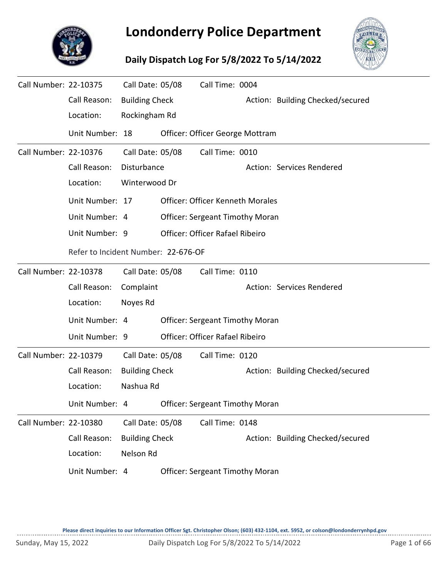

## **Londonderry Police Department**

## **Daily Dispatch Log For 5/8/2022 To 5/14/2022**



| Call Number: 22-10375 |                                     | Call Date: 05/08      | Call Time: 0004                         |                                  |
|-----------------------|-------------------------------------|-----------------------|-----------------------------------------|----------------------------------|
|                       | Call Reason:                        | <b>Building Check</b> |                                         | Action: Building Checked/secured |
|                       | Location:                           | Rockingham Rd         |                                         |                                  |
|                       | Unit Number: 18                     |                       | Officer: Officer George Mottram         |                                  |
| Call Number: 22-10376 |                                     | Call Date: 05/08      | Call Time: 0010                         |                                  |
|                       | Call Reason:                        | Disturbance           |                                         | Action: Services Rendered        |
|                       | Location:                           | Winterwood Dr         |                                         |                                  |
|                       | Unit Number: 17                     |                       | <b>Officer: Officer Kenneth Morales</b> |                                  |
|                       | Unit Number: 4                      |                       | <b>Officer: Sergeant Timothy Moran</b>  |                                  |
|                       | Unit Number: 9                      |                       | Officer: Officer Rafael Ribeiro         |                                  |
|                       | Refer to Incident Number: 22-676-OF |                       |                                         |                                  |
| Call Number: 22-10378 |                                     | Call Date: 05/08      | Call Time: 0110                         |                                  |
|                       | Call Reason:                        | Complaint             |                                         | Action: Services Rendered        |
|                       | Location:                           | Noyes Rd              |                                         |                                  |
|                       | Unit Number: 4                      |                       | <b>Officer: Sergeant Timothy Moran</b>  |                                  |
|                       | Unit Number: 9                      |                       | Officer: Officer Rafael Ribeiro         |                                  |
| Call Number: 22-10379 |                                     | Call Date: 05/08      | Call Time: 0120                         |                                  |
|                       | Call Reason:                        | <b>Building Check</b> |                                         | Action: Building Checked/secured |
|                       | Location:                           | Nashua Rd             |                                         |                                  |
|                       | Unit Number: 4                      |                       | <b>Officer: Sergeant Timothy Moran</b>  |                                  |
| Call Number: 22-10380 |                                     | Call Date: 05/08      | Call Time: 0148                         |                                  |
|                       | Call Reason:                        | <b>Building Check</b> |                                         | Action: Building Checked/secured |
|                       | Location:                           | Nelson Rd             |                                         |                                  |
|                       | Unit Number: 4                      |                       | <b>Officer: Sergeant Timothy Moran</b>  |                                  |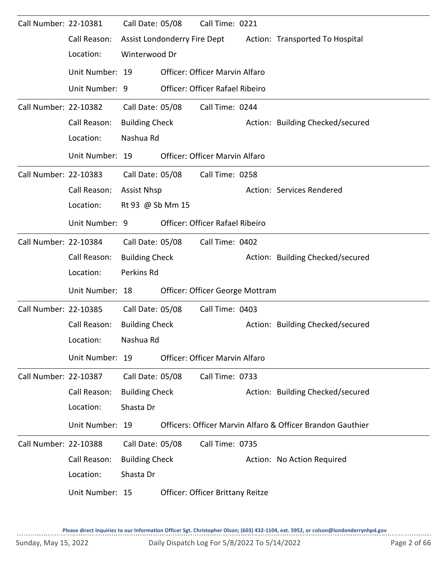| Call Number: 22-10381 |                 | Call Date: 05/08      |                              | Call Time: 0221                        |  |                                                            |  |  |  |
|-----------------------|-----------------|-----------------------|------------------------------|----------------------------------------|--|------------------------------------------------------------|--|--|--|
|                       | Call Reason:    |                       | Assist Londonderry Fire Dept |                                        |  | Action: Transported To Hospital                            |  |  |  |
|                       | Location:       | Winterwood Dr         |                              |                                        |  |                                                            |  |  |  |
|                       | Unit Number: 19 |                       |                              | <b>Officer: Officer Marvin Alfaro</b>  |  |                                                            |  |  |  |
|                       | Unit Number: 9  |                       |                              | Officer: Officer Rafael Ribeiro        |  |                                                            |  |  |  |
| Call Number: 22-10382 |                 | Call Date: 05/08      |                              | Call Time: 0244                        |  |                                                            |  |  |  |
|                       | Call Reason:    | <b>Building Check</b> |                              |                                        |  | Action: Building Checked/secured                           |  |  |  |
|                       | Location:       | Nashua Rd             |                              |                                        |  |                                                            |  |  |  |
|                       | Unit Number: 19 |                       |                              | Officer: Officer Marvin Alfaro         |  |                                                            |  |  |  |
| Call Number: 22-10383 |                 | Call Date: 05/08      |                              | Call Time: 0258                        |  |                                                            |  |  |  |
|                       | Call Reason:    | <b>Assist Nhsp</b>    |                              |                                        |  | Action: Services Rendered                                  |  |  |  |
|                       | Location:       |                       | Rt 93 @ Sb Mm 15             |                                        |  |                                                            |  |  |  |
|                       | Unit Number: 9  |                       |                              | <b>Officer: Officer Rafael Ribeiro</b> |  |                                                            |  |  |  |
| Call Number: 22-10384 |                 | Call Date: 05/08      |                              | Call Time: 0402                        |  |                                                            |  |  |  |
|                       | Call Reason:    | <b>Building Check</b> |                              |                                        |  | Action: Building Checked/secured                           |  |  |  |
|                       | Location:       | Perkins Rd            |                              |                                        |  |                                                            |  |  |  |
|                       | Unit Number: 18 |                       |                              | Officer: Officer George Mottram        |  |                                                            |  |  |  |
| Call Number: 22-10385 |                 | Call Date: 05/08      |                              | Call Time: 0403                        |  |                                                            |  |  |  |
|                       | Call Reason:    | <b>Building Check</b> |                              |                                        |  | Action: Building Checked/secured                           |  |  |  |
|                       | Location:       | Nashua Rd             |                              |                                        |  |                                                            |  |  |  |
|                       | Unit Number: 19 |                       |                              | <b>Officer: Officer Marvin Alfaro</b>  |  |                                                            |  |  |  |
| Call Number: 22-10387 |                 | Call Date: 05/08      |                              | Call Time: 0733                        |  |                                                            |  |  |  |
|                       | Call Reason:    | <b>Building Check</b> |                              |                                        |  | Action: Building Checked/secured                           |  |  |  |
|                       | Location:       | Shasta Dr             |                              |                                        |  |                                                            |  |  |  |
|                       | Unit Number: 19 |                       |                              |                                        |  | Officers: Officer Marvin Alfaro & Officer Brandon Gauthier |  |  |  |
| Call Number: 22-10388 |                 | Call Date: 05/08      |                              | Call Time: 0735                        |  |                                                            |  |  |  |
|                       | Call Reason:    | <b>Building Check</b> |                              |                                        |  | Action: No Action Required                                 |  |  |  |
|                       | Location:       | Shasta Dr             |                              |                                        |  |                                                            |  |  |  |
|                       | Unit Number: 15 |                       |                              | Officer: Officer Brittany Reitze       |  |                                                            |  |  |  |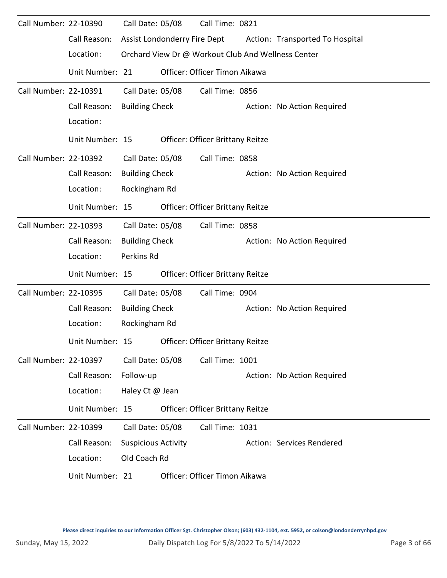| Call Number: 22-10390 |                 | Call Date: 05/08           |                              | Call Time: 0821                         |                                                    |
|-----------------------|-----------------|----------------------------|------------------------------|-----------------------------------------|----------------------------------------------------|
|                       | Call Reason:    |                            | Assist Londonderry Fire Dept |                                         | Action: Transported To Hospital                    |
|                       | Location:       |                            |                              |                                         | Orchard View Dr @ Workout Club And Wellness Center |
|                       | Unit Number: 21 |                            |                              | Officer: Officer Timon Aikawa           |                                                    |
| Call Number: 22-10391 |                 | Call Date: 05/08           |                              | Call Time: 0856                         |                                                    |
|                       | Call Reason:    | <b>Building Check</b>      |                              |                                         | Action: No Action Required                         |
|                       | Location:       |                            |                              |                                         |                                                    |
|                       | Unit Number: 15 |                            |                              | <b>Officer: Officer Brittany Reitze</b> |                                                    |
| Call Number: 22-10392 |                 | Call Date: 05/08           |                              | Call Time: 0858                         |                                                    |
|                       | Call Reason:    | <b>Building Check</b>      |                              |                                         | Action: No Action Required                         |
|                       | Location:       | Rockingham Rd              |                              |                                         |                                                    |
|                       | Unit Number: 15 |                            |                              | <b>Officer: Officer Brittany Reitze</b> |                                                    |
| Call Number: 22-10393 |                 | Call Date: 05/08           |                              | Call Time: 0858                         |                                                    |
|                       | Call Reason:    | <b>Building Check</b>      |                              |                                         | Action: No Action Required                         |
|                       | Location:       | Perkins Rd                 |                              |                                         |                                                    |
|                       | Unit Number: 15 |                            |                              | Officer: Officer Brittany Reitze        |                                                    |
| Call Number: 22-10395 |                 | Call Date: 05/08           |                              | Call Time: 0904                         |                                                    |
|                       | Call Reason:    | <b>Building Check</b>      |                              |                                         | Action: No Action Required                         |
|                       | Location:       | Rockingham Rd              |                              |                                         |                                                    |
|                       | Unit Number: 15 |                            |                              | <b>Officer: Officer Brittany Reitze</b> |                                                    |
| Call Number: 22-10397 |                 | Call Date: 05/08           |                              | Call Time: 1001                         |                                                    |
|                       | Call Reason:    | Follow-up                  |                              |                                         | Action: No Action Required                         |
|                       | Location:       | Haley Ct @ Jean            |                              |                                         |                                                    |
|                       | Unit Number: 15 |                            |                              | Officer: Officer Brittany Reitze        |                                                    |
| Call Number: 22-10399 |                 | Call Date: 05/08           |                              | Call Time: 1031                         |                                                    |
|                       | Call Reason:    | <b>Suspicious Activity</b> |                              |                                         | Action: Services Rendered                          |
|                       | Location:       | Old Coach Rd               |                              |                                         |                                                    |
|                       | Unit Number: 21 |                            |                              | Officer: Officer Timon Aikawa           |                                                    |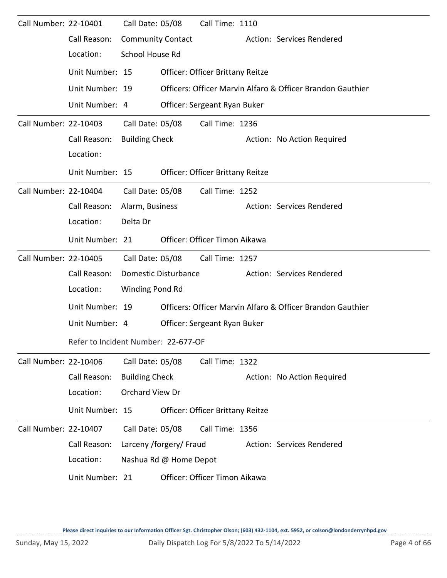| Call Number: 22-10401 |                                     | Call Date: 05/08         |                         | Call Time: 1110                                            |  |                                                            |
|-----------------------|-------------------------------------|--------------------------|-------------------------|------------------------------------------------------------|--|------------------------------------------------------------|
|                       | Call Reason:                        | <b>Community Contact</b> |                         |                                                            |  | Action: Services Rendered                                  |
|                       | Location:                           | School House Rd          |                         |                                                            |  |                                                            |
|                       | Unit Number: 15                     |                          |                         | Officer: Officer Brittany Reitze                           |  |                                                            |
|                       | Unit Number: 19                     |                          |                         |                                                            |  | Officers: Officer Marvin Alfaro & Officer Brandon Gauthier |
|                       | Unit Number: 4                      |                          |                         | Officer: Sergeant Ryan Buker                               |  |                                                            |
| Call Number: 22-10403 |                                     | Call Date: 05/08         |                         | Call Time: 1236                                            |  |                                                            |
|                       | Call Reason:                        | <b>Building Check</b>    |                         |                                                            |  | Action: No Action Required                                 |
|                       | Location:                           |                          |                         |                                                            |  |                                                            |
|                       | Unit Number: 15                     |                          |                         | <b>Officer: Officer Brittany Reitze</b>                    |  |                                                            |
| Call Number: 22-10404 |                                     | Call Date: 05/08         |                         | Call Time: 1252                                            |  |                                                            |
|                       | Call Reason:                        | Alarm, Business          |                         |                                                            |  | Action: Services Rendered                                  |
|                       | Location:                           | Delta Dr                 |                         |                                                            |  |                                                            |
|                       | Unit Number: 21                     |                          |                         | Officer: Officer Timon Aikawa                              |  |                                                            |
| Call Number: 22-10405 |                                     | Call Date: 05/08         |                         | Call Time: 1257                                            |  |                                                            |
|                       | Call Reason:                        |                          | Domestic Disturbance    |                                                            |  | Action: Services Rendered                                  |
|                       | Location:                           | Winding Pond Rd          |                         |                                                            |  |                                                            |
|                       | Unit Number: 19                     |                          |                         | Officers: Officer Marvin Alfaro & Officer Brandon Gauthier |  |                                                            |
|                       | Unit Number: 4                      |                          |                         | Officer: Sergeant Ryan Buker                               |  |                                                            |
|                       | Refer to Incident Number: 22-677-OF |                          |                         |                                                            |  |                                                            |
| Call Number: 22-10406 |                                     | Call Date: 05/08         |                         | Call Time: 1322                                            |  |                                                            |
|                       | Call Reason:                        | <b>Building Check</b>    |                         |                                                            |  | Action: No Action Required                                 |
|                       | Location:                           | Orchard View Dr          |                         |                                                            |  |                                                            |
|                       |                                     |                          |                         |                                                            |  |                                                            |
|                       | Unit Number: 15                     |                          |                         | <b>Officer: Officer Brittany Reitze</b>                    |  |                                                            |
| Call Number: 22-10407 |                                     | Call Date: 05/08         |                         | Call Time: 1356                                            |  |                                                            |
|                       | Call Reason:                        |                          | Larceny /forgery/ Fraud |                                                            |  | Action: Services Rendered                                  |
|                       | Location:                           |                          | Nashua Rd @ Home Depot  |                                                            |  |                                                            |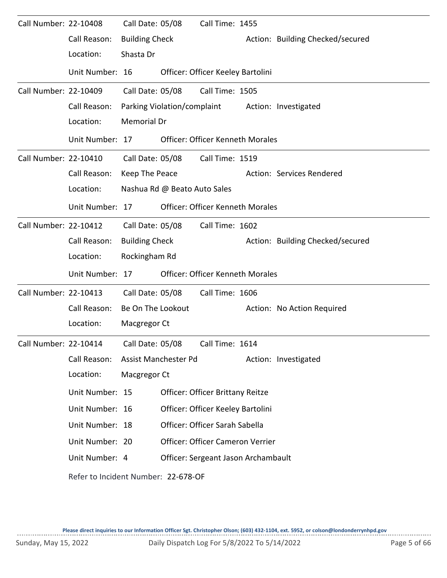| Call Number: 22-10408 |                                     | Call Date: 05/08      |                              | Call Time: 1455                         |                                  |
|-----------------------|-------------------------------------|-----------------------|------------------------------|-----------------------------------------|----------------------------------|
|                       | Call Reason:                        | <b>Building Check</b> |                              |                                         | Action: Building Checked/secured |
|                       | Location:                           | Shasta Dr             |                              |                                         |                                  |
|                       | Unit Number: 16                     |                       |                              | Officer: Officer Keeley Bartolini       |                                  |
| Call Number: 22-10409 |                                     | Call Date: 05/08      |                              | Call Time: 1505                         |                                  |
|                       | Call Reason:                        |                       |                              | Parking Violation/complaint             | Action: Investigated             |
|                       | Location:                           | <b>Memorial Dr</b>    |                              |                                         |                                  |
|                       | Unit Number: 17                     |                       |                              | <b>Officer: Officer Kenneth Morales</b> |                                  |
| Call Number: 22-10410 |                                     |                       |                              | Call Date: 05/08 Call Time: 1519        |                                  |
|                       | Call Reason:                        | Keep The Peace        |                              |                                         | Action: Services Rendered        |
|                       | Location:                           |                       | Nashua Rd @ Beato Auto Sales |                                         |                                  |
|                       | Unit Number: 17                     |                       |                              | <b>Officer: Officer Kenneth Morales</b> |                                  |
| Call Number: 22-10412 |                                     | Call Date: 05/08      |                              | Call Time: 1602                         |                                  |
|                       | Call Reason:                        | <b>Building Check</b> |                              |                                         | Action: Building Checked/secured |
|                       | Location:                           | Rockingham Rd         |                              |                                         |                                  |
|                       | Unit Number: 17                     |                       |                              | <b>Officer: Officer Kenneth Morales</b> |                                  |
| Call Number: 22-10413 |                                     | Call Date: 05/08      |                              | Call Time: 1606                         |                                  |
|                       | Call Reason:                        | Be On The Lookout     |                              |                                         | Action: No Action Required       |
|                       | Location:                           | Macgregor Ct          |                              |                                         |                                  |
| Call Number: 22-10414 |                                     | Call Date: 05/08      |                              | Call Time: 1614                         |                                  |
|                       | Call Reason:                        |                       | Assist Manchester Pd         |                                         | Action: Investigated             |
|                       | Location:                           | Macgregor Ct          |                              |                                         |                                  |
|                       | Unit Number: 15                     |                       |                              | Officer: Officer Brittany Reitze        |                                  |
|                       | Unit Number: 16                     |                       |                              | Officer: Officer Keeley Bartolini       |                                  |
|                       | Unit Number: 18                     |                       |                              | Officer: Officer Sarah Sabella          |                                  |
|                       | Unit Number: 20                     |                       |                              | Officer: Officer Cameron Verrier        |                                  |
|                       | Unit Number: 4                      |                       |                              | Officer: Sergeant Jason Archambault     |                                  |
|                       | Refer to Incident Number: 22-678-OF |                       |                              |                                         |                                  |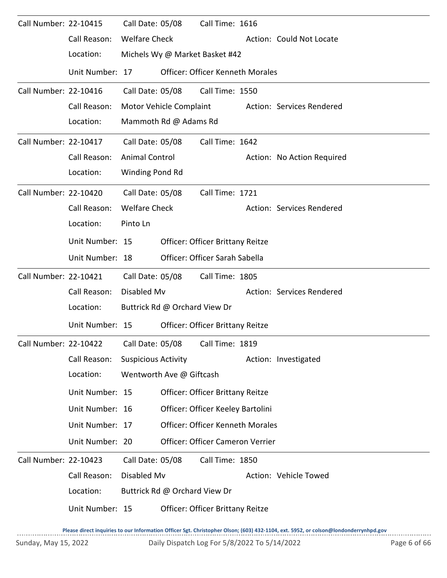| Call Number: 22-10415 |                                                              | Call Date: 05/08           |                               | Call Time: 1616                         |                            |
|-----------------------|--------------------------------------------------------------|----------------------------|-------------------------------|-----------------------------------------|----------------------------|
|                       | Call Reason:                                                 | <b>Welfare Check</b>       |                               |                                         | Action: Could Not Locate   |
|                       | Location:                                                    |                            |                               | Michels Wy @ Market Basket #42          |                            |
|                       | Unit Number: 17                                              |                            |                               | Officer: Officer Kenneth Morales        |                            |
| Call Number: 22-10416 |                                                              | Call Date: 05/08           |                               | Call Time: 1550                         |                            |
|                       | Call Reason:                                                 |                            | Motor Vehicle Complaint       |                                         | Action: Services Rendered  |
|                       | Location:                                                    |                            | Mammoth Rd @ Adams Rd         |                                         |                            |
| Call Number: 22-10417 |                                                              | Call Date: 05/08           |                               | Call Time: 1642                         |                            |
|                       | Call Reason:                                                 | <b>Animal Control</b>      |                               |                                         | Action: No Action Required |
|                       | Location:                                                    | Winding Pond Rd            |                               |                                         |                            |
| Call Number: 22-10420 |                                                              | Call Date: 05/08           |                               | Call Time: 1721                         |                            |
|                       | Call Reason:                                                 | <b>Welfare Check</b>       |                               |                                         | Action: Services Rendered  |
|                       | Location:                                                    | Pinto Ln                   |                               |                                         |                            |
|                       | Unit Number: 15                                              |                            |                               | <b>Officer: Officer Brittany Reitze</b> |                            |
|                       | Unit Number: 18                                              |                            |                               | Officer: Officer Sarah Sabella          |                            |
| Call Number: 22-10421 |                                                              | Call Date: 05/08           |                               | Call Time: 1805                         |                            |
|                       | Call Reason:                                                 | Disabled Mv                |                               |                                         | Action: Services Rendered  |
|                       | Location:                                                    |                            | Buttrick Rd @ Orchard View Dr |                                         |                            |
|                       | Unit Number: 15                                              |                            |                               | <b>Officer: Officer Brittany Reitze</b> |                            |
|                       | Call Number: 22-10422    Call Date: 05/08    Call Time: 1819 |                            |                               |                                         |                            |
|                       | Call Reason:                                                 | <b>Suspicious Activity</b> |                               |                                         | Action: Investigated       |
|                       | Location:                                                    |                            | Wentworth Ave @ Giftcash      |                                         |                            |
|                       | Unit Number: 15                                              |                            |                               | Officer: Officer Brittany Reitze        |                            |
|                       | Unit Number: 16                                              |                            |                               | Officer: Officer Keeley Bartolini       |                            |
|                       | Unit Number: 17                                              |                            |                               | Officer: Officer Kenneth Morales        |                            |
|                       | Unit Number: 20                                              |                            |                               | Officer: Officer Cameron Verrier        |                            |
| Call Number: 22-10423 |                                                              | Call Date: 05/08           |                               | Call Time: 1850                         |                            |
|                       | Call Reason:                                                 | Disabled Mv                |                               |                                         | Action: Vehicle Towed      |
|                       | Location:                                                    |                            | Buttrick Rd @ Orchard View Dr |                                         |                            |
|                       | Unit Number: 15                                              |                            |                               | Officer: Officer Brittany Reitze        |                            |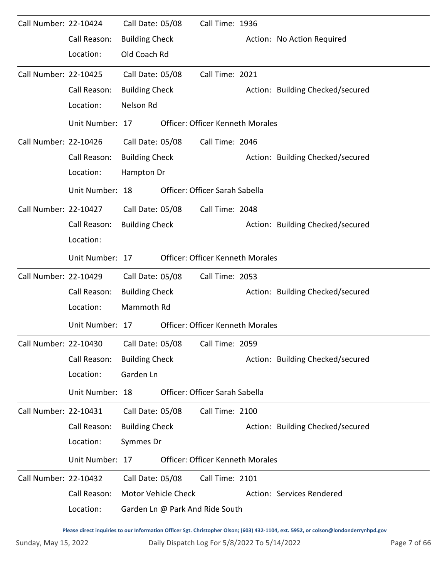| Call Number: 22-10424 |                 | Call Date: 05/08      |                            | Call Time: 1936                         |                                  |
|-----------------------|-----------------|-----------------------|----------------------------|-----------------------------------------|----------------------------------|
|                       | Call Reason:    | <b>Building Check</b> |                            |                                         | Action: No Action Required       |
|                       | Location:       | Old Coach Rd          |                            |                                         |                                  |
| Call Number: 22-10425 |                 | Call Date: 05/08      |                            | Call Time: 2021                         |                                  |
|                       | Call Reason:    | <b>Building Check</b> |                            |                                         | Action: Building Checked/secured |
|                       | Location:       | Nelson Rd             |                            |                                         |                                  |
|                       | Unit Number: 17 |                       |                            | <b>Officer: Officer Kenneth Morales</b> |                                  |
| Call Number: 22-10426 |                 | Call Date: 05/08      |                            | Call Time: 2046                         |                                  |
|                       | Call Reason:    | <b>Building Check</b> |                            |                                         | Action: Building Checked/secured |
|                       | Location:       | Hampton Dr            |                            |                                         |                                  |
|                       | Unit Number: 18 |                       |                            | Officer: Officer Sarah Sabella          |                                  |
| Call Number: 22-10427 |                 | Call Date: 05/08      |                            | Call Time: 2048                         |                                  |
|                       | Call Reason:    | <b>Building Check</b> |                            |                                         | Action: Building Checked/secured |
|                       | Location:       |                       |                            |                                         |                                  |
|                       | Unit Number: 17 |                       |                            | <b>Officer: Officer Kenneth Morales</b> |                                  |
| Call Number: 22-10429 |                 | Call Date: 05/08      |                            | Call Time: 2053                         |                                  |
|                       | Call Reason:    | <b>Building Check</b> |                            |                                         | Action: Building Checked/secured |
|                       | Location:       | Mammoth Rd            |                            |                                         |                                  |
|                       | Unit Number: 17 |                       |                            | <b>Officer: Officer Kenneth Morales</b> |                                  |
| Call Number: 22-10430 |                 | Call Date: 05/08      |                            | Call Time: 2059                         |                                  |
|                       | Call Reason:    | <b>Building Check</b> |                            |                                         | Action: Building Checked/secured |
|                       | Location:       | Garden Ln             |                            |                                         |                                  |
|                       | Unit Number: 18 |                       |                            | Officer: Officer Sarah Sabella          |                                  |
| Call Number: 22-10431 |                 | Call Date: 05/08      |                            | Call Time: 2100                         |                                  |
|                       | Call Reason:    | <b>Building Check</b> |                            |                                         | Action: Building Checked/secured |
|                       | Location:       | Symmes Dr             |                            |                                         |                                  |
|                       | Unit Number: 17 |                       |                            | <b>Officer: Officer Kenneth Morales</b> |                                  |
| Call Number: 22-10432 |                 | Call Date: 05/08      |                            | Call Time: 2101                         |                                  |
|                       | Call Reason:    |                       | <b>Motor Vehicle Check</b> |                                         | Action: Services Rendered        |
|                       | Location:       |                       |                            | Garden Ln @ Park And Ride South         |                                  |
|                       |                 |                       |                            |                                         |                                  |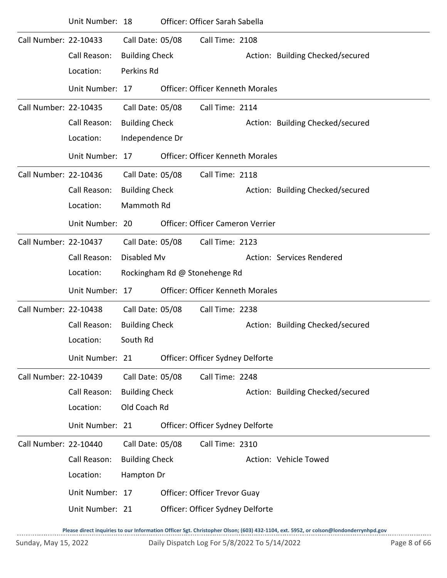|                       | Unit Number: 18 |                       | Officer: Officer Sarah Sabella          |                                  |
|-----------------------|-----------------|-----------------------|-----------------------------------------|----------------------------------|
| Call Number: 22-10433 |                 | Call Date: 05/08      | Call Time: 2108                         |                                  |
|                       | Call Reason:    | <b>Building Check</b> |                                         | Action: Building Checked/secured |
|                       | Location:       | Perkins Rd            |                                         |                                  |
|                       | Unit Number: 17 |                       | <b>Officer: Officer Kenneth Morales</b> |                                  |
| Call Number: 22-10435 |                 | Call Date: 05/08      | Call Time: 2114                         |                                  |
|                       | Call Reason:    | <b>Building Check</b> |                                         | Action: Building Checked/secured |
|                       | Location:       | Independence Dr       |                                         |                                  |
|                       | Unit Number: 17 |                       | <b>Officer: Officer Kenneth Morales</b> |                                  |
| Call Number: 22-10436 |                 | Call Date: 05/08      | Call Time: 2118                         |                                  |
|                       | Call Reason:    | <b>Building Check</b> |                                         | Action: Building Checked/secured |
|                       | Location:       | Mammoth Rd            |                                         |                                  |
|                       | Unit Number: 20 |                       | Officer: Officer Cameron Verrier        |                                  |
| Call Number: 22-10437 |                 | Call Date: 05/08      | Call Time: 2123                         |                                  |
|                       | Call Reason:    | Disabled Mv           |                                         | Action: Services Rendered        |
|                       | Location:       |                       | Rockingham Rd @ Stonehenge Rd           |                                  |
|                       | Unit Number: 17 |                       | <b>Officer: Officer Kenneth Morales</b> |                                  |
| Call Number: 22-10438 |                 | Call Date: 05/08      | Call Time: 2238                         |                                  |
|                       | Call Reason:    | <b>Building Check</b> |                                         | Action: Building Checked/secured |
|                       | Location:       | South Rd              |                                         |                                  |
|                       | Unit Number: 21 |                       | Officer: Officer Sydney Delforte        |                                  |
| Call Number: 22-10439 |                 | Call Date: 05/08      | Call Time: 2248                         |                                  |
|                       | Call Reason:    | <b>Building Check</b> |                                         | Action: Building Checked/secured |
|                       | Location:       | Old Coach Rd          |                                         |                                  |
|                       | Unit Number: 21 |                       | Officer: Officer Sydney Delforte        |                                  |
| Call Number: 22-10440 |                 | Call Date: 05/08      | Call Time: 2310                         |                                  |
|                       | Call Reason:    | <b>Building Check</b> |                                         | Action: Vehicle Towed            |
|                       | Location:       | Hampton Dr            |                                         |                                  |
|                       | Unit Number: 17 |                       | Officer: Officer Trevor Guay            |                                  |
|                       | Unit Number: 21 |                       | Officer: Officer Sydney Delforte        |                                  |
|                       |                 |                       |                                         |                                  |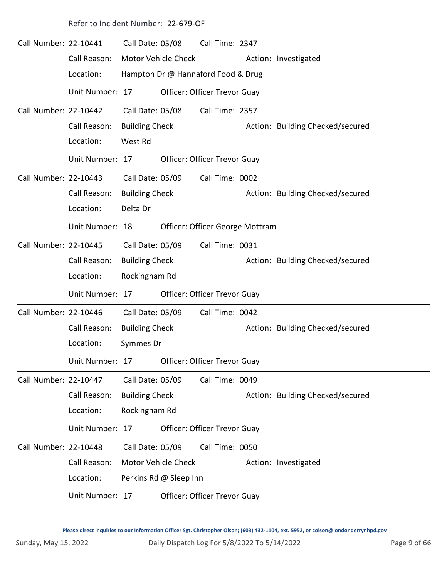| Call Number: 22-10441 |                 | Call Date: 05/08      |                        | Call Time: 2347                    |                                  |
|-----------------------|-----------------|-----------------------|------------------------|------------------------------------|----------------------------------|
|                       | Call Reason:    |                       | Motor Vehicle Check    |                                    | Action: Investigated             |
|                       | Location:       |                       |                        | Hampton Dr @ Hannaford Food & Drug |                                  |
|                       | Unit Number: 17 |                       |                        | Officer: Officer Trevor Guay       |                                  |
| Call Number: 22-10442 |                 | Call Date: 05/08      |                        | Call Time: 2357                    |                                  |
|                       | Call Reason:    | <b>Building Check</b> |                        |                                    | Action: Building Checked/secured |
|                       | Location:       | West Rd               |                        |                                    |                                  |
|                       | Unit Number: 17 |                       |                        | Officer: Officer Trevor Guay       |                                  |
| Call Number: 22-10443 |                 | Call Date: 05/09      |                        | Call Time: 0002                    |                                  |
|                       | Call Reason:    | <b>Building Check</b> |                        |                                    | Action: Building Checked/secured |
|                       | Location:       | Delta Dr              |                        |                                    |                                  |
|                       | Unit Number: 18 |                       |                        | Officer: Officer George Mottram    |                                  |
| Call Number: 22-10445 |                 | Call Date: 05/09      |                        | Call Time: 0031                    |                                  |
|                       | Call Reason:    | <b>Building Check</b> |                        |                                    | Action: Building Checked/secured |
|                       | Location:       | Rockingham Rd         |                        |                                    |                                  |
|                       | Unit Number: 17 |                       |                        | Officer: Officer Trevor Guay       |                                  |
| Call Number: 22-10446 |                 | Call Date: 05/09      |                        | Call Time: 0042                    |                                  |
|                       | Call Reason:    | <b>Building Check</b> |                        |                                    | Action: Building Checked/secured |
|                       | Location:       | Symmes Dr             |                        |                                    |                                  |
|                       | Unit Number: 17 |                       |                        | Officer: Officer Trevor Guay       |                                  |
| Call Number: 22-10447 |                 | Call Date: 05/09      |                        | Call Time: 0049                    |                                  |
|                       | Call Reason:    | <b>Building Check</b> |                        |                                    | Action: Building Checked/secured |
|                       | Location:       | Rockingham Rd         |                        |                                    |                                  |
|                       | Unit Number: 17 |                       |                        | Officer: Officer Trevor Guay       |                                  |
| Call Number: 22-10448 |                 | Call Date: 05/09      |                        | Call Time: 0050                    |                                  |
|                       | Call Reason:    |                       | Motor Vehicle Check    |                                    | Action: Investigated             |
|                       | Location:       |                       | Perkins Rd @ Sleep Inn |                                    |                                  |
|                       | Unit Number: 17 |                       |                        | Officer: Officer Trevor Guay       |                                  |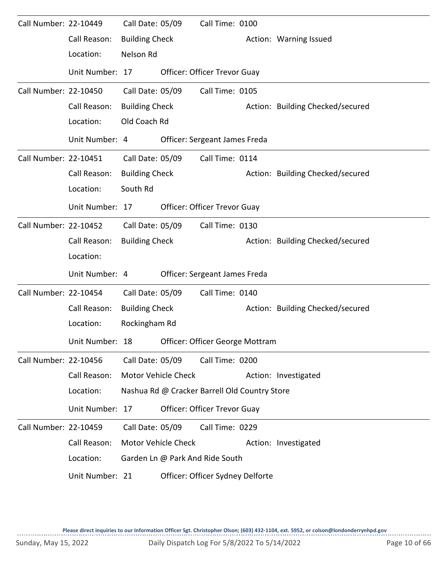| Call Number: 22-10449 |                 | Call Date: 05/09      |                     | Call Time: 0100                               |                                  |
|-----------------------|-----------------|-----------------------|---------------------|-----------------------------------------------|----------------------------------|
|                       | Call Reason:    | <b>Building Check</b> |                     |                                               | Action: Warning Issued           |
|                       | Location:       | Nelson Rd             |                     |                                               |                                  |
|                       | Unit Number: 17 |                       |                     | Officer: Officer Trevor Guay                  |                                  |
| Call Number: 22-10450 |                 | Call Date: 05/09      |                     | Call Time: 0105                               |                                  |
|                       | Call Reason:    | <b>Building Check</b> |                     |                                               | Action: Building Checked/secured |
|                       | Location:       | Old Coach Rd          |                     |                                               |                                  |
|                       | Unit Number: 4  |                       |                     | Officer: Sergeant James Freda                 |                                  |
| Call Number: 22-10451 |                 | Call Date: 05/09      |                     | Call Time: 0114                               |                                  |
|                       | Call Reason:    | <b>Building Check</b> |                     |                                               | Action: Building Checked/secured |
|                       | Location:       | South Rd              |                     |                                               |                                  |
|                       | Unit Number: 17 |                       |                     | <b>Officer: Officer Trevor Guay</b>           |                                  |
| Call Number: 22-10452 |                 | Call Date: 05/09      |                     | Call Time: 0130                               |                                  |
|                       | Call Reason:    | <b>Building Check</b> |                     |                                               | Action: Building Checked/secured |
|                       | Location:       |                       |                     |                                               |                                  |
|                       | Unit Number: 4  |                       |                     | Officer: Sergeant James Freda                 |                                  |
| Call Number: 22-10454 |                 | Call Date: 05/09      |                     | Call Time: 0140                               |                                  |
|                       | Call Reason:    | <b>Building Check</b> |                     |                                               | Action: Building Checked/secured |
|                       | Location:       | Rockingham Rd         |                     |                                               |                                  |
|                       | Unit Number: 18 |                       |                     | Officer: Officer George Mottram               |                                  |
| Call Number: 22-10456 |                 | Call Date: 05/09      |                     | Call Time: 0200                               |                                  |
|                       | Call Reason:    | Motor Vehicle Check   |                     |                                               | Action: Investigated             |
|                       | Location:       |                       |                     | Nashua Rd @ Cracker Barrell Old Country Store |                                  |
|                       | Unit Number: 17 |                       |                     | Officer: Officer Trevor Guay                  |                                  |
| Call Number: 22-10459 |                 | Call Date: 05/09      |                     | Call Time: 0229                               |                                  |
|                       | Call Reason:    |                       | Motor Vehicle Check |                                               | Action: Investigated             |
|                       | Location:       |                       |                     | Garden Ln @ Park And Ride South               |                                  |
|                       | Unit Number: 21 |                       |                     | Officer: Officer Sydney Delforte              |                                  |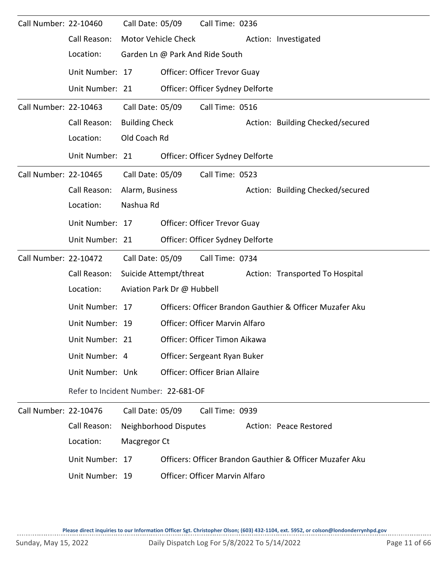| Call Number: 22-10460 |                                     | Call Date: 05/09       |                            | Call Time: 0236                     |                                                          |
|-----------------------|-------------------------------------|------------------------|----------------------------|-------------------------------------|----------------------------------------------------------|
|                       | Call Reason:                        |                        | Motor Vehicle Check        |                                     | Action: Investigated                                     |
|                       | Location:                           |                        |                            | Garden Ln @ Park And Ride South     |                                                          |
|                       | Unit Number: 17                     |                        |                            | <b>Officer: Officer Trevor Guay</b> |                                                          |
|                       | Unit Number: 21                     |                        |                            | Officer: Officer Sydney Delforte    |                                                          |
| Call Number: 22-10463 |                                     | Call Date: 05/09       |                            | Call Time: 0516                     |                                                          |
|                       | Call Reason:                        | <b>Building Check</b>  |                            |                                     | Action: Building Checked/secured                         |
|                       | Location:                           | Old Coach Rd           |                            |                                     |                                                          |
|                       | Unit Number: 21                     |                        |                            | Officer: Officer Sydney Delforte    |                                                          |
| Call Number: 22-10465 |                                     | Call Date: 05/09       |                            | Call Time: 0523                     |                                                          |
|                       | Call Reason:                        | Alarm, Business        |                            |                                     | Action: Building Checked/secured                         |
|                       | Location:                           | Nashua Rd              |                            |                                     |                                                          |
|                       | Unit Number: 17                     |                        |                            | <b>Officer: Officer Trevor Guay</b> |                                                          |
|                       | Unit Number: 21                     |                        |                            | Officer: Officer Sydney Delforte    |                                                          |
| Call Number: 22-10472 |                                     | Call Date: 05/09       |                            | Call Time: 0734                     |                                                          |
|                       | Call Reason:                        | Suicide Attempt/threat |                            |                                     | Action: Transported To Hospital                          |
|                       | Location:                           |                        | Aviation Park Dr @ Hubbell |                                     |                                                          |
|                       | Unit Number: 17                     |                        |                            |                                     | Officers: Officer Brandon Gauthier & Officer Muzafer Aku |
|                       | Unit Number: 19                     |                        |                            | Officer: Officer Marvin Alfaro      |                                                          |
|                       | Unit Number: 21                     |                        |                            | Officer: Officer Timon Aikawa       |                                                          |
|                       | Unit Number: 4                      |                        |                            | Officer: Sergeant Ryan Buker        |                                                          |
|                       | Unit Number: Unk                    |                        |                            | Officer: Officer Brian Allaire      |                                                          |
|                       | Refer to Incident Number: 22-681-OF |                        |                            |                                     |                                                          |
| Call Number: 22-10476 |                                     | Call Date: 05/09       |                            | Call Time: 0939                     |                                                          |
|                       | Call Reason:                        |                        | Neighborhood Disputes      |                                     | Action: Peace Restored                                   |
|                       | Location:                           | Macgregor Ct           |                            |                                     |                                                          |
|                       | Unit Number: 17                     |                        |                            |                                     | Officers: Officer Brandon Gauthier & Officer Muzafer Aku |
|                       | Unit Number: 19                     |                        |                            | Officer: Officer Marvin Alfaro      |                                                          |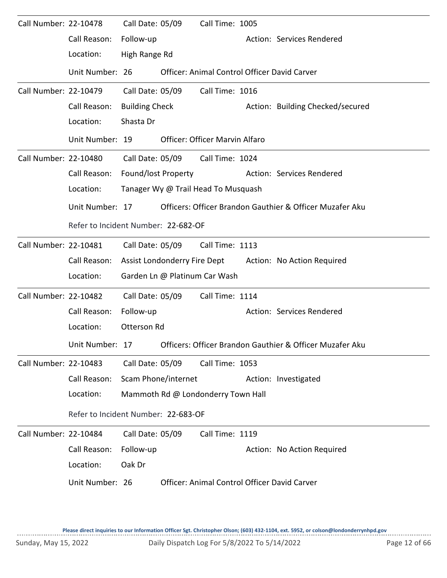| Call Number: 22-10478 |                                     | Call Date: 05/09      |                     | Call Time: 1005                     |  |                                                          |  |  |  |  |
|-----------------------|-------------------------------------|-----------------------|---------------------|-------------------------------------|--|----------------------------------------------------------|--|--|--|--|
|                       | Call Reason:                        | Follow-up             |                     |                                     |  | Action: Services Rendered                                |  |  |  |  |
|                       | Location:                           | High Range Rd         |                     |                                     |  |                                                          |  |  |  |  |
|                       | Unit Number: 26                     |                       |                     |                                     |  | Officer: Animal Control Officer David Carver             |  |  |  |  |
| Call Number: 22-10479 |                                     | Call Date: 05/09      |                     | Call Time: 1016                     |  |                                                          |  |  |  |  |
|                       | Call Reason:                        | <b>Building Check</b> |                     |                                     |  | Action: Building Checked/secured                         |  |  |  |  |
|                       | Location:                           | Shasta Dr             |                     |                                     |  |                                                          |  |  |  |  |
|                       | Unit Number: 19                     |                       |                     | Officer: Officer Marvin Alfaro      |  |                                                          |  |  |  |  |
| Call Number: 22-10480 |                                     |                       | Call Date: 05/09    | Call Time: 1024                     |  |                                                          |  |  |  |  |
|                       | Call Reason:                        | Found/lost Property   |                     |                                     |  | Action: Services Rendered                                |  |  |  |  |
|                       | Location:                           |                       |                     | Tanager Wy @ Trail Head To Musquash |  |                                                          |  |  |  |  |
|                       | Unit Number: 17                     |                       |                     |                                     |  | Officers: Officer Brandon Gauthier & Officer Muzafer Aku |  |  |  |  |
|                       | Refer to Incident Number: 22-682-OF |                       |                     |                                     |  |                                                          |  |  |  |  |
| Call Number: 22-10481 |                                     |                       | Call Date: 05/09    | Call Time: 1113                     |  |                                                          |  |  |  |  |
|                       | Call Reason:                        |                       |                     | Assist Londonderry Fire Dept        |  | Action: No Action Required                               |  |  |  |  |
|                       | Location:                           |                       |                     | Garden Ln @ Platinum Car Wash       |  |                                                          |  |  |  |  |
| Call Number: 22-10482 |                                     | Call Date: 05/09      |                     | Call Time: 1114                     |  |                                                          |  |  |  |  |
|                       | Call Reason:                        | Follow-up             |                     |                                     |  | Action: Services Rendered                                |  |  |  |  |
|                       | Location:                           | Otterson Rd           |                     |                                     |  |                                                          |  |  |  |  |
|                       | Unit Number:                        | 17                    |                     |                                     |  | Officers: Officer Brandon Gauthier & Officer Muzafer Aku |  |  |  |  |
| Call Number: 22-10483 |                                     | Call Date: 05/09      |                     | Call Time: 1053                     |  |                                                          |  |  |  |  |
|                       | Call Reason:                        |                       | Scam Phone/internet |                                     |  | Action: Investigated                                     |  |  |  |  |
|                       | Location:                           |                       |                     | Mammoth Rd @ Londonderry Town Hall  |  |                                                          |  |  |  |  |
|                       | Refer to Incident Number: 22-683-OF |                       |                     |                                     |  |                                                          |  |  |  |  |
| Call Number: 22-10484 |                                     | Call Date: 05/09      |                     | Call Time: 1119                     |  |                                                          |  |  |  |  |
|                       | Call Reason:                        | Follow-up             |                     |                                     |  | Action: No Action Required                               |  |  |  |  |
|                       | Location:                           | Oak Dr                |                     |                                     |  |                                                          |  |  |  |  |
|                       | Unit Number: 26                     |                       |                     |                                     |  | Officer: Animal Control Officer David Carver             |  |  |  |  |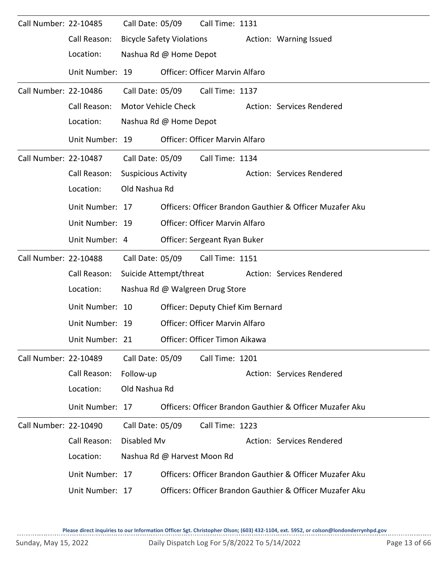| Call Number: 22-10485 |                 | Call Date: 05/09           |                                  | Call Time: 1131                          |                                                          |
|-----------------------|-----------------|----------------------------|----------------------------------|------------------------------------------|----------------------------------------------------------|
|                       | Call Reason:    |                            | <b>Bicycle Safety Violations</b> |                                          | Action: Warning Issued                                   |
|                       | Location:       |                            | Nashua Rd @ Home Depot           |                                          |                                                          |
|                       | Unit Number: 19 |                            |                                  | Officer: Officer Marvin Alfaro           |                                                          |
| Call Number: 22-10486 |                 | Call Date: 05/09           |                                  | Call Time: 1137                          |                                                          |
|                       | Call Reason:    |                            | Motor Vehicle Check              |                                          | Action: Services Rendered                                |
|                       | Location:       |                            | Nashua Rd @ Home Depot           |                                          |                                                          |
|                       | Unit Number: 19 |                            |                                  | Officer: Officer Marvin Alfaro           |                                                          |
| Call Number: 22-10487 |                 | Call Date: 05/09           |                                  | Call Time: 1134                          |                                                          |
|                       | Call Reason:    | <b>Suspicious Activity</b> |                                  |                                          | Action: Services Rendered                                |
|                       | Location:       | Old Nashua Rd              |                                  |                                          |                                                          |
|                       | Unit Number: 17 |                            |                                  |                                          | Officers: Officer Brandon Gauthier & Officer Muzafer Aku |
|                       | Unit Number: 19 |                            |                                  | Officer: Officer Marvin Alfaro           |                                                          |
|                       | Unit Number: 4  |                            |                                  | Officer: Sergeant Ryan Buker             |                                                          |
| Call Number: 22-10488 |                 | Call Date: 05/09           |                                  | Call Time: 1151                          |                                                          |
|                       | Call Reason:    |                            | Suicide Attempt/threat           |                                          | Action: Services Rendered                                |
|                       | Location:       |                            |                                  | Nashua Rd @ Walgreen Drug Store          |                                                          |
|                       | Unit Number: 10 |                            |                                  | <b>Officer: Deputy Chief Kim Bernard</b> |                                                          |
|                       | Unit Number: 19 |                            |                                  | Officer: Officer Marvin Alfaro           |                                                          |
|                       | Unit Number: 21 |                            |                                  | Officer: Officer Timon Aikawa            |                                                          |
| Call Number: 22-10489 |                 | Call Date: 05/09           |                                  | Call Time: 1201                          |                                                          |
|                       | Call Reason:    | Follow-up                  |                                  |                                          | Action: Services Rendered                                |
|                       | Location:       | Old Nashua Rd              |                                  |                                          |                                                          |
|                       | Unit Number: 17 |                            |                                  |                                          | Officers: Officer Brandon Gauthier & Officer Muzafer Aku |
| Call Number: 22-10490 |                 | Call Date: 05/09           |                                  | Call Time: 1223                          |                                                          |
|                       | Call Reason:    | Disabled Mv                |                                  |                                          | Action: Services Rendered                                |
|                       | Location:       |                            | Nashua Rd @ Harvest Moon Rd      |                                          |                                                          |
|                       | Unit Number: 17 |                            |                                  |                                          | Officers: Officer Brandon Gauthier & Officer Muzafer Aku |
|                       | Unit Number: 17 |                            |                                  |                                          | Officers: Officer Brandon Gauthier & Officer Muzafer Aku |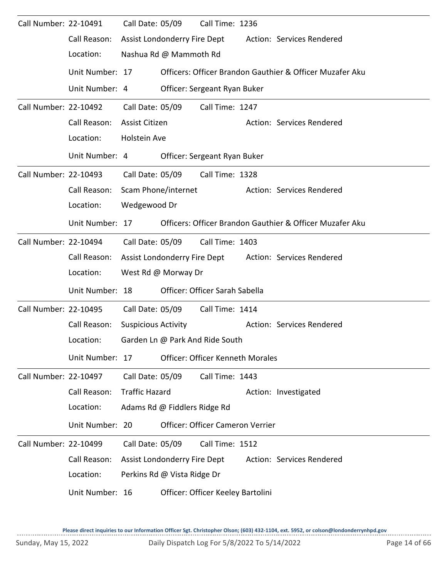| Call Number: 22-10491 |                 | Call Date: 05/09             |                             | Call Time: 1236                                                                                                                                                               |                                                          |                                                          |  |  |  |
|-----------------------|-----------------|------------------------------|-----------------------------|-------------------------------------------------------------------------------------------------------------------------------------------------------------------------------|----------------------------------------------------------|----------------------------------------------------------|--|--|--|
|                       | Call Reason:    | Assist Londonderry Fire Dept |                             |                                                                                                                                                                               |                                                          | Action: Services Rendered                                |  |  |  |
|                       | Location:       | Nashua Rd @ Mammoth Rd       |                             |                                                                                                                                                                               |                                                          |                                                          |  |  |  |
|                       | Unit Number: 17 |                              |                             |                                                                                                                                                                               |                                                          | Officers: Officer Brandon Gauthier & Officer Muzafer Aku |  |  |  |
|                       | Unit Number: 4  |                              |                             | Officer: Sergeant Ryan Buker                                                                                                                                                  |                                                          |                                                          |  |  |  |
| Call Number: 22-10492 |                 | Call Date: 05/09             |                             | Call Time: 1247                                                                                                                                                               |                                                          |                                                          |  |  |  |
|                       | Call Reason:    | Assist Citizen               |                             |                                                                                                                                                                               |                                                          | Action: Services Rendered                                |  |  |  |
|                       | Location:       | Holstein Ave                 |                             |                                                                                                                                                                               |                                                          |                                                          |  |  |  |
|                       | Unit Number: 4  |                              |                             | Officer: Sergeant Ryan Buker                                                                                                                                                  |                                                          |                                                          |  |  |  |
| Call Number: 22-10493 |                 | Call Date: 05/09             |                             | Call Time: 1328                                                                                                                                                               |                                                          |                                                          |  |  |  |
|                       | Call Reason:    | Scam Phone/internet          |                             |                                                                                                                                                                               |                                                          | Action: Services Rendered                                |  |  |  |
|                       | Location:       | Wedgewood Dr                 |                             |                                                                                                                                                                               |                                                          |                                                          |  |  |  |
|                       | Unit Number: 17 |                              |                             |                                                                                                                                                                               | Officers: Officer Brandon Gauthier & Officer Muzafer Aku |                                                          |  |  |  |
| Call Number: 22-10494 |                 | Call Date: 05/09             |                             | Call Time: 1403                                                                                                                                                               |                                                          |                                                          |  |  |  |
|                       | Call Reason:    | Assist Londonderry Fire Dept |                             |                                                                                                                                                                               |                                                          | Action: Services Rendered                                |  |  |  |
|                       | Location:       | West Rd @ Morway Dr          |                             |                                                                                                                                                                               |                                                          |                                                          |  |  |  |
|                       | Unit Number: 18 |                              |                             | Officer: Officer Sarah Sabella                                                                                                                                                |                                                          |                                                          |  |  |  |
| Call Number: 22-10495 |                 | Call Date: 05/09             |                             | Call Time: 1414                                                                                                                                                               |                                                          |                                                          |  |  |  |
|                       | Call Reason:    | <b>Suspicious Activity</b>   |                             |                                                                                                                                                                               |                                                          | Action: Services Rendered                                |  |  |  |
|                       | Location:       |                              |                             | Garden Ln @ Park And Ride South                                                                                                                                               |                                                          |                                                          |  |  |  |
|                       | Unit Number: 17 |                              |                             | <b>Officer: Officer Kenneth Morales</b>                                                                                                                                       |                                                          |                                                          |  |  |  |
| Call Number: 22-10497 |                 | Call Date: 05/09             |                             | Call Time: 1443                                                                                                                                                               |                                                          |                                                          |  |  |  |
|                       | Call Reason:    | <b>Traffic Hazard</b>        |                             |                                                                                                                                                                               |                                                          |                                                          |  |  |  |
|                       | Location:       |                              |                             |                                                                                                                                                                               |                                                          |                                                          |  |  |  |
|                       | Unit Number: 20 |                              |                             |                                                                                                                                                                               |                                                          |                                                          |  |  |  |
| Call Number: 22-10499 |                 | Call Date: 05/09             |                             |                                                                                                                                                                               |                                                          |                                                          |  |  |  |
|                       | Call Reason:    | Assist Londonderry Fire Dept |                             |                                                                                                                                                                               |                                                          |                                                          |  |  |  |
|                       | Location:       |                              | Perkins Rd @ Vista Ridge Dr |                                                                                                                                                                               |                                                          |                                                          |  |  |  |
|                       | Unit Number: 16 |                              |                             | Action: Investigated<br>Adams Rd @ Fiddlers Ridge Rd<br>Officer: Officer Cameron Verrier<br>Call Time: 1512<br>Action: Services Rendered<br>Officer: Officer Keeley Bartolini |                                                          |                                                          |  |  |  |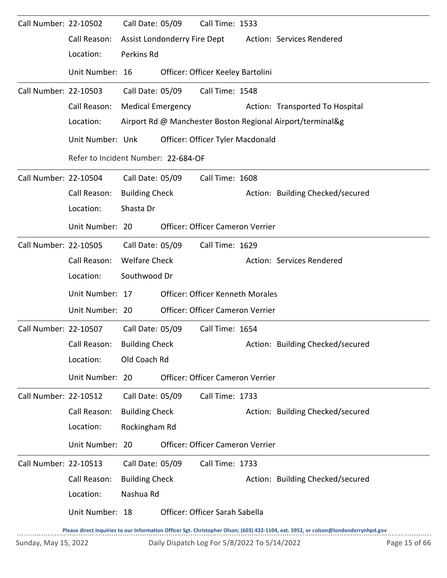| Call Number: 22-10502 |                                     | Call Date: 05/09         |                              | Call Time: 1533                         |                                                            |
|-----------------------|-------------------------------------|--------------------------|------------------------------|-----------------------------------------|------------------------------------------------------------|
|                       | Call Reason:                        |                          | Assist Londonderry Fire Dept |                                         | <b>Action: Services Rendered</b>                           |
|                       | Location:                           | Perkins Rd               |                              |                                         |                                                            |
|                       | Unit Number: 16                     |                          |                              | Officer: Officer Keeley Bartolini       |                                                            |
| Call Number: 22-10503 |                                     | Call Date: 05/09         |                              | Call Time: 1548                         |                                                            |
|                       | Call Reason:                        | <b>Medical Emergency</b> |                              |                                         | Action: Transported To Hospital                            |
|                       | Location:                           |                          |                              |                                         | Airport Rd @ Manchester Boston Regional Airport/terminal&g |
|                       | Unit Number: Unk                    |                          |                              | Officer: Officer Tyler Macdonald        |                                                            |
|                       | Refer to Incident Number: 22-684-OF |                          |                              |                                         |                                                            |
| Call Number: 22-10504 |                                     | Call Date: 05/09         |                              | Call Time: 1608                         |                                                            |
|                       | Call Reason:                        | <b>Building Check</b>    |                              |                                         | Action: Building Checked/secured                           |
|                       | Location:                           | Shasta Dr                |                              |                                         |                                                            |
|                       | Unit Number: 20                     |                          |                              | <b>Officer: Officer Cameron Verrier</b> |                                                            |
| Call Number: 22-10505 |                                     | Call Date: 05/09         |                              | Call Time: 1629                         |                                                            |
|                       | Call Reason:                        | <b>Welfare Check</b>     |                              |                                         | Action: Services Rendered                                  |
|                       | Location:                           | Southwood Dr             |                              |                                         |                                                            |
|                       | Unit Number: 17                     |                          |                              | <b>Officer: Officer Kenneth Morales</b> |                                                            |
|                       | Unit Number: 20                     |                          |                              | Officer: Officer Cameron Verrier        |                                                            |
| Call Number: 22-10507 |                                     | Call Date: 05/09         |                              | Call Time: 1654                         |                                                            |
|                       | Call Reason: Building Check         |                          |                              |                                         | Action: Building Checked/secured                           |
|                       | Location:                           | Old Coach Rd             |                              |                                         |                                                            |
|                       | Unit Number: 20                     |                          |                              | Officer: Officer Cameron Verrier        |                                                            |
| Call Number: 22-10512 |                                     | Call Date: 05/09         |                              | Call Time: 1733                         |                                                            |
|                       | Call Reason:                        | <b>Building Check</b>    |                              |                                         | Action: Building Checked/secured                           |
|                       | Location:                           | Rockingham Rd            |                              |                                         |                                                            |
|                       | Unit Number: 20                     |                          |                              | Officer: Officer Cameron Verrier        |                                                            |
| Call Number: 22-10513 |                                     | Call Date: 05/09         |                              | Call Time: 1733                         |                                                            |
|                       | Call Reason:                        | <b>Building Check</b>    |                              |                                         | Action: Building Checked/secured                           |
|                       | Location:                           | Nashua Rd                |                              |                                         |                                                            |
|                       |                                     |                          |                              |                                         |                                                            |
|                       | Unit Number: 18                     |                          |                              | Officer: Officer Sarah Sabella          |                                                            |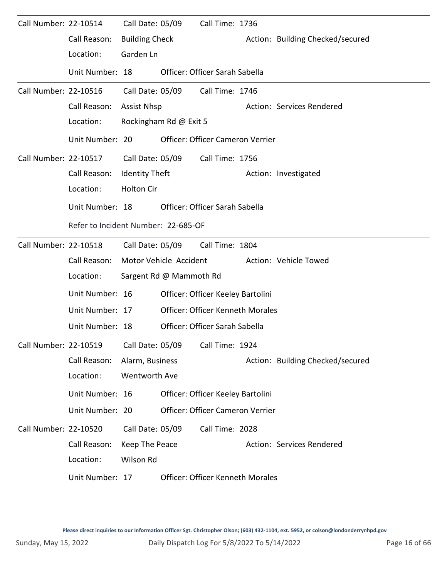| Call Number: 22-10514 |                 | Call Date: 05/09                    |                         | Call Time: 1736                         |  |                                  |  |  |  |  |  |
|-----------------------|-----------------|-------------------------------------|-------------------------|-----------------------------------------|--|----------------------------------|--|--|--|--|--|
|                       | Call Reason:    | <b>Building Check</b>               |                         |                                         |  | Action: Building Checked/secured |  |  |  |  |  |
|                       | Location:       | Garden Ln                           |                         |                                         |  |                                  |  |  |  |  |  |
|                       | Unit Number: 18 |                                     |                         | Officer: Officer Sarah Sabella          |  |                                  |  |  |  |  |  |
| Call Number: 22-10516 |                 | Call Date: 05/09                    |                         | Call Time: 1746                         |  |                                  |  |  |  |  |  |
|                       | Call Reason:    | <b>Assist Nhsp</b>                  |                         |                                         |  | Action: Services Rendered        |  |  |  |  |  |
|                       | Location:       |                                     | Rockingham Rd @ Exit 5  |                                         |  |                                  |  |  |  |  |  |
|                       | Unit Number: 20 |                                     |                         | Officer: Officer Cameron Verrier        |  |                                  |  |  |  |  |  |
| Call Number: 22-10517 |                 |                                     | Call Date: 05/09        | Call Time: 1756                         |  |                                  |  |  |  |  |  |
|                       | Call Reason:    | <b>Identity Theft</b>               |                         |                                         |  | Action: Investigated             |  |  |  |  |  |
|                       | Location:       | <b>Holton Cir</b>                   |                         |                                         |  |                                  |  |  |  |  |  |
|                       | Unit Number: 18 |                                     |                         | Officer: Officer Sarah Sabella          |  |                                  |  |  |  |  |  |
|                       |                 | Refer to Incident Number: 22-685-OF |                         |                                         |  |                                  |  |  |  |  |  |
| Call Number: 22-10518 |                 |                                     | Call Date: 05/09        | Call Time: 1804                         |  |                                  |  |  |  |  |  |
|                       | Call Reason:    |                                     | Motor Vehicle Accident  |                                         |  | Action: Vehicle Towed            |  |  |  |  |  |
|                       | Location:       |                                     | Sargent Rd @ Mammoth Rd |                                         |  |                                  |  |  |  |  |  |
|                       | Unit Number: 16 |                                     |                         | Officer: Officer Keeley Bartolini       |  |                                  |  |  |  |  |  |
|                       | Unit Number: 17 |                                     |                         | <b>Officer: Officer Kenneth Morales</b> |  |                                  |  |  |  |  |  |
|                       | Unit Number: 18 |                                     |                         | Officer: Officer Sarah Sabella          |  |                                  |  |  |  |  |  |
| Call Number: 22-10519 |                 | Call Date: 05/09                    |                         | Call Time: 1924                         |  |                                  |  |  |  |  |  |
|                       | Call Reason:    | Alarm, Business                     |                         |                                         |  | Action: Building Checked/secured |  |  |  |  |  |
|                       | Location:       | Wentworth Ave                       |                         |                                         |  |                                  |  |  |  |  |  |
|                       | Unit Number: 16 |                                     |                         | Officer: Officer Keeley Bartolini       |  |                                  |  |  |  |  |  |
|                       | Unit Number: 20 |                                     |                         | Officer: Officer Cameron Verrier        |  |                                  |  |  |  |  |  |
| Call Number: 22-10520 |                 | Call Date: 05/09                    |                         | Call Time: 2028                         |  |                                  |  |  |  |  |  |
|                       | Call Reason:    | Keep The Peace                      |                         |                                         |  | Action: Services Rendered        |  |  |  |  |  |
|                       | Location:       | Wilson Rd                           |                         |                                         |  |                                  |  |  |  |  |  |
|                       | Unit Number: 17 |                                     |                         | <b>Officer: Officer Kenneth Morales</b> |  |                                  |  |  |  |  |  |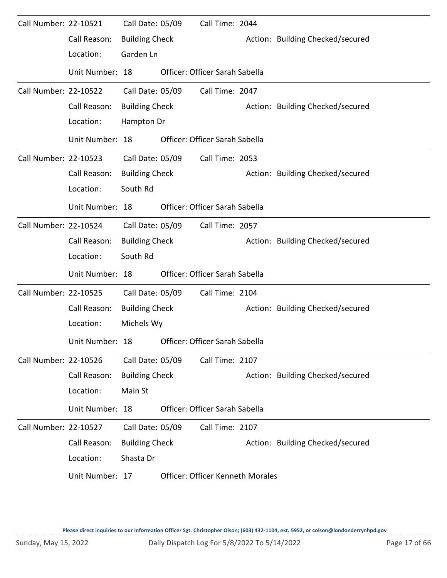| Call Number: 22-10521 |                 | Call Date: 05/09      | Call Time: 2044                         |                                  |
|-----------------------|-----------------|-----------------------|-----------------------------------------|----------------------------------|
|                       | Call Reason:    | <b>Building Check</b> |                                         | Action: Building Checked/secured |
|                       | Location:       | Garden Ln             |                                         |                                  |
|                       | Unit Number: 18 |                       | Officer: Officer Sarah Sabella          |                                  |
| Call Number: 22-10522 |                 | Call Date: 05/09      | Call Time: 2047                         |                                  |
|                       | Call Reason:    | <b>Building Check</b> |                                         | Action: Building Checked/secured |
|                       | Location:       | Hampton Dr            |                                         |                                  |
|                       | Unit Number: 18 |                       | Officer: Officer Sarah Sabella          |                                  |
| Call Number: 22-10523 |                 | Call Date: 05/09      | Call Time: 2053                         |                                  |
|                       | Call Reason:    | <b>Building Check</b> |                                         | Action: Building Checked/secured |
|                       | Location:       | South Rd              |                                         |                                  |
|                       | Unit Number: 18 |                       | Officer: Officer Sarah Sabella          |                                  |
| Call Number: 22-10524 |                 | Call Date: 05/09      | Call Time: 2057                         |                                  |
|                       | Call Reason:    | <b>Building Check</b> |                                         | Action: Building Checked/secured |
|                       | Location:       | South Rd              |                                         |                                  |
|                       | Unit Number: 18 |                       | Officer: Officer Sarah Sabella          |                                  |
| Call Number: 22-10525 |                 | Call Date: 05/09      | Call Time: 2104                         |                                  |
|                       | Call Reason:    | <b>Building Check</b> |                                         | Action: Building Checked/secured |
|                       | Location:       | Michels Wy            |                                         |                                  |
|                       | Unit Number: 18 |                       | Officer: Officer Sarah Sabella          |                                  |
| Call Number: 22-10526 |                 | Call Date: 05/09      | Call Time: 2107                         |                                  |
|                       | Call Reason:    | <b>Building Check</b> |                                         | Action: Building Checked/secured |
|                       | Location:       | Main St               |                                         |                                  |
|                       | Unit Number: 18 |                       | Officer: Officer Sarah Sabella          |                                  |
| Call Number: 22-10527 |                 | Call Date: 05/09      | Call Time: 2107                         |                                  |
|                       | Call Reason:    | <b>Building Check</b> |                                         | Action: Building Checked/secured |
|                       | Location:       | Shasta Dr             |                                         |                                  |
|                       | Unit Number: 17 |                       | <b>Officer: Officer Kenneth Morales</b> |                                  |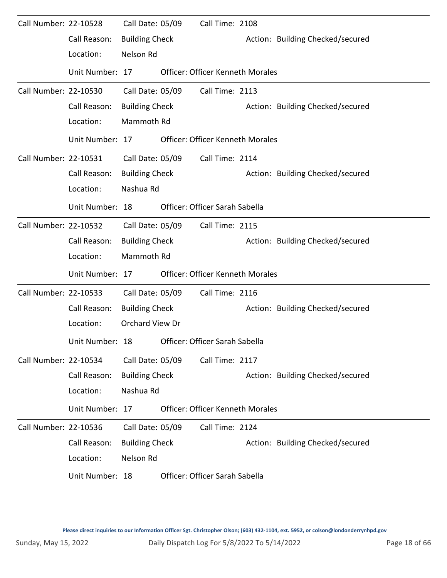| Call Number: 22-10528 |                 | Call Date: 05/09      | Call Time: 2108                         |                                  |
|-----------------------|-----------------|-----------------------|-----------------------------------------|----------------------------------|
|                       | Call Reason:    | <b>Building Check</b> |                                         | Action: Building Checked/secured |
|                       | Location:       | Nelson Rd             |                                         |                                  |
|                       | Unit Number: 17 |                       | <b>Officer: Officer Kenneth Morales</b> |                                  |
| Call Number: 22-10530 |                 | Call Date: 05/09      | Call Time: 2113                         |                                  |
|                       | Call Reason:    | <b>Building Check</b> |                                         | Action: Building Checked/secured |
|                       | Location:       | Mammoth Rd            |                                         |                                  |
|                       | Unit Number: 17 |                       | <b>Officer: Officer Kenneth Morales</b> |                                  |
| Call Number: 22-10531 |                 | Call Date: 05/09      | Call Time: 2114                         |                                  |
|                       | Call Reason:    | <b>Building Check</b> |                                         | Action: Building Checked/secured |
|                       | Location:       | Nashua Rd             |                                         |                                  |
|                       | Unit Number: 18 |                       | Officer: Officer Sarah Sabella          |                                  |
| Call Number: 22-10532 |                 | Call Date: 05/09      | Call Time: 2115                         |                                  |
|                       | Call Reason:    | <b>Building Check</b> |                                         | Action: Building Checked/secured |
|                       | Location:       | Mammoth Rd            |                                         |                                  |
|                       | Unit Number: 17 |                       | <b>Officer: Officer Kenneth Morales</b> |                                  |
| Call Number: 22-10533 |                 | Call Date: 05/09      | Call Time: 2116                         |                                  |
|                       | Call Reason:    | <b>Building Check</b> |                                         | Action: Building Checked/secured |
|                       | Location:       | Orchard View Dr       |                                         |                                  |
|                       | Unit Number: 18 |                       | Officer: Officer Sarah Sabella          |                                  |
| Call Number: 22-10534 |                 | Call Date: 05/09      | Call Time: 2117                         |                                  |
|                       | Call Reason:    | <b>Building Check</b> |                                         | Action: Building Checked/secured |
|                       | Location:       | Nashua Rd             |                                         |                                  |
|                       | Unit Number: 17 |                       | <b>Officer: Officer Kenneth Morales</b> |                                  |
| Call Number: 22-10536 |                 | Call Date: 05/09      | Call Time: 2124                         |                                  |
|                       | Call Reason:    | <b>Building Check</b> |                                         | Action: Building Checked/secured |
|                       | Location:       | Nelson Rd             |                                         |                                  |
|                       | Unit Number: 18 |                       | Officer: Officer Sarah Sabella          |                                  |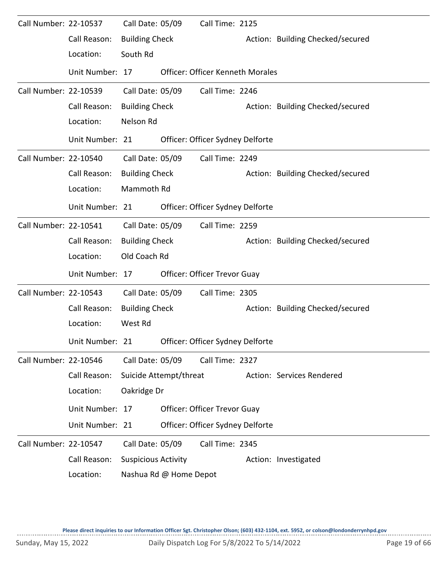| Call Number: 22-10537 |                 | Call Date: 05/09           |                        | Call Time: 2125                         |  |                                  |  |  |  |  |
|-----------------------|-----------------|----------------------------|------------------------|-----------------------------------------|--|----------------------------------|--|--|--|--|
|                       | Call Reason:    | <b>Building Check</b>      |                        |                                         |  | Action: Building Checked/secured |  |  |  |  |
|                       | Location:       | South Rd                   |                        |                                         |  |                                  |  |  |  |  |
|                       | Unit Number: 17 |                            |                        | <b>Officer: Officer Kenneth Morales</b> |  |                                  |  |  |  |  |
| Call Number: 22-10539 |                 | Call Date: 05/09           |                        | Call Time: 2246                         |  |                                  |  |  |  |  |
|                       | Call Reason:    | <b>Building Check</b>      |                        |                                         |  | Action: Building Checked/secured |  |  |  |  |
|                       | Location:       | Nelson Rd                  |                        |                                         |  |                                  |  |  |  |  |
|                       | Unit Number: 21 |                            |                        | Officer: Officer Sydney Delforte        |  |                                  |  |  |  |  |
| Call Number: 22-10540 |                 | Call Date: 05/09           |                        | Call Time: 2249                         |  |                                  |  |  |  |  |
|                       | Call Reason:    | <b>Building Check</b>      |                        |                                         |  | Action: Building Checked/secured |  |  |  |  |
|                       | Location:       | Mammoth Rd                 |                        |                                         |  |                                  |  |  |  |  |
|                       | Unit Number: 21 |                            |                        | Officer: Officer Sydney Delforte        |  |                                  |  |  |  |  |
| Call Number: 22-10541 |                 | Call Date: 05/09           |                        | Call Time: 2259                         |  |                                  |  |  |  |  |
|                       | Call Reason:    | <b>Building Check</b>      |                        |                                         |  | Action: Building Checked/secured |  |  |  |  |
|                       | Location:       | Old Coach Rd               |                        |                                         |  |                                  |  |  |  |  |
|                       | Unit Number: 17 |                            |                        | Officer: Officer Trevor Guay            |  |                                  |  |  |  |  |
| Call Number: 22-10543 |                 | Call Date: 05/09           |                        | Call Time: 2305                         |  |                                  |  |  |  |  |
|                       | Call Reason:    | <b>Building Check</b>      |                        |                                         |  | Action: Building Checked/secured |  |  |  |  |
|                       | Location:       | West Rd                    |                        |                                         |  |                                  |  |  |  |  |
|                       | Unit Number: 21 |                            |                        | Officer: Officer Sydney Delforte        |  |                                  |  |  |  |  |
| Call Number: 22-10546 |                 | Call Date: 05/09           |                        | Call Time: 2327                         |  |                                  |  |  |  |  |
|                       | Call Reason:    |                            | Suicide Attempt/threat |                                         |  | Action: Services Rendered        |  |  |  |  |
|                       | Location:       | Oakridge Dr                |                        |                                         |  |                                  |  |  |  |  |
|                       | Unit Number: 17 |                            |                        | <b>Officer: Officer Trevor Guay</b>     |  |                                  |  |  |  |  |
|                       | Unit Number: 21 |                            |                        | Officer: Officer Sydney Delforte        |  |                                  |  |  |  |  |
| Call Number: 22-10547 |                 | Call Date: 05/09           |                        | Call Time: 2345                         |  |                                  |  |  |  |  |
|                       | Call Reason:    | <b>Suspicious Activity</b> |                        |                                         |  | Action: Investigated             |  |  |  |  |
|                       | Location:       |                            | Nashua Rd @ Home Depot |                                         |  |                                  |  |  |  |  |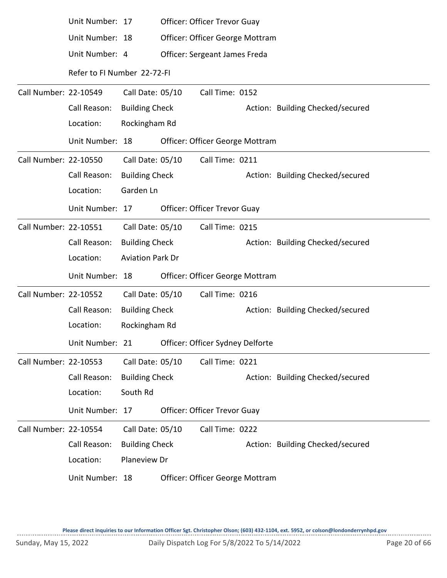|                       | Unit Number: 17             |                         | Officer: Officer Trevor Guay        |                                  |
|-----------------------|-----------------------------|-------------------------|-------------------------------------|----------------------------------|
|                       | Unit Number: 18             |                         | Officer: Officer George Mottram     |                                  |
|                       | Unit Number: 4              |                         | Officer: Sergeant James Freda       |                                  |
|                       | Refer to FI Number 22-72-FI |                         |                                     |                                  |
| Call Number: 22-10549 |                             | Call Date: 05/10        | Call Time: 0152                     |                                  |
|                       | Call Reason:                | <b>Building Check</b>   |                                     | Action: Building Checked/secured |
|                       | Location:                   | Rockingham Rd           |                                     |                                  |
|                       | Unit Number: 18             |                         | Officer: Officer George Mottram     |                                  |
| Call Number: 22-10550 |                             | Call Date: 05/10        | Call Time: 0211                     |                                  |
|                       | Call Reason:                | <b>Building Check</b>   |                                     | Action: Building Checked/secured |
|                       | Location:                   | Garden Ln               |                                     |                                  |
|                       | Unit Number: 17             |                         | Officer: Officer Trevor Guay        |                                  |
| Call Number: 22-10551 |                             | Call Date: 05/10        | Call Time: 0215                     |                                  |
|                       | Call Reason:                | <b>Building Check</b>   |                                     | Action: Building Checked/secured |
|                       | Location:                   | <b>Aviation Park Dr</b> |                                     |                                  |
|                       | Unit Number: 18             |                         | Officer: Officer George Mottram     |                                  |
| Call Number: 22-10552 |                             | Call Date: 05/10        | Call Time: 0216                     |                                  |
|                       | Call Reason:                | <b>Building Check</b>   |                                     | Action: Building Checked/secured |
|                       | Location:                   | Rockingham Rd           |                                     |                                  |
|                       | Unit Number: 21             |                         | Officer: Officer Sydney Delforte    |                                  |
| Call Number: 22-10553 |                             | Call Date: 05/10        | Call Time: 0221                     |                                  |
|                       | Call Reason:                | <b>Building Check</b>   |                                     | Action: Building Checked/secured |
|                       | Location:                   | South Rd                |                                     |                                  |
|                       | Unit Number: 17             |                         | <b>Officer: Officer Trevor Guay</b> |                                  |
| Call Number: 22-10554 |                             | Call Date: 05/10        | Call Time: 0222                     |                                  |
|                       | Call Reason:                | <b>Building Check</b>   |                                     | Action: Building Checked/secured |
|                       | Location:                   | Planeview Dr            |                                     |                                  |
|                       |                             |                         |                                     |                                  |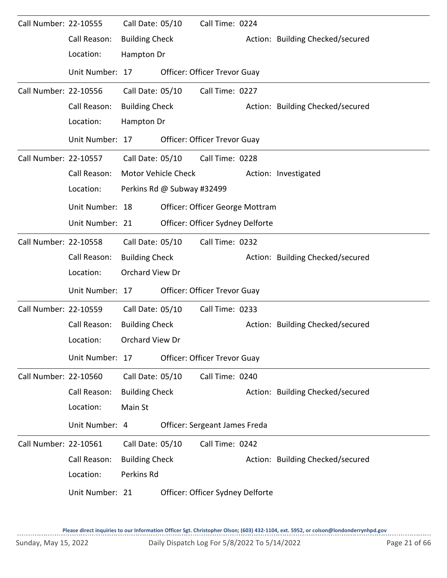| Call Number: 22-10555 |                 | Call Date: 05/10      |                            | Call Time: 0224                     |                                  |
|-----------------------|-----------------|-----------------------|----------------------------|-------------------------------------|----------------------------------|
|                       | Call Reason:    | <b>Building Check</b> |                            |                                     | Action: Building Checked/secured |
|                       | Location:       | Hampton Dr            |                            |                                     |                                  |
|                       | Unit Number: 17 |                       |                            | <b>Officer: Officer Trevor Guay</b> |                                  |
| Call Number: 22-10556 |                 | Call Date: 05/10      |                            | Call Time: 0227                     |                                  |
|                       | Call Reason:    | <b>Building Check</b> |                            |                                     | Action: Building Checked/secured |
|                       | Location:       | Hampton Dr            |                            |                                     |                                  |
|                       | Unit Number: 17 |                       |                            | Officer: Officer Trevor Guay        |                                  |
| Call Number: 22-10557 |                 | Call Date: 05/10      |                            | Call Time: 0228                     |                                  |
|                       | Call Reason:    |                       | Motor Vehicle Check        |                                     | Action: Investigated             |
|                       | Location:       |                       | Perkins Rd @ Subway #32499 |                                     |                                  |
|                       | Unit Number: 18 |                       |                            | Officer: Officer George Mottram     |                                  |
|                       | Unit Number: 21 |                       |                            | Officer: Officer Sydney Delforte    |                                  |
| Call Number: 22-10558 |                 | Call Date: 05/10      |                            | Call Time: 0232                     |                                  |
|                       | Call Reason:    | <b>Building Check</b> |                            |                                     | Action: Building Checked/secured |
|                       | Location:       | Orchard View Dr       |                            |                                     |                                  |
|                       | Unit Number: 17 |                       |                            | Officer: Officer Trevor Guay        |                                  |
| Call Number: 22-10559 |                 | Call Date: 05/10      |                            | Call Time: 0233                     |                                  |
|                       | Call Reason:    | <b>Building Check</b> |                            |                                     | Action: Building Checked/secured |
|                       | Location:       | Orchard View Dr       |                            |                                     |                                  |
|                       | Unit Number: 17 |                       |                            | <b>Officer: Officer Trevor Guay</b> |                                  |
| Call Number: 22-10560 |                 | Call Date: 05/10      |                            | Call Time: 0240                     |                                  |
|                       | Call Reason:    | <b>Building Check</b> |                            |                                     | Action: Building Checked/secured |
|                       | Location:       | Main St               |                            |                                     |                                  |
|                       | Unit Number: 4  |                       |                            | Officer: Sergeant James Freda       |                                  |
| Call Number: 22-10561 |                 | Call Date: 05/10      |                            | Call Time: 0242                     |                                  |
|                       | Call Reason:    | <b>Building Check</b> |                            |                                     | Action: Building Checked/secured |
|                       | Location:       | Perkins Rd            |                            |                                     |                                  |
|                       | Unit Number: 21 |                       |                            | Officer: Officer Sydney Delforte    |                                  |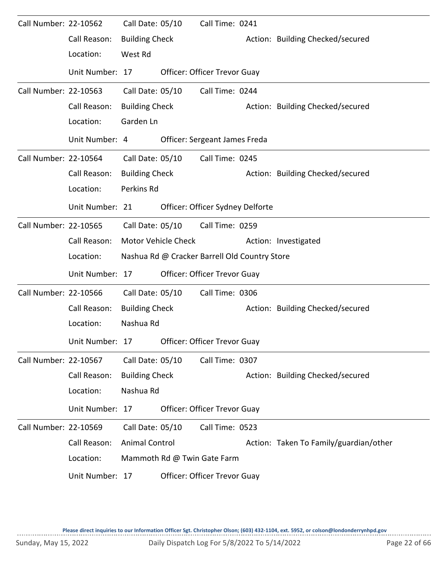| Call Number: 22-10562 |                 | Call Date: 05/10      |                            | Call Time: 0241                               |                                        |
|-----------------------|-----------------|-----------------------|----------------------------|-----------------------------------------------|----------------------------------------|
|                       | Call Reason:    | <b>Building Check</b> |                            |                                               | Action: Building Checked/secured       |
|                       | Location:       | West Rd               |                            |                                               |                                        |
|                       | Unit Number: 17 |                       |                            | Officer: Officer Trevor Guay                  |                                        |
| Call Number: 22-10563 |                 | Call Date: 05/10      |                            | Call Time: 0244                               |                                        |
|                       | Call Reason:    | <b>Building Check</b> |                            |                                               | Action: Building Checked/secured       |
|                       | Location:       | Garden Ln             |                            |                                               |                                        |
|                       | Unit Number: 4  |                       |                            | Officer: Sergeant James Freda                 |                                        |
| Call Number: 22-10564 |                 | Call Date: 05/10      |                            | Call Time: 0245                               |                                        |
|                       | Call Reason:    | <b>Building Check</b> |                            |                                               | Action: Building Checked/secured       |
|                       | Location:       | Perkins Rd            |                            |                                               |                                        |
|                       | Unit Number: 21 |                       |                            | Officer: Officer Sydney Delforte              |                                        |
| Call Number: 22-10565 |                 | Call Date: 05/10      |                            | Call Time: 0259                               |                                        |
|                       | Call Reason:    |                       | <b>Motor Vehicle Check</b> |                                               | Action: Investigated                   |
|                       | Location:       |                       |                            | Nashua Rd @ Cracker Barrell Old Country Store |                                        |
|                       | Unit Number: 17 |                       |                            | Officer: Officer Trevor Guay                  |                                        |
| Call Number: 22-10566 |                 | Call Date: 05/10      |                            | Call Time: 0306                               |                                        |
|                       | Call Reason:    | <b>Building Check</b> |                            |                                               | Action: Building Checked/secured       |
|                       | Location:       | Nashua Rd             |                            |                                               |                                        |
|                       | Unit Number: 17 |                       |                            | Officer: Officer Trevor Guay                  |                                        |
| Call Number: 22-10567 |                 | Call Date: 05/10      |                            | Call Time: 0307                               |                                        |
|                       | Call Reason:    | <b>Building Check</b> |                            |                                               | Action: Building Checked/secured       |
|                       | Location:       | Nashua Rd             |                            |                                               |                                        |
|                       | Unit Number: 17 |                       |                            | Officer: Officer Trevor Guay                  |                                        |
| Call Number: 22-10569 |                 | Call Date: 05/10      |                            | Call Time: 0523                               |                                        |
|                       | Call Reason:    | <b>Animal Control</b> |                            |                                               | Action: Taken To Family/guardian/other |
|                       | Location:       |                       |                            | Mammoth Rd @ Twin Gate Farm                   |                                        |
|                       | Unit Number: 17 |                       |                            | Officer: Officer Trevor Guay                  |                                        |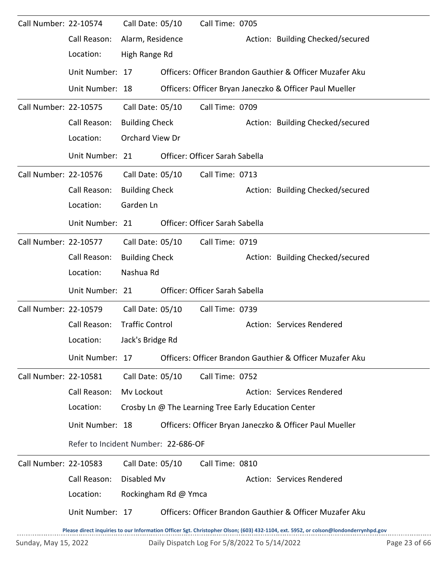| Call Number: 22-10574 |                                     | Call Date: 05/10       | Call Time: 0705                                      |                                                                                                                                     |               |
|-----------------------|-------------------------------------|------------------------|------------------------------------------------------|-------------------------------------------------------------------------------------------------------------------------------------|---------------|
|                       | Call Reason:                        | Alarm, Residence       |                                                      | Action: Building Checked/secured                                                                                                    |               |
|                       | Location:                           | High Range Rd          |                                                      |                                                                                                                                     |               |
|                       | Unit Number: 17                     |                        |                                                      | Officers: Officer Brandon Gauthier & Officer Muzafer Aku                                                                            |               |
|                       | Unit Number: 18                     |                        |                                                      | Officers: Officer Bryan Janeczko & Officer Paul Mueller                                                                             |               |
| Call Number: 22-10575 |                                     | Call Date: 05/10       | Call Time: 0709                                      |                                                                                                                                     |               |
|                       | Call Reason:                        | <b>Building Check</b>  |                                                      | Action: Building Checked/secured                                                                                                    |               |
|                       | Location:                           | Orchard View Dr        |                                                      |                                                                                                                                     |               |
|                       | Unit Number: 21                     |                        | Officer: Officer Sarah Sabella                       |                                                                                                                                     |               |
| Call Number: 22-10576 |                                     | Call Date: 05/10       | Call Time: 0713                                      |                                                                                                                                     |               |
|                       | Call Reason:                        | <b>Building Check</b>  |                                                      | Action: Building Checked/secured                                                                                                    |               |
|                       | Location:                           | Garden Ln              |                                                      |                                                                                                                                     |               |
|                       | Unit Number: 21                     |                        | Officer: Officer Sarah Sabella                       |                                                                                                                                     |               |
| Call Number: 22-10577 |                                     | Call Date: 05/10       | Call Time: 0719                                      |                                                                                                                                     |               |
|                       | Call Reason:                        | <b>Building Check</b>  |                                                      | Action: Building Checked/secured                                                                                                    |               |
|                       | Location:                           | Nashua Rd              |                                                      |                                                                                                                                     |               |
|                       | Unit Number: 21                     |                        | Officer: Officer Sarah Sabella                       |                                                                                                                                     |               |
| Call Number: 22-10579 |                                     | Call Date: 05/10       | Call Time: 0739                                      |                                                                                                                                     |               |
|                       | Call Reason:                        | <b>Traffic Control</b> |                                                      | Action: Services Rendered                                                                                                           |               |
|                       | Location:                           | Jack's Bridge Rd       |                                                      |                                                                                                                                     |               |
|                       | Unit Number: 17                     |                        |                                                      | Officers: Officer Brandon Gauthier & Officer Muzafer Aku                                                                            |               |
| Call Number: 22-10581 |                                     | Call Date: 05/10       | Call Time: 0752                                      |                                                                                                                                     |               |
|                       | Call Reason:                        | Mv Lockout             |                                                      | Action: Services Rendered                                                                                                           |               |
|                       | Location:                           |                        | Crosby Ln @ The Learning Tree Early Education Center |                                                                                                                                     |               |
|                       | Unit Number: 18                     |                        |                                                      | Officers: Officer Bryan Janeczko & Officer Paul Mueller                                                                             |               |
|                       | Refer to Incident Number: 22-686-OF |                        |                                                      |                                                                                                                                     |               |
| Call Number: 22-10583 |                                     | Call Date: 05/10       | Call Time: 0810                                      |                                                                                                                                     |               |
|                       | Call Reason:                        | Disabled Mv            |                                                      | Action: Services Rendered                                                                                                           |               |
|                       | Location:                           | Rockingham Rd @ Ymca   |                                                      |                                                                                                                                     |               |
|                       | Unit Number: 17                     |                        |                                                      | Officers: Officer Brandon Gauthier & Officer Muzafer Aku                                                                            |               |
|                       |                                     |                        |                                                      | Please direct inquiries to our Information Officer Sgt. Christopher Olson; (603) 432-1104, ext. 5952, or colson@londonderrynhpd.gov |               |
| Sunday, May 15, 2022  |                                     |                        | Daily Dispatch Log For 5/8/2022 To 5/14/2022         |                                                                                                                                     | Page 23 of 66 |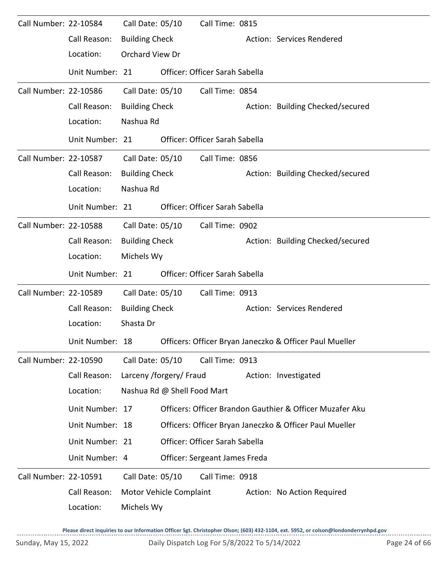| Call Number: 22-10584 |                 | Call Date: 05/10        |                             | Call Time: 0815                |                                                          |
|-----------------------|-----------------|-------------------------|-----------------------------|--------------------------------|----------------------------------------------------------|
|                       | Call Reason:    | <b>Building Check</b>   |                             |                                | Action: Services Rendered                                |
|                       | Location:       | Orchard View Dr         |                             |                                |                                                          |
|                       | Unit Number: 21 |                         |                             | Officer: Officer Sarah Sabella |                                                          |
| Call Number: 22-10586 |                 | Call Date: 05/10        |                             | Call Time: 0854                |                                                          |
|                       | Call Reason:    | <b>Building Check</b>   |                             |                                | Action: Building Checked/secured                         |
|                       | Location:       | Nashua Rd               |                             |                                |                                                          |
|                       | Unit Number: 21 |                         |                             | Officer: Officer Sarah Sabella |                                                          |
| Call Number: 22-10587 |                 | Call Date: 05/10        |                             | Call Time: 0856                |                                                          |
|                       | Call Reason:    | <b>Building Check</b>   |                             |                                | Action: Building Checked/secured                         |
|                       | Location:       | Nashua Rd               |                             |                                |                                                          |
|                       | Unit Number: 21 |                         |                             | Officer: Officer Sarah Sabella |                                                          |
| Call Number: 22-10588 |                 | Call Date: 05/10        |                             | Call Time: 0902                |                                                          |
|                       | Call Reason:    | <b>Building Check</b>   |                             |                                | Action: Building Checked/secured                         |
|                       | Location:       | Michels Wy              |                             |                                |                                                          |
|                       | Unit Number: 21 |                         |                             | Officer: Officer Sarah Sabella |                                                          |
| Call Number: 22-10589 |                 | Call Date: 05/10        |                             | Call Time: 0913                |                                                          |
|                       | Call Reason:    | <b>Building Check</b>   |                             |                                | Action: Services Rendered                                |
|                       | Location:       | Shasta Dr               |                             |                                |                                                          |
|                       | Unit Number: 18 |                         |                             |                                | Officers: Officer Bryan Janeczko & Officer Paul Mueller  |
| Call Number: 22-10590 |                 | Call Date: 05/10        |                             | Call Time: 0913                |                                                          |
|                       | Call Reason:    | Larceny /forgery/ Fraud |                             |                                | Action: Investigated                                     |
|                       | Location:       |                         | Nashua Rd @ Shell Food Mart |                                |                                                          |
|                       | Unit Number: 17 |                         |                             |                                | Officers: Officer Brandon Gauthier & Officer Muzafer Aku |
|                       | Unit Number: 18 |                         |                             |                                | Officers: Officer Bryan Janeczko & Officer Paul Mueller  |
|                       | Unit Number: 21 |                         |                             | Officer: Officer Sarah Sabella |                                                          |
|                       | Unit Number: 4  |                         |                             | Officer: Sergeant James Freda  |                                                          |
| Call Number: 22-10591 |                 | Call Date: 05/10        |                             | Call Time: 0918                |                                                          |
|                       | Call Reason:    |                         | Motor Vehicle Complaint     |                                | Action: No Action Required                               |
|                       | Location:       | Michels Wy              |                             |                                |                                                          |
|                       |                 |                         |                             |                                |                                                          |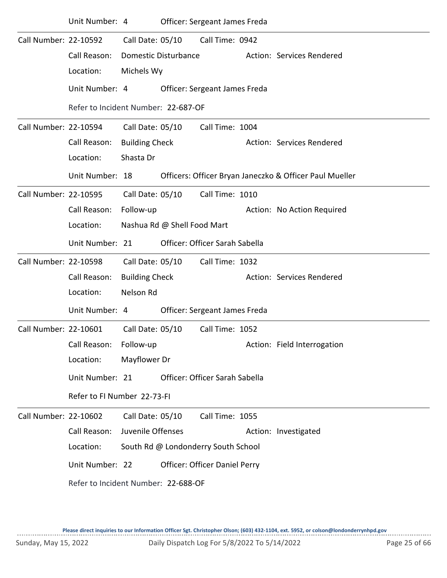|                       | Unit Number: 4                      |                       |                             | Officer: Sergeant James Freda        |                                                         |
|-----------------------|-------------------------------------|-----------------------|-----------------------------|--------------------------------------|---------------------------------------------------------|
| Call Number: 22-10592 |                                     | Call Date: 05/10      |                             | Call Time: 0942                      |                                                         |
|                       | Call Reason:                        |                       | Domestic Disturbance        |                                      | Action: Services Rendered                               |
|                       | Location:                           | Michels Wy            |                             |                                      |                                                         |
|                       | Unit Number: 4                      |                       |                             | Officer: Sergeant James Freda        |                                                         |
|                       | Refer to Incident Number: 22-687-OF |                       |                             |                                      |                                                         |
| Call Number: 22-10594 |                                     | Call Date: 05/10      |                             | Call Time: 1004                      |                                                         |
|                       | Call Reason:                        | <b>Building Check</b> |                             |                                      | Action: Services Rendered                               |
|                       | Location:                           | Shasta Dr             |                             |                                      |                                                         |
|                       | Unit Number: 18                     |                       |                             |                                      | Officers: Officer Bryan Janeczko & Officer Paul Mueller |
| Call Number: 22-10595 |                                     | Call Date: 05/10      |                             | Call Time: 1010                      |                                                         |
|                       | Call Reason:                        | Follow-up             |                             |                                      | Action: No Action Required                              |
|                       | Location:                           |                       | Nashua Rd @ Shell Food Mart |                                      |                                                         |
|                       | Unit Number: 21                     |                       |                             | Officer: Officer Sarah Sabella       |                                                         |
| Call Number: 22-10598 |                                     | Call Date: 05/10      |                             | Call Time: 1032                      |                                                         |
|                       | Call Reason:                        | <b>Building Check</b> |                             |                                      | Action: Services Rendered                               |
|                       | Location:                           | Nelson Rd             |                             |                                      |                                                         |
|                       | Unit Number: 4                      |                       |                             | Officer: Sergeant James Freda        |                                                         |
| Call Number: 22-10601 |                                     | Call Date: 05/10      |                             | Call Time: 1052                      |                                                         |
|                       | Call Reason:                        | Follow-up             |                             |                                      | Action: Field Interrogation                             |
|                       | Location:                           | Mayflower Dr          |                             |                                      |                                                         |
|                       | Unit Number: 21                     |                       |                             | Officer: Officer Sarah Sabella       |                                                         |
|                       | Refer to FI Number 22-73-FI         |                       |                             |                                      |                                                         |
| Call Number: 22-10602 |                                     | Call Date: 05/10      |                             | Call Time: 1055                      |                                                         |
|                       | Call Reason:                        | Juvenile Offenses     |                             |                                      | Action: Investigated                                    |
|                       | Location:                           |                       |                             | South Rd @ Londonderry South School  |                                                         |
|                       | Unit Number: 22                     |                       |                             | <b>Officer: Officer Daniel Perry</b> |                                                         |
|                       | Refer to Incident Number: 22-688-OF |                       |                             |                                      |                                                         |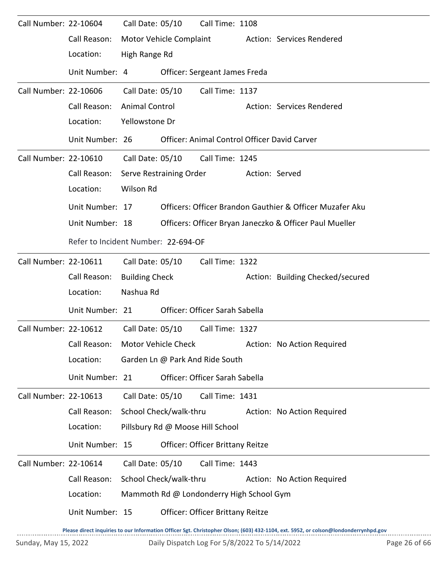| Call Number: 22-10604 |                                     | Call Date: 05/10        | Call Time: 1108                          |                |                                                          |
|-----------------------|-------------------------------------|-------------------------|------------------------------------------|----------------|----------------------------------------------------------|
|                       | Call Reason:                        | Motor Vehicle Complaint |                                          |                | Action: Services Rendered                                |
|                       | Location:                           | High Range Rd           |                                          |                |                                                          |
|                       | Unit Number: 4                      |                         | Officer: Sergeant James Freda            |                |                                                          |
| Call Number: 22-10606 |                                     | Call Date: 05/10        | Call Time: 1137                          |                |                                                          |
|                       | Call Reason:                        | <b>Animal Control</b>   |                                          |                | Action: Services Rendered                                |
|                       | Location:                           | Yellowstone Dr          |                                          |                |                                                          |
|                       | Unit Number: 26                     |                         |                                          |                | Officer: Animal Control Officer David Carver             |
| Call Number: 22-10610 |                                     |                         | Call Date: 05/10 Call Time: 1245         |                |                                                          |
|                       | Call Reason:                        | Serve Restraining Order |                                          | Action: Served |                                                          |
|                       | Location:                           | Wilson Rd               |                                          |                |                                                          |
|                       | Unit Number: 17                     |                         |                                          |                | Officers: Officer Brandon Gauthier & Officer Muzafer Aku |
|                       | Unit Number: 18                     |                         |                                          |                | Officers: Officer Bryan Janeczko & Officer Paul Mueller  |
|                       | Refer to Incident Number: 22-694-OF |                         |                                          |                |                                                          |
| Call Number: 22-10611 |                                     | Call Date: 05/10        | Call Time: 1322                          |                |                                                          |
|                       | Call Reason:                        | <b>Building Check</b>   |                                          |                | Action: Building Checked/secured                         |
|                       | Location:                           | Nashua Rd               |                                          |                |                                                          |
|                       | Unit Number: 21                     |                         | Officer: Officer Sarah Sabella           |                |                                                          |
| Call Number: 22-10612 |                                     | Call Date: 05/10        | Call Time: 1327                          |                |                                                          |
|                       | Call Reason: Motor Vehicle Check    |                         |                                          |                | Action: No Action Required                               |
|                       | Location:                           |                         | Garden Ln @ Park And Ride South          |                |                                                          |
|                       | Unit Number: 21                     |                         | Officer: Officer Sarah Sabella           |                |                                                          |
| Call Number: 22-10613 |                                     | Call Date: 05/10        | Call Time: 1431                          |                |                                                          |
|                       | Call Reason:                        | School Check/walk-thru  |                                          |                | Action: No Action Required                               |
|                       | Location:                           |                         | Pillsbury Rd @ Moose Hill School         |                |                                                          |
|                       | Unit Number: 15                     |                         | Officer: Officer Brittany Reitze         |                |                                                          |
| Call Number: 22-10614 |                                     | Call Date: 05/10        | Call Time: 1443                          |                |                                                          |
|                       | Call Reason:                        | School Check/walk-thru  |                                          |                | Action: No Action Required                               |
|                       | Location:                           |                         | Mammoth Rd @ Londonderry High School Gym |                |                                                          |
|                       | Unit Number: 15                     |                         | Officer: Officer Brittany Reitze         |                |                                                          |
|                       |                                     |                         |                                          |                |                                                          |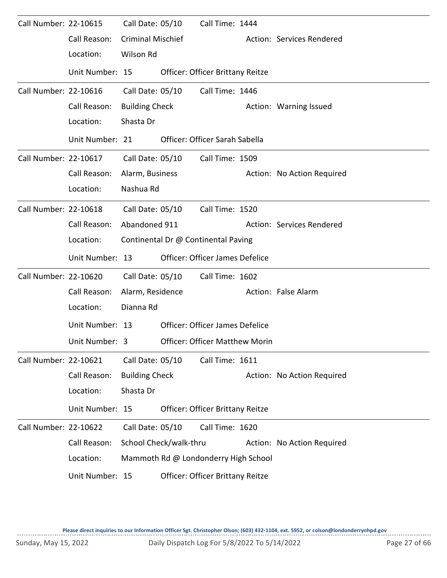| Call Number: 22-10615 |                 | Call Date: 05/10         | Call Time: 1444                        |                            |
|-----------------------|-----------------|--------------------------|----------------------------------------|----------------------------|
|                       | Call Reason:    | <b>Criminal Mischief</b> |                                        | Action: Services Rendered  |
|                       | Location:       | Wilson Rd                |                                        |                            |
|                       | Unit Number: 15 |                          | Officer: Officer Brittany Reitze       |                            |
| Call Number: 22-10616 |                 | Call Date: 05/10         | Call Time: 1446                        |                            |
|                       | Call Reason:    | <b>Building Check</b>    |                                        | Action: Warning Issued     |
|                       | Location:       | Shasta Dr                |                                        |                            |
|                       | Unit Number: 21 |                          | Officer: Officer Sarah Sabella         |                            |
| Call Number: 22-10617 |                 | Call Date: 05/10         | Call Time: 1509                        |                            |
|                       | Call Reason:    | Alarm, Business          |                                        | Action: No Action Required |
|                       | Location:       | Nashua Rd                |                                        |                            |
| Call Number: 22-10618 |                 | Call Date: 05/10         | Call Time: 1520                        |                            |
|                       | Call Reason:    | Abandoned 911            |                                        | Action: Services Rendered  |
|                       | Location:       |                          | Continental Dr @ Continental Paving    |                            |
|                       |                 |                          |                                        |                            |
|                       | Unit Number: 13 |                          | Officer: Officer James Defelice        |                            |
| Call Number: 22-10620 |                 | Call Date: 05/10         | Call Time: 1602                        |                            |
|                       | Call Reason:    | Alarm, Residence         |                                        | Action: False Alarm        |
|                       | Location:       | Dianna Rd                |                                        |                            |
|                       | Unit Number: 13 |                          | <b>Officer: Officer James Defelice</b> |                            |
|                       | Unit Number: 3  |                          | <b>Officer: Officer Matthew Morin</b>  |                            |
| Call Number: 22-10621 |                 | Call Date: 05/10         | Call Time: 1611                        |                            |
|                       | Call Reason:    | <b>Building Check</b>    |                                        | Action: No Action Required |
|                       | Location:       | Shasta Dr                |                                        |                            |
|                       | Unit Number: 15 |                          | Officer: Officer Brittany Reitze       |                            |
| Call Number: 22-10622 |                 | Call Date: 05/10         | Call Time: 1620                        |                            |
|                       | Call Reason:    | School Check/walk-thru   |                                        | Action: No Action Required |
|                       | Location:       |                          | Mammoth Rd @ Londonderry High School   |                            |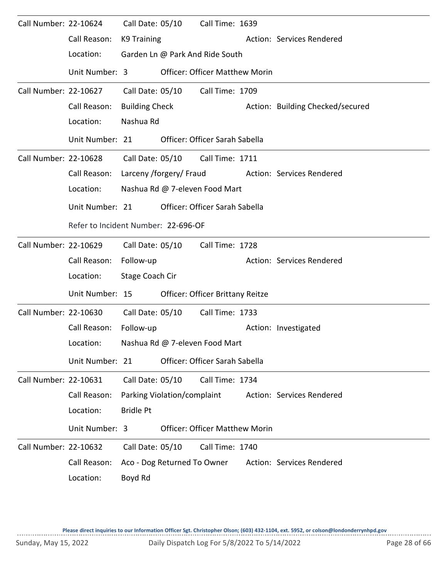| Call Number: 22-10624 |                                     |                       | Call Date: 05/10            | Call Time: 1639                       |                                  |
|-----------------------|-------------------------------------|-----------------------|-----------------------------|---------------------------------------|----------------------------------|
|                       | Call Reason:<br>Location:           | <b>K9 Training</b>    |                             |                                       | Action: Services Rendered        |
|                       |                                     |                       |                             | Garden Ln @ Park And Ride South       |                                  |
|                       | Unit Number: 3                      |                       |                             | <b>Officer: Officer Matthew Morin</b> |                                  |
| Call Number: 22-10627 |                                     | Call Date: 05/10      |                             | Call Time: 1709                       |                                  |
|                       | Call Reason:                        | <b>Building Check</b> |                             |                                       | Action: Building Checked/secured |
|                       | Location:                           | Nashua Rd             |                             |                                       |                                  |
|                       | Unit Number: 21                     |                       |                             | Officer: Officer Sarah Sabella        |                                  |
| Call Number: 22-10628 |                                     |                       |                             | Call Date: 05/10 Call Time: 1711      |                                  |
|                       | Call Reason:                        |                       | Larceny /forgery/ Fraud     |                                       | Action: Services Rendered        |
|                       | Location:                           |                       |                             | Nashua Rd @ 7-eleven Food Mart        |                                  |
|                       | Unit Number: 21                     |                       |                             | Officer: Officer Sarah Sabella        |                                  |
|                       | Refer to Incident Number: 22-696-OF |                       |                             |                                       |                                  |
| Call Number: 22-10629 |                                     | Call Date: 05/10      |                             | Call Time: 1728                       |                                  |
|                       | Call Reason:                        | Follow-up             |                             |                                       | Action: Services Rendered        |
|                       | Location:                           | Stage Coach Cir       |                             |                                       |                                  |
|                       | Unit Number: 15                     |                       |                             | Officer: Officer Brittany Reitze      |                                  |
| Call Number: 22-10630 |                                     | Call Date: 05/10      |                             | Call Time: 1733                       |                                  |
|                       | Call Reason:                        | Follow-up             |                             |                                       | Action: Investigated             |
|                       | Location:                           |                       |                             | Nashua Rd @ 7-eleven Food Mart        |                                  |
|                       | Unit Number: 21                     |                       |                             | Officer: Officer Sarah Sabella        |                                  |
| Call Number: 22-10631 |                                     | Call Date: 05/10      |                             | Call Time: 1734                       |                                  |
|                       | Call Reason:                        |                       | Parking Violation/complaint |                                       | Action: Services Rendered        |
|                       | Location:                           | <b>Bridle Pt</b>      |                             |                                       |                                  |
|                       | Unit Number: 3                      |                       |                             | <b>Officer: Officer Matthew Morin</b> |                                  |
| Call Number: 22-10632 |                                     | Call Date: 05/10      |                             | Call Time: 1740                       |                                  |
|                       | Call Reason:                        |                       | Aco - Dog Returned To Owner |                                       | Action: Services Rendered        |
|                       | Location:                           | Boyd Rd               |                             |                                       |                                  |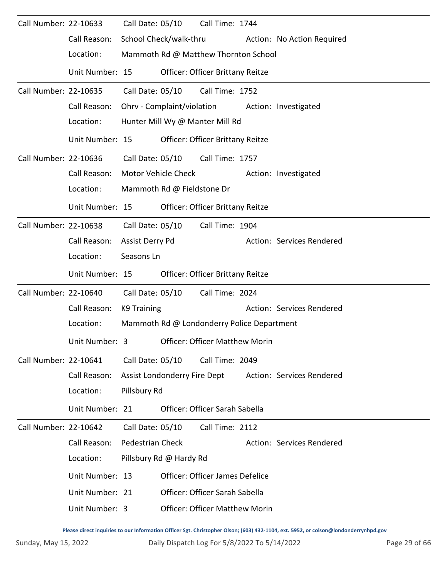| Call Number: 22-10633 |                 | Call Date: 05/10        |                              | Call Time: 1744                            |                            |
|-----------------------|-----------------|-------------------------|------------------------------|--------------------------------------------|----------------------------|
|                       | Call Reason:    |                         | School Check/walk-thru       |                                            | Action: No Action Required |
|                       | Location:       |                         |                              | Mammoth Rd @ Matthew Thornton School       |                            |
|                       | Unit Number: 15 |                         |                              | <b>Officer: Officer Brittany Reitze</b>    |                            |
| Call Number: 22-10635 |                 | Call Date: 05/10        |                              | Call Time: 1752                            |                            |
|                       | Call Reason:    |                         |                              | Ohrv - Complaint/violation                 | Action: Investigated       |
|                       | Location:       |                         |                              | Hunter Mill Wy @ Manter Mill Rd            |                            |
|                       | Unit Number: 15 |                         |                              | <b>Officer: Officer Brittany Reitze</b>    |                            |
| Call Number: 22-10636 |                 |                         |                              | Call Date: 05/10 Call Time: 1757           |                            |
|                       | Call Reason:    |                         | Motor Vehicle Check          |                                            | Action: Investigated       |
|                       | Location:       |                         | Mammoth Rd @ Fieldstone Dr   |                                            |                            |
|                       | Unit Number: 15 |                         |                              | Officer: Officer Brittany Reitze           |                            |
| Call Number: 22-10638 |                 |                         | Call Date: 05/10             | Call Time: 1904                            |                            |
|                       | Call Reason:    | Assist Derry Pd         |                              |                                            | Action: Services Rendered  |
|                       | Location:       | Seasons Ln              |                              |                                            |                            |
|                       | Unit Number: 15 |                         |                              | Officer: Officer Brittany Reitze           |                            |
| Call Number: 22-10640 |                 | Call Date: 05/10        |                              | Call Time: 2024                            |                            |
|                       | Call Reason:    | K9 Training             |                              |                                            | Action: Services Rendered  |
|                       | Location:       |                         |                              | Mammoth Rd @ Londonderry Police Department |                            |
|                       | Unit Number: 3  |                         |                              | <b>Officer: Officer Matthew Morin</b>      |                            |
| Call Number: 22-10641 |                 | Call Date: 05/10        |                              | Call Time: 2049                            |                            |
|                       | Call Reason:    |                         | Assist Londonderry Fire Dept |                                            | Action: Services Rendered  |
|                       | Location:       | Pillsbury Rd            |                              |                                            |                            |
|                       | Unit Number: 21 |                         |                              | Officer: Officer Sarah Sabella             |                            |
| Call Number: 22-10642 |                 | Call Date: 05/10        |                              | Call Time: 2112                            |                            |
|                       | Call Reason:    | <b>Pedestrian Check</b> |                              |                                            | Action: Services Rendered  |
|                       | Location:       |                         | Pillsbury Rd @ Hardy Rd      |                                            |                            |
|                       | Unit Number: 13 |                         |                              | <b>Officer: Officer James Defelice</b>     |                            |
|                       | Unit Number: 21 |                         |                              | Officer: Officer Sarah Sabella             |                            |
|                       | Unit Number: 3  |                         |                              | <b>Officer: Officer Matthew Morin</b>      |                            |
|                       |                 |                         |                              |                                            |                            |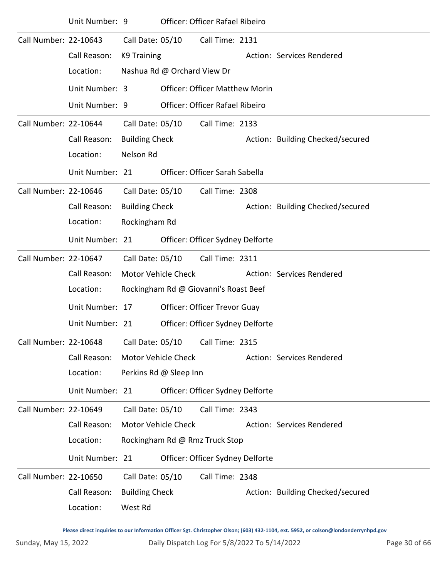|                       | Unit Number: 9  |                            |                             | Officer: Officer Rafael Ribeiro        |                                  |
|-----------------------|-----------------|----------------------------|-----------------------------|----------------------------------------|----------------------------------|
| Call Number: 22-10643 |                 | Call Date: 05/10           |                             | Call Time: 2131                        |                                  |
|                       | Call Reason:    | K9 Training                |                             |                                        | Action: Services Rendered        |
|                       | Location:       |                            | Nashua Rd @ Orchard View Dr |                                        |                                  |
|                       | Unit Number: 3  |                            |                             | <b>Officer: Officer Matthew Morin</b>  |                                  |
|                       | Unit Number: 9  |                            |                             | <b>Officer: Officer Rafael Ribeiro</b> |                                  |
| Call Number: 22-10644 |                 | Call Date: 05/10           |                             | Call Time: 2133                        |                                  |
|                       | Call Reason:    | <b>Building Check</b>      |                             |                                        | Action: Building Checked/secured |
|                       | Location:       | Nelson Rd                  |                             |                                        |                                  |
|                       | Unit Number: 21 |                            |                             | Officer: Officer Sarah Sabella         |                                  |
| Call Number: 22-10646 |                 | Call Date: 05/10           |                             | Call Time: 2308                        |                                  |
|                       | Call Reason:    | <b>Building Check</b>      |                             |                                        | Action: Building Checked/secured |
|                       | Location:       | Rockingham Rd              |                             |                                        |                                  |
|                       | Unit Number: 21 |                            |                             | Officer: Officer Sydney Delforte       |                                  |
| Call Number: 22-10647 |                 | Call Date: 05/10           |                             | Call Time: 2311                        |                                  |
|                       |                 |                            |                             |                                        |                                  |
|                       | Call Reason:    | <b>Motor Vehicle Check</b> |                             |                                        | Action: Services Rendered        |
|                       | Location:       |                            |                             | Rockingham Rd @ Giovanni's Roast Beef  |                                  |
|                       | Unit Number: 17 |                            |                             | Officer: Officer Trevor Guay           |                                  |
|                       | Unit Number: 21 |                            |                             | Officer: Officer Sydney Delforte       |                                  |
| Call Number: 22-10648 |                 | Call Date: 05/10           |                             | Call Time: 2315                        |                                  |
|                       | Call Reason:    | Motor Vehicle Check        |                             |                                        | Action: Services Rendered        |
|                       | Location:       |                            | Perkins Rd @ Sleep Inn      |                                        |                                  |
|                       | Unit Number: 21 |                            |                             | Officer: Officer Sydney Delforte       |                                  |
| Call Number: 22-10649 |                 | Call Date: 05/10           |                             | Call Time: 2343                        |                                  |
|                       | Call Reason:    | <b>Motor Vehicle Check</b> |                             |                                        | Action: Services Rendered        |
|                       | Location:       |                            |                             | Rockingham Rd @ Rmz Truck Stop         |                                  |
|                       | Unit Number: 21 |                            |                             | Officer: Officer Sydney Delforte       |                                  |
| Call Number: 22-10650 |                 | Call Date: 05/10           |                             | Call Time: 2348                        |                                  |
|                       | Call Reason:    | <b>Building Check</b>      |                             |                                        | Action: Building Checked/secured |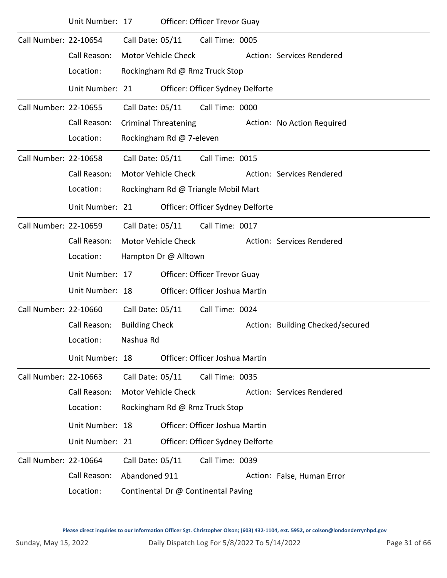|                       | Unit Number: 17 |                       |                             | Officer: Officer Trevor Guay        |                                  |
|-----------------------|-----------------|-----------------------|-----------------------------|-------------------------------------|----------------------------------|
| Call Number: 22-10654 |                 | Call Date: 05/11      |                             | Call Time: 0005                     |                                  |
|                       | Call Reason:    |                       | <b>Motor Vehicle Check</b>  |                                     | Action: Services Rendered        |
|                       | Location:       |                       |                             | Rockingham Rd @ Rmz Truck Stop      |                                  |
|                       | Unit Number: 21 |                       |                             | Officer: Officer Sydney Delforte    |                                  |
| Call Number: 22-10655 |                 | Call Date: 05/11      |                             | Call Time: 0000                     |                                  |
|                       | Call Reason:    |                       | <b>Criminal Threatening</b> |                                     | Action: No Action Required       |
|                       | Location:       |                       | Rockingham Rd @ 7-eleven    |                                     |                                  |
| Call Number: 22-10658 |                 | Call Date: 05/11      |                             | Call Time: 0015                     |                                  |
|                       | Call Reason:    |                       | <b>Motor Vehicle Check</b>  |                                     | Action: Services Rendered        |
|                       | Location:       |                       |                             | Rockingham Rd @ Triangle Mobil Mart |                                  |
|                       | Unit Number: 21 |                       |                             | Officer: Officer Sydney Delforte    |                                  |
| Call Number: 22-10659 |                 | Call Date: 05/11      |                             | Call Time: 0017                     |                                  |
|                       | Call Reason:    |                       | <b>Motor Vehicle Check</b>  |                                     | Action: Services Rendered        |
|                       | Location:       |                       | Hampton Dr @ Alltown        |                                     |                                  |
|                       | Unit Number: 17 |                       |                             | <b>Officer: Officer Trevor Guay</b> |                                  |
|                       | Unit Number: 18 |                       |                             | Officer: Officer Joshua Martin      |                                  |
| Call Number: 22-10660 |                 | Call Date: 05/11      |                             | Call Time: 0024                     |                                  |
|                       | Call Reason:    | <b>Building Check</b> |                             |                                     | Action: Building Checked/secured |
|                       | Location:       | Nashua Rd             |                             |                                     |                                  |
|                       | Unit Number: 18 |                       |                             | Officer: Officer Joshua Martin      |                                  |
| Call Number: 22-10663 |                 | Call Date: 05/11      |                             | Call Time: 0035                     |                                  |
|                       | Call Reason:    |                       | Motor Vehicle Check         |                                     | Action: Services Rendered        |
|                       | Location:       |                       |                             | Rockingham Rd @ Rmz Truck Stop      |                                  |
|                       | Unit Number: 18 |                       |                             | Officer: Officer Joshua Martin      |                                  |
|                       | Unit Number: 21 |                       |                             | Officer: Officer Sydney Delforte    |                                  |
| Call Number: 22-10664 |                 | Call Date: 05/11      |                             | Call Time: 0039                     |                                  |
|                       | Call Reason:    | Abandoned 911         |                             |                                     | Action: False, Human Error       |
|                       | Location:       |                       |                             | Continental Dr @ Continental Paving |                                  |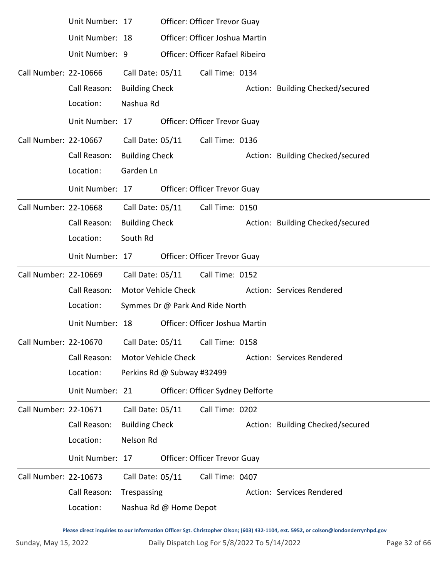|                       | Unit Number: 17                                              |                       |                            | Officer: Officer Trevor Guay        |                                  |
|-----------------------|--------------------------------------------------------------|-----------------------|----------------------------|-------------------------------------|----------------------------------|
|                       | Unit Number: 18                                              |                       |                            | Officer: Officer Joshua Martin      |                                  |
|                       | Unit Number: 9                                               |                       |                            | Officer: Officer Rafael Ribeiro     |                                  |
| Call Number: 22-10666 |                                                              | Call Date: 05/11      |                            | Call Time: 0134                     |                                  |
|                       | Call Reason:                                                 | <b>Building Check</b> |                            |                                     | Action: Building Checked/secured |
|                       | Location:                                                    | Nashua Rd             |                            |                                     |                                  |
|                       | Unit Number: 17                                              |                       |                            | <b>Officer: Officer Trevor Guay</b> |                                  |
| Call Number: 22-10667 |                                                              | Call Date: 05/11      |                            | Call Time: 0136                     |                                  |
|                       | Call Reason:                                                 | <b>Building Check</b> |                            |                                     | Action: Building Checked/secured |
|                       | Location:                                                    | Garden Ln             |                            |                                     |                                  |
|                       | Unit Number: 17                                              |                       |                            | Officer: Officer Trevor Guay        |                                  |
| Call Number: 22-10668 |                                                              | Call Date: 05/11      |                            | Call Time: 0150                     |                                  |
|                       | Call Reason:                                                 | <b>Building Check</b> |                            |                                     | Action: Building Checked/secured |
|                       | Location:                                                    | South Rd              |                            |                                     |                                  |
|                       | Unit Number: 17                                              |                       |                            | Officer: Officer Trevor Guay        |                                  |
| Call Number: 22-10669 |                                                              | Call Date: 05/11      |                            | Call Time: 0152                     |                                  |
|                       | Call Reason:                                                 |                       | <b>Motor Vehicle Check</b> |                                     | Action: Services Rendered        |
|                       | Location:                                                    |                       |                            | Symmes Dr @ Park And Ride North     |                                  |
|                       | Unit Number: 18                                              |                       |                            | Officer: Officer Joshua Martin      |                                  |
|                       | Call Number: 22-10670    Call Date: 05/11    Call Time: 0158 |                       |                            |                                     |                                  |
|                       | Call Reason:                                                 |                       | Motor Vehicle Check        |                                     | Action: Services Rendered        |
|                       | Location:                                                    |                       | Perkins Rd @ Subway #32499 |                                     |                                  |
|                       | Unit Number: 21                                              |                       |                            | Officer: Officer Sydney Delforte    |                                  |
| Call Number: 22-10671 |                                                              | Call Date: 05/11      |                            | Call Time: 0202                     |                                  |
|                       | Call Reason:                                                 | <b>Building Check</b> |                            |                                     | Action: Building Checked/secured |
|                       | Location:                                                    | Nelson Rd             |                            |                                     |                                  |
|                       | Unit Number: 17                                              |                       |                            | Officer: Officer Trevor Guay        |                                  |
| Call Number: 22-10673 |                                                              | Call Date: 05/11      |                            | Call Time: 0407                     |                                  |
|                       | Call Reason:                                                 | Trespassing           |                            |                                     | Action: Services Rendered        |
|                       | Location:                                                    |                       | Nashua Rd @ Home Depot     |                                     |                                  |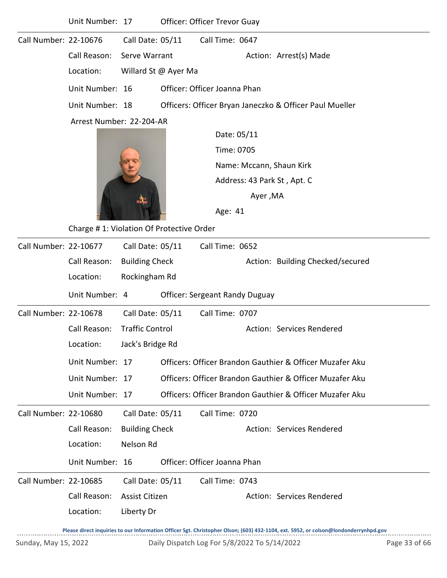|                       | Unit Number: 17          |                        | Officer: Officer Trevor Guay             |                 |          |                                                          |
|-----------------------|--------------------------|------------------------|------------------------------------------|-----------------|----------|----------------------------------------------------------|
| Call Number: 22-10676 |                          | Call Date: 05/11       |                                          | Call Time: 0647 |          |                                                          |
|                       | Call Reason:             | Serve Warrant          |                                          |                 |          | Action: Arrest(s) Made                                   |
|                       | Location:                |                        | Willard St @ Ayer Ma                     |                 |          |                                                          |
|                       | Unit Number: 16          |                        | Officer: Officer Joanna Phan             |                 |          |                                                          |
|                       | Unit Number: 18          |                        |                                          |                 |          | Officers: Officer Bryan Janeczko & Officer Paul Mueller  |
|                       | Arrest Number: 22-204-AR |                        |                                          |                 |          |                                                          |
|                       |                          |                        |                                          | Date: 05/11     |          |                                                          |
|                       |                          |                        |                                          | Time: 0705      |          |                                                          |
|                       |                          |                        |                                          |                 |          | Name: Mccann, Shaun Kirk                                 |
|                       |                          |                        |                                          |                 |          | Address: 43 Park St, Apt. C                              |
|                       |                          |                        |                                          |                 | Ayer, MA |                                                          |
|                       |                          |                        |                                          | Age: 41         |          |                                                          |
|                       |                          |                        | Charge #1: Violation Of Protective Order |                 |          |                                                          |
| Call Number: 22-10677 |                          | Call Date: 05/11       |                                          | Call Time: 0652 |          |                                                          |
|                       | Call Reason:             | <b>Building Check</b>  |                                          |                 |          | Action: Building Checked/secured                         |
|                       | Location:                | Rockingham Rd          |                                          |                 |          |                                                          |
|                       | Unit Number: 4           |                        | <b>Officer: Sergeant Randy Duguay</b>    |                 |          |                                                          |
| Call Number: 22-10678 |                          | Call Date: 05/11       |                                          | Call Time: 0707 |          |                                                          |
|                       | Call Reason:             | <b>Traffic Control</b> |                                          |                 |          | Action: Services Rendered                                |
|                       | Location:                | Jack's Bridge Rd       |                                          |                 |          |                                                          |
|                       | Unit Number: 17          |                        |                                          |                 |          | Officers: Officer Brandon Gauthier & Officer Muzafer Aku |
|                       | Unit Number: 17          |                        |                                          |                 |          | Officers: Officer Brandon Gauthier & Officer Muzafer Aku |
|                       | Unit Number: 17          |                        |                                          |                 |          | Officers: Officer Brandon Gauthier & Officer Muzafer Aku |
| Call Number: 22-10680 |                          | Call Date: 05/11       |                                          | Call Time: 0720 |          |                                                          |
|                       | Call Reason:             | <b>Building Check</b>  |                                          |                 |          | Action: Services Rendered                                |
|                       | Location:                | Nelson Rd              |                                          |                 |          |                                                          |
|                       | Unit Number: 16          |                        | Officer: Officer Joanna Phan             |                 |          |                                                          |
| Call Number: 22-10685 |                          | Call Date: 05/11       |                                          | Call Time: 0743 |          |                                                          |
|                       | Call Reason:             | Assist Citizen         |                                          |                 |          | Action: Services Rendered                                |
|                       | Location:                | Liberty Dr             |                                          |                 |          |                                                          |
|                       |                          |                        |                                          |                 |          |                                                          |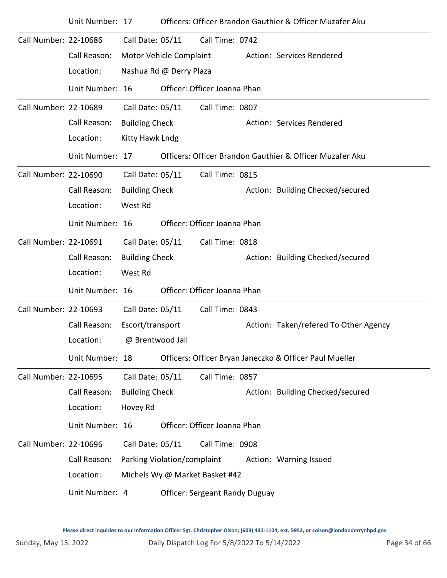|                       | Unit Number: 17 |                             |                         |                                       | Officers: Officer Brandon Gauthier & Officer Muzafer Aku |
|-----------------------|-----------------|-----------------------------|-------------------------|---------------------------------------|----------------------------------------------------------|
| Call Number: 22-10686 |                 | Call Date: 05/11            |                         | Call Time: 0742                       |                                                          |
|                       | Call Reason:    | Motor Vehicle Complaint     |                         |                                       | Action: Services Rendered                                |
|                       | Location:       |                             | Nashua Rd @ Derry Plaza |                                       |                                                          |
|                       | Unit Number: 16 |                             |                         | Officer: Officer Joanna Phan          |                                                          |
| Call Number: 22-10689 |                 | Call Date: 05/11            |                         | Call Time: 0807                       |                                                          |
|                       | Call Reason:    | <b>Building Check</b>       |                         |                                       | Action: Services Rendered                                |
|                       | Location:       | Kitty Hawk Lndg             |                         |                                       |                                                          |
|                       | Unit Number: 17 |                             |                         |                                       | Officers: Officer Brandon Gauthier & Officer Muzafer Aku |
| Call Number: 22-10690 |                 | Call Date: 05/11            |                         | Call Time: 0815                       |                                                          |
|                       | Call Reason:    | <b>Building Check</b>       |                         |                                       | Action: Building Checked/secured                         |
|                       | Location:       | West Rd                     |                         |                                       |                                                          |
|                       | Unit Number: 16 |                             |                         | Officer: Officer Joanna Phan          |                                                          |
| Call Number: 22-10691 |                 | Call Date: 05/11            |                         | Call Time: 0818                       |                                                          |
|                       | Call Reason:    | <b>Building Check</b>       |                         |                                       | Action: Building Checked/secured                         |
|                       | Location:       | West Rd                     |                         |                                       |                                                          |
|                       | Unit Number: 16 |                             |                         | Officer: Officer Joanna Phan          |                                                          |
| Call Number: 22-10693 |                 | Call Date: 05/11            |                         | Call Time: 0843                       |                                                          |
|                       | Call Reason:    | Escort/transport            |                         |                                       | Action: Taken/refered To Other Agency                    |
|                       | Location:       | @ Brentwood Jail            |                         |                                       |                                                          |
|                       | Unit Number: 18 |                             |                         |                                       | Officers: Officer Bryan Janeczko & Officer Paul Mueller  |
| Call Number: 22-10695 |                 | Call Date: 05/11            |                         | Call Time: 0857                       |                                                          |
|                       | Call Reason:    | <b>Building Check</b>       |                         |                                       | Action: Building Checked/secured                         |
|                       | Location:       | Hovey Rd                    |                         |                                       |                                                          |
|                       | Unit Number: 16 |                             |                         | Officer: Officer Joanna Phan          |                                                          |
| Call Number: 22-10696 |                 | Call Date: 05/11            |                         | Call Time: 0908                       |                                                          |
|                       | Call Reason:    | Parking Violation/complaint |                         |                                       | Action: Warning Issued                                   |
|                       | Location:       |                             |                         | Michels Wy @ Market Basket #42        |                                                          |
|                       | Unit Number: 4  |                             |                         | <b>Officer: Sergeant Randy Duguay</b> |                                                          |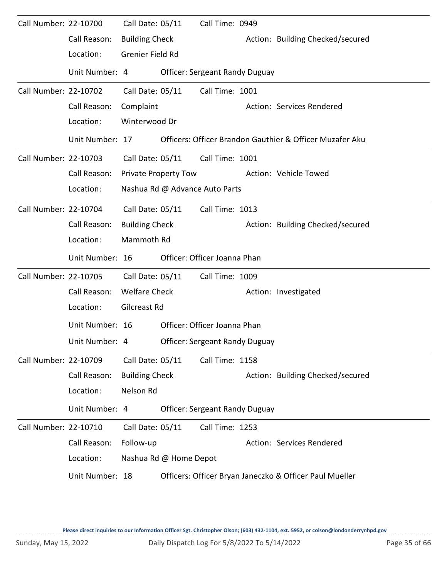| Call Number: 22-10700 |                 | Call Date: 05/11      |                             | Call Time: 0949                       |                                                          |
|-----------------------|-----------------|-----------------------|-----------------------------|---------------------------------------|----------------------------------------------------------|
|                       | Call Reason:    | <b>Building Check</b> |                             |                                       | Action: Building Checked/secured                         |
|                       | Location:       | Grenier Field Rd      |                             |                                       |                                                          |
|                       | Unit Number: 4  |                       |                             | <b>Officer: Sergeant Randy Duguay</b> |                                                          |
| Call Number: 22-10702 |                 | Call Date: 05/11      |                             | Call Time: 1001                       |                                                          |
|                       | Call Reason:    | Complaint             |                             |                                       | Action: Services Rendered                                |
|                       | Location:       | Winterwood Dr         |                             |                                       |                                                          |
|                       | Unit Number: 17 |                       |                             |                                       | Officers: Officer Brandon Gauthier & Officer Muzafer Aku |
| Call Number: 22-10703 |                 | Call Date: 05/11      |                             | Call Time: 1001                       |                                                          |
|                       | Call Reason:    |                       | <b>Private Property Tow</b> |                                       | Action: Vehicle Towed                                    |
|                       | Location:       |                       |                             | Nashua Rd @ Advance Auto Parts        |                                                          |
| Call Number: 22-10704 |                 | Call Date: 05/11      |                             | Call Time: 1013                       |                                                          |
|                       | Call Reason:    | <b>Building Check</b> |                             |                                       | Action: Building Checked/secured                         |
|                       | Location:       | Mammoth Rd            |                             |                                       |                                                          |
|                       |                 |                       |                             |                                       |                                                          |
|                       | Unit Number: 16 |                       |                             | Officer: Officer Joanna Phan          |                                                          |
| Call Number: 22-10705 |                 | Call Date: 05/11      |                             | Call Time: 1009                       |                                                          |
|                       | Call Reason:    | <b>Welfare Check</b>  |                             |                                       | Action: Investigated                                     |
|                       | Location:       | Gilcreast Rd          |                             |                                       |                                                          |
|                       | Unit Number: 16 |                       |                             | Officer: Officer Joanna Phan          |                                                          |
|                       | Unit Number: 4  |                       |                             | <b>Officer: Sergeant Randy Duguay</b> |                                                          |
| Call Number: 22-10709 |                 | Call Date: 05/11      |                             | Call Time: 1158                       |                                                          |
|                       | Call Reason:    | <b>Building Check</b> |                             |                                       | Action: Building Checked/secured                         |
|                       | Location:       | Nelson Rd             |                             |                                       |                                                          |
|                       | Unit Number: 4  |                       |                             | <b>Officer: Sergeant Randy Duguay</b> |                                                          |
| Call Number: 22-10710 |                 | Call Date: 05/11      |                             | Call Time: 1253                       |                                                          |
|                       | Call Reason:    | Follow-up             |                             |                                       | Action: Services Rendered                                |
|                       | Location:       |                       | Nashua Rd @ Home Depot      |                                       |                                                          |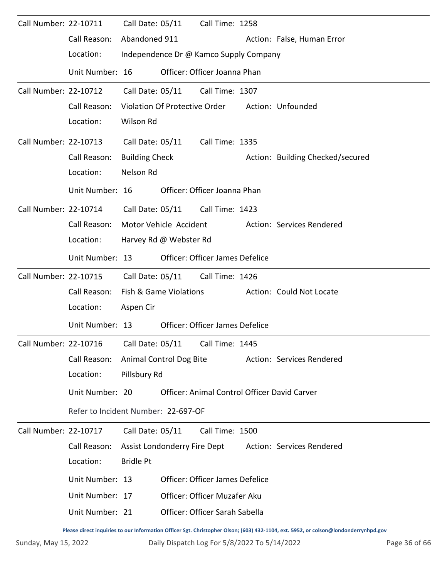| Call Number: 22-10711 |                                     | Call Date: 05/11                       | Call Time: 1258                        |                                                                                                                                     |
|-----------------------|-------------------------------------|----------------------------------------|----------------------------------------|-------------------------------------------------------------------------------------------------------------------------------------|
|                       | Call Reason:                        | Abandoned 911                          |                                        | Action: False, Human Error                                                                                                          |
|                       | Location:                           | Independence Dr @ Kamco Supply Company |                                        |                                                                                                                                     |
|                       | Unit Number: 16                     |                                        | Officer: Officer Joanna Phan           |                                                                                                                                     |
| Call Number: 22-10712 |                                     | Call Date: 05/11 Call Time: 1307       |                                        |                                                                                                                                     |
|                       | Call Reason:                        | Violation Of Protective Order          |                                        | Action: Unfounded                                                                                                                   |
|                       | Location:                           | Wilson Rd                              |                                        |                                                                                                                                     |
| Call Number: 22-10713 |                                     | Call Date: 05/11                       | Call Time: 1335                        |                                                                                                                                     |
|                       | Call Reason:                        | <b>Building Check</b>                  |                                        | Action: Building Checked/secured                                                                                                    |
|                       | Location:                           | Nelson Rd                              |                                        |                                                                                                                                     |
|                       | Unit Number: 16                     |                                        | Officer: Officer Joanna Phan           |                                                                                                                                     |
| Call Number: 22-10714 |                                     | Call Date: 05/11 Call Time: 1423       |                                        |                                                                                                                                     |
|                       | Call Reason:                        | Motor Vehicle Accident                 |                                        | Action: Services Rendered                                                                                                           |
|                       | Location:                           | Harvey Rd @ Webster Rd                 |                                        |                                                                                                                                     |
|                       | Unit Number: 13                     |                                        | <b>Officer: Officer James Defelice</b> |                                                                                                                                     |
| Call Number: 22-10715 |                                     | Call Date: 05/11                       | Call Time: 1426                        |                                                                                                                                     |
|                       | Call Reason:                        | Fish & Game Violations                 |                                        | Action: Could Not Locate                                                                                                            |
|                       | Location:                           | Aspen Cir                              |                                        |                                                                                                                                     |
|                       | Unit Number: 13                     |                                        | Officer: Officer James Defelice        |                                                                                                                                     |
| Call Number: 22-10716 |                                     | Call Date: 05/11 Call Time: 1445       |                                        |                                                                                                                                     |
|                       | Call Reason:                        | Animal Control Dog Bite                |                                        | Action: Services Rendered                                                                                                           |
|                       | Location:                           | Pillsbury Rd                           |                                        |                                                                                                                                     |
|                       | Unit Number: 20                     |                                        |                                        | Officer: Animal Control Officer David Carver                                                                                        |
|                       | Refer to Incident Number: 22-697-OF |                                        |                                        |                                                                                                                                     |
| Call Number: 22-10717 |                                     | Call Date: 05/11                       | Call Time: 1500                        |                                                                                                                                     |
|                       | Call Reason:                        | Assist Londonderry Fire Dept           |                                        | Action: Services Rendered                                                                                                           |
|                       | Location:                           | <b>Bridle Pt</b>                       |                                        |                                                                                                                                     |
|                       | Unit Number: 13                     |                                        | Officer: Officer James Defelice        |                                                                                                                                     |
|                       | Unit Number: 17                     |                                        | Officer: Officer Muzafer Aku           |                                                                                                                                     |
|                       | Unit Number: 21                     |                                        | Officer: Officer Sarah Sabella         |                                                                                                                                     |
|                       |                                     |                                        |                                        | Please direct inquiries to our Information Officer Sgt. Christopher Olson; (603) 432-1104, ext. 5952, or colson@londonderrynhpd.gov |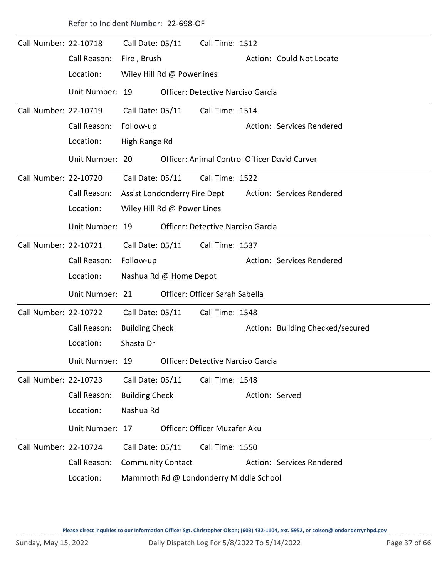| Refer to Incident Number: 22-698-OF |  |
|-------------------------------------|--|
|-------------------------------------|--|

| Call Number: 22-10718 |                                                   | Call Date: 05/11         |                             | Call Time: 1512                          |                |                                                        |
|-----------------------|---------------------------------------------------|--------------------------|-----------------------------|------------------------------------------|----------------|--------------------------------------------------------|
|                       | Call Reason:                                      | Fire, Brush              |                             |                                          |                | Action: Could Not Locate                               |
|                       | Location:                                         |                          | Wiley Hill Rd @ Powerlines  |                                          |                |                                                        |
|                       | Unit Number: 19                                   |                          |                             | Officer: Detective Narciso Garcia        |                |                                                        |
| Call Number: 22-10719 |                                                   | Call Date: 05/11         |                             | Call Time: 1514                          |                |                                                        |
|                       | Call Reason:                                      | Follow-up                |                             |                                          |                | Action: Services Rendered                              |
|                       | Location:                                         | High Range Rd            |                             |                                          |                |                                                        |
|                       | Unit Number: 20                                   |                          |                             |                                          |                | Officer: Animal Control Officer David Carver           |
| Call Number: 22-10720 |                                                   | Call Date: 05/11         |                             | Call Time: 1522                          |                |                                                        |
|                       | Call Reason:                                      |                          |                             |                                          |                | Assist Londonderry Fire Dept Action: Services Rendered |
|                       | Location:                                         |                          | Wiley Hill Rd @ Power Lines |                                          |                |                                                        |
|                       | Unit Number: 19                                   |                          |                             | <b>Officer: Detective Narciso Garcia</b> |                |                                                        |
| Call Number: 22-10721 |                                                   | Call Date: 05/11         |                             | Call Time: 1537                          |                |                                                        |
|                       | Call Reason:                                      | Follow-up                |                             |                                          |                | Action: Services Rendered                              |
|                       | Location:                                         |                          | Nashua Rd @ Home Depot      |                                          |                |                                                        |
|                       | Unit Number: 21                                   |                          |                             | Officer: Officer Sarah Sabella           |                |                                                        |
| Call Number: 22-10722 |                                                   | Call Date: 05/11         |                             | Call Time: 1548                          |                |                                                        |
|                       | Call Reason:                                      | <b>Building Check</b>    |                             |                                          |                | Action: Building Checked/secured                       |
|                       | Location:                                         | Shasta Dr                |                             |                                          |                |                                                        |
|                       | Unit Number: 19 Officer: Detective Narciso Garcia |                          |                             |                                          |                |                                                        |
| Call Number: 22-10723 |                                                   | Call Date: 05/11         |                             | Call Time: 1548                          |                |                                                        |
|                       | Call Reason:                                      | <b>Building Check</b>    |                             |                                          | Action: Served |                                                        |
|                       | Location:                                         | Nashua Rd                |                             |                                          |                |                                                        |
|                       | Unit Number: 17                                   |                          |                             | Officer: Officer Muzafer Aku             |                |                                                        |
| Call Number: 22-10724 |                                                   | Call Date: 05/11         |                             | Call Time: 1550                          |                |                                                        |
|                       | Call Reason:                                      | <b>Community Contact</b> |                             |                                          |                | Action: Services Rendered                              |
|                       | Location:                                         |                          |                             | Mammoth Rd @ Londonderry Middle School   |                |                                                        |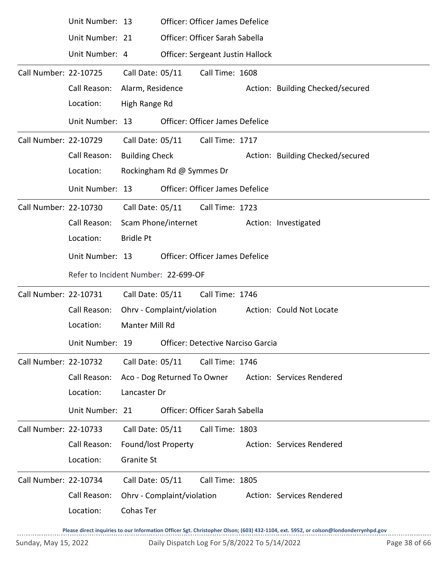|                       | Unit Number: 13                                   |                       |                             | Officer: Officer James Defelice         |                                  |
|-----------------------|---------------------------------------------------|-----------------------|-----------------------------|-----------------------------------------|----------------------------------|
|                       | Unit Number: 21                                   |                       |                             | Officer: Officer Sarah Sabella          |                                  |
|                       | Unit Number: 4                                    |                       |                             | <b>Officer: Sergeant Justin Hallock</b> |                                  |
| Call Number: 22-10725 |                                                   | Call Date: 05/11      |                             | Call Time: 1608                         |                                  |
|                       | Call Reason:                                      | Alarm, Residence      |                             |                                         | Action: Building Checked/secured |
|                       | Location:                                         | High Range Rd         |                             |                                         |                                  |
|                       | Unit Number: 13                                   |                       |                             | Officer: Officer James Defelice         |                                  |
| Call Number: 22-10729 |                                                   |                       |                             | Call Date: 05/11 Call Time: 1717        |                                  |
|                       | Call Reason:                                      | <b>Building Check</b> |                             |                                         | Action: Building Checked/secured |
|                       | Location:                                         |                       | Rockingham Rd @ Symmes Dr   |                                         |                                  |
|                       | Unit Number: 13                                   |                       |                             | Officer: Officer James Defelice         |                                  |
| Call Number: 22-10730 |                                                   | Call Date: 05/11      |                             | Call Time: 1723                         |                                  |
|                       | Call Reason:                                      | Scam Phone/internet   |                             |                                         | Action: Investigated             |
|                       | Location:                                         | <b>Bridle Pt</b>      |                             |                                         |                                  |
|                       | Unit Number: 13                                   |                       |                             | Officer: Officer James Defelice         |                                  |
|                       | Refer to Incident Number: 22-699-OF               |                       |                             |                                         |                                  |
| Call Number: 22-10731 |                                                   |                       | Call Date: 05/11            | Call Time: 1746                         |                                  |
|                       | Call Reason:                                      |                       | Ohrv - Complaint/violation  |                                         | Action: Could Not Locate         |
|                       | Location:                                         | Manter Mill Rd        |                             |                                         |                                  |
|                       | Unit Number: 19 Officer: Detective Narciso Garcia |                       |                             |                                         |                                  |
| Call Number: 22-10732 |                                                   | Call Date: 05/11      |                             | Call Time: 1746                         |                                  |
|                       | Call Reason:                                      |                       | Aco - Dog Returned To Owner |                                         | Action: Services Rendered        |
|                       | Location:                                         | Lancaster Dr          |                             |                                         |                                  |
|                       | Unit Number: 21                                   |                       |                             | Officer: Officer Sarah Sabella          |                                  |
| Call Number: 22-10733 |                                                   | Call Date: 05/11      |                             | Call Time: 1803                         |                                  |
|                       | Call Reason:                                      | Found/lost Property   |                             |                                         | Action: Services Rendered        |
|                       | Location:                                         | <b>Granite St</b>     |                             |                                         |                                  |
| Call Number: 22-10734 |                                                   | Call Date: 05/11      |                             | Call Time: 1805                         |                                  |
|                       | Call Reason:                                      |                       | Ohrv - Complaint/violation  |                                         | Action: Services Rendered        |
|                       | Location:                                         | Cohas Ter             |                             |                                         |                                  |
|                       |                                                   |                       |                             |                                         |                                  |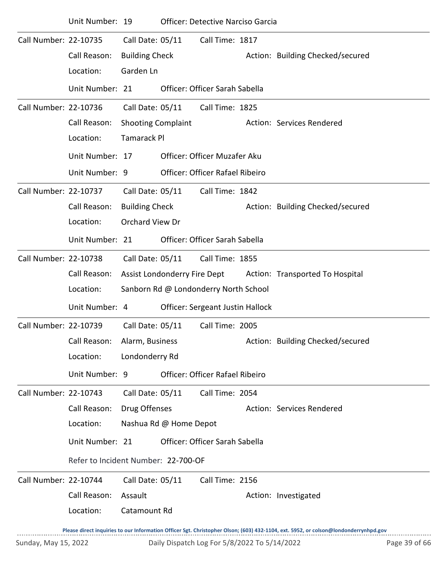|                       | Unit Number: 19                     |                           |                              | <b>Officer: Detective Narciso Garcia</b> |  |                                                                                                                                     |  |  |  |  |
|-----------------------|-------------------------------------|---------------------------|------------------------------|------------------------------------------|--|-------------------------------------------------------------------------------------------------------------------------------------|--|--|--|--|
| Call Number: 22-10735 |                                     | Call Date: 05/11          |                              | Call Time: 1817                          |  |                                                                                                                                     |  |  |  |  |
|                       | Call Reason:                        | <b>Building Check</b>     |                              |                                          |  | Action: Building Checked/secured                                                                                                    |  |  |  |  |
|                       | Location:                           | Garden Ln                 |                              |                                          |  |                                                                                                                                     |  |  |  |  |
|                       | Unit Number: 21                     |                           |                              | Officer: Officer Sarah Sabella           |  |                                                                                                                                     |  |  |  |  |
| Call Number: 22-10736 |                                     | Call Date: 05/11          |                              | Call Time: 1825                          |  |                                                                                                                                     |  |  |  |  |
|                       | Call Reason:                        | <b>Shooting Complaint</b> |                              |                                          |  | Action: Services Rendered                                                                                                           |  |  |  |  |
|                       | Location:                           |                           | <b>Tamarack Pl</b>           |                                          |  |                                                                                                                                     |  |  |  |  |
|                       | Unit Number: 17                     |                           |                              | Officer: Officer Muzafer Aku             |  |                                                                                                                                     |  |  |  |  |
|                       | Unit Number: 9                      |                           |                              | Officer: Officer Rafael Ribeiro          |  |                                                                                                                                     |  |  |  |  |
| Call Number: 22-10737 |                                     | Call Date: 05/11          |                              | Call Time: 1842                          |  |                                                                                                                                     |  |  |  |  |
|                       | Call Reason:                        | <b>Building Check</b>     |                              |                                          |  | Action: Building Checked/secured                                                                                                    |  |  |  |  |
|                       | Location:                           | <b>Orchard View Dr</b>    |                              |                                          |  |                                                                                                                                     |  |  |  |  |
|                       | Unit Number: 21                     |                           |                              | Officer: Officer Sarah Sabella           |  |                                                                                                                                     |  |  |  |  |
| Call Number: 22-10738 |                                     | Call Date: 05/11          |                              | Call Time: 1855                          |  |                                                                                                                                     |  |  |  |  |
|                       | Call Reason:                        |                           | Assist Londonderry Fire Dept |                                          |  | Action: Transported To Hospital                                                                                                     |  |  |  |  |
|                       | Location:                           |                           |                              | Sanborn Rd @ Londonderry North School    |  |                                                                                                                                     |  |  |  |  |
|                       | Unit Number: 4                      |                           |                              | Officer: Sergeant Justin Hallock         |  |                                                                                                                                     |  |  |  |  |
| Call Number: 22-10739 |                                     | Call Date: 05/11          |                              | Call Time: 2005                          |  |                                                                                                                                     |  |  |  |  |
|                       | Call Reason:                        | Alarm, Business           |                              |                                          |  | Action: Building Checked/secured                                                                                                    |  |  |  |  |
|                       | Location:                           | Londonderry Rd            |                              |                                          |  |                                                                                                                                     |  |  |  |  |
|                       | Unit Number: 9                      |                           |                              | Officer: Officer Rafael Ribeiro          |  |                                                                                                                                     |  |  |  |  |
| Call Number: 22-10743 |                                     | Call Date: 05/11          |                              | Call Time: 2054                          |  |                                                                                                                                     |  |  |  |  |
|                       | Call Reason:                        | Drug Offenses             |                              |                                          |  | Action: Services Rendered                                                                                                           |  |  |  |  |
|                       | Location:                           |                           | Nashua Rd @ Home Depot       |                                          |  |                                                                                                                                     |  |  |  |  |
|                       | Unit Number: 21                     |                           |                              | Officer: Officer Sarah Sabella           |  |                                                                                                                                     |  |  |  |  |
|                       | Refer to Incident Number: 22-700-OF |                           |                              |                                          |  |                                                                                                                                     |  |  |  |  |
| Call Number: 22-10744 |                                     | Call Date: 05/11          |                              | Call Time: 2156                          |  |                                                                                                                                     |  |  |  |  |
|                       | Call Reason:                        | Assault                   |                              |                                          |  | Action: Investigated                                                                                                                |  |  |  |  |
|                       | Location:                           | Catamount Rd              |                              |                                          |  |                                                                                                                                     |  |  |  |  |
|                       |                                     |                           |                              |                                          |  | Please direct inquiries to our Information Officer Sgt. Christopher Olson; (603) 432-1104, ext. 5952, or colson@londonderrynhpd.gov |  |  |  |  |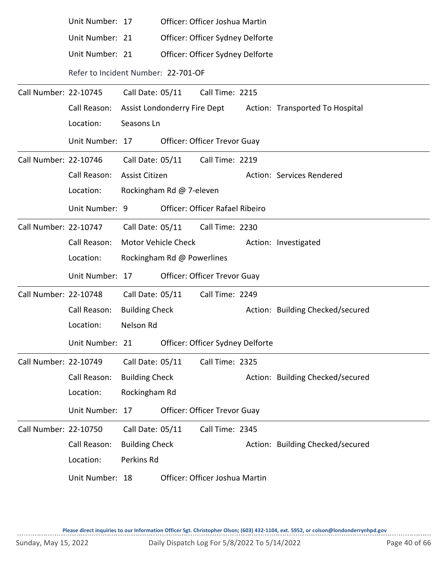|                       | Unit Number: 17                     |                          |                            | Officer: Officer Joshua Martin         |  |                                                              |  |  |  |
|-----------------------|-------------------------------------|--------------------------|----------------------------|----------------------------------------|--|--------------------------------------------------------------|--|--|--|
|                       | Unit Number: 21                     |                          |                            | Officer: Officer Sydney Delforte       |  |                                                              |  |  |  |
|                       | Unit Number: 21                     |                          |                            | Officer: Officer Sydney Delforte       |  |                                                              |  |  |  |
|                       | Refer to Incident Number: 22-701-OF |                          |                            |                                        |  |                                                              |  |  |  |
| Call Number: 22-10745 |                                     | Call Date: 05/11         |                            | Call Time: 2215                        |  |                                                              |  |  |  |
|                       | Call Reason:                        |                          |                            |                                        |  | Assist Londonderry Fire Dept Action: Transported To Hospital |  |  |  |
|                       | Location:                           | Seasons Ln               |                            |                                        |  |                                                              |  |  |  |
|                       | Unit Number: 17                     |                          |                            | <b>Officer: Officer Trevor Guay</b>    |  |                                                              |  |  |  |
| Call Number: 22-10746 |                                     | Call Date: 05/11         |                            | Call Time: 2219                        |  |                                                              |  |  |  |
|                       | Call Reason:                        | <b>Assist Citizen</b>    |                            |                                        |  | Action: Services Rendered                                    |  |  |  |
|                       | Location:                           | Rockingham Rd @ 7-eleven |                            |                                        |  |                                                              |  |  |  |
|                       | Unit Number: 9                      |                          |                            | <b>Officer: Officer Rafael Ribeiro</b> |  |                                                              |  |  |  |
| Call Number: 22-10747 |                                     |                          |                            | Call Date: 05/11 Call Time: 2230       |  |                                                              |  |  |  |
|                       | Call Reason:                        | Motor Vehicle Check      |                            |                                        |  | Action: Investigated                                         |  |  |  |
|                       | Location:                           |                          | Rockingham Rd @ Powerlines |                                        |  |                                                              |  |  |  |
|                       | Unit Number: 17                     |                          |                            | Officer: Officer Trevor Guay           |  |                                                              |  |  |  |
|                       |                                     | Call Date: 05/11         |                            | Call Time: 2249                        |  |                                                              |  |  |  |
| Call Number: 22-10748 |                                     |                          |                            |                                        |  |                                                              |  |  |  |
|                       | Call Reason:                        | <b>Building Check</b>    |                            |                                        |  | Action: Building Checked/secured                             |  |  |  |
|                       | Location:                           | Nelson Rd                |                            |                                        |  |                                                              |  |  |  |
|                       | Unit Number: 21                     |                          |                            | Officer: Officer Sydney Delforte       |  |                                                              |  |  |  |
| Call Number: 22-10749 |                                     | Call Date: 05/11         |                            | Call Time: 2325                        |  |                                                              |  |  |  |
|                       | Call Reason:                        | <b>Building Check</b>    |                            |                                        |  | Action: Building Checked/secured                             |  |  |  |
|                       | Location:                           | Rockingham Rd            |                            |                                        |  |                                                              |  |  |  |
|                       | Unit Number: 17                     |                          |                            | <b>Officer: Officer Trevor Guay</b>    |  |                                                              |  |  |  |
| Call Number: 22-10750 |                                     | Call Date: 05/11         |                            | Call Time: 2345                        |  |                                                              |  |  |  |
|                       | Call Reason:                        | <b>Building Check</b>    |                            |                                        |  | Action: Building Checked/secured                             |  |  |  |
|                       | Location:                           | Perkins Rd               |                            |                                        |  |                                                              |  |  |  |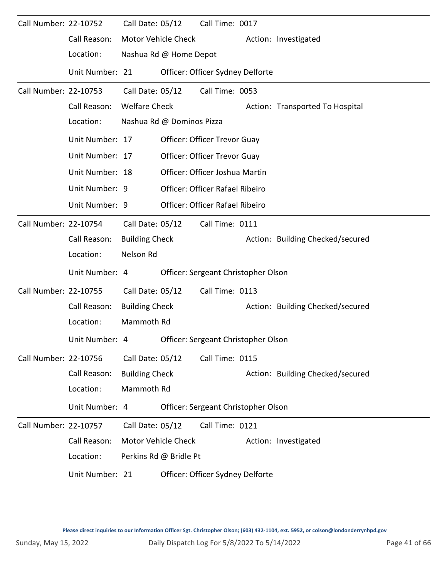| Call Number: 22-10752 |                 | Call Date: 05/12      |                           | Call Time: 0017                        |                                  |
|-----------------------|-----------------|-----------------------|---------------------------|----------------------------------------|----------------------------------|
|                       | Call Reason:    |                       | Motor Vehicle Check       |                                        | Action: Investigated             |
|                       | Location:       |                       | Nashua Rd @ Home Depot    |                                        |                                  |
|                       | Unit Number: 21 |                       |                           | Officer: Officer Sydney Delforte       |                                  |
| Call Number: 22-10753 |                 | Call Date: 05/12      |                           | Call Time: 0053                        |                                  |
|                       | Call Reason:    | <b>Welfare Check</b>  |                           |                                        | Action: Transported To Hospital  |
|                       | Location:       |                       | Nashua Rd @ Dominos Pizza |                                        |                                  |
|                       | Unit Number: 17 |                       |                           | Officer: Officer Trevor Guay           |                                  |
|                       | Unit Number: 17 |                       |                           | Officer: Officer Trevor Guay           |                                  |
|                       | Unit Number: 18 |                       |                           | Officer: Officer Joshua Martin         |                                  |
|                       | Unit Number: 9  |                       |                           | <b>Officer: Officer Rafael Ribeiro</b> |                                  |
|                       | Unit Number: 9  |                       |                           | Officer: Officer Rafael Ribeiro        |                                  |
| Call Number: 22-10754 |                 | Call Date: 05/12      |                           | Call Time: 0111                        |                                  |
|                       | Call Reason:    | <b>Building Check</b> |                           |                                        | Action: Building Checked/secured |
|                       | Location:       | Nelson Rd             |                           |                                        |                                  |
|                       | Unit Number: 4  |                       |                           | Officer: Sergeant Christopher Olson    |                                  |
| Call Number: 22-10755 |                 | Call Date: 05/12      |                           | Call Time: 0113                        |                                  |
|                       | Call Reason:    | <b>Building Check</b> |                           |                                        | Action: Building Checked/secured |
|                       | Location:       | Mammoth Rd            |                           |                                        |                                  |
|                       | Unit Number: 4  |                       |                           | Officer: Sergeant Christopher Olson    |                                  |
| Call Number: 22-10756 |                 | Call Date: 05/12      |                           | Call Time: 0115                        |                                  |
|                       | Call Reason:    | <b>Building Check</b> |                           |                                        | Action: Building Checked/secured |
|                       | Location:       | Mammoth Rd            |                           |                                        |                                  |
|                       | Unit Number: 4  |                       |                           | Officer: Sergeant Christopher Olson    |                                  |
| Call Number: 22-10757 |                 | Call Date: 05/12      |                           | Call Time: 0121                        |                                  |
|                       | Call Reason:    |                       | Motor Vehicle Check       |                                        | Action: Investigated             |
|                       | Location:       |                       | Perkins Rd @ Bridle Pt    |                                        |                                  |
|                       | Unit Number: 21 |                       |                           | Officer: Officer Sydney Delforte       |                                  |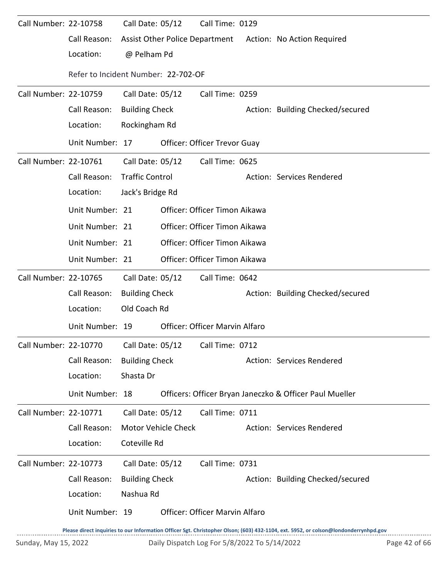| Call Number: 22-10758 |                                     | Call Date: 05/12       | Call Time: 0129                |                                                           |
|-----------------------|-------------------------------------|------------------------|--------------------------------|-----------------------------------------------------------|
|                       | Call Reason:                        |                        |                                | Assist Other Police Department Action: No Action Required |
|                       | Location:                           | @ Pelham Pd            |                                |                                                           |
|                       | Refer to Incident Number: 22-702-OF |                        |                                |                                                           |
| Call Number: 22-10759 |                                     | Call Date: 05/12       | Call Time: 0259                |                                                           |
|                       | Call Reason:                        | <b>Building Check</b>  |                                | Action: Building Checked/secured                          |
|                       | Location:                           | Rockingham Rd          |                                |                                                           |
|                       | Unit Number: 17                     |                        | Officer: Officer Trevor Guay   |                                                           |
| Call Number: 22-10761 |                                     | Call Date: 05/12       | Call Time: 0625                |                                                           |
|                       | Call Reason:                        | <b>Traffic Control</b> |                                | Action: Services Rendered                                 |
|                       | Location:                           | Jack's Bridge Rd       |                                |                                                           |
|                       | Unit Number: 21                     |                        | Officer: Officer Timon Aikawa  |                                                           |
|                       | Unit Number: 21                     |                        | Officer: Officer Timon Aikawa  |                                                           |
|                       | Unit Number: 21                     |                        | Officer: Officer Timon Aikawa  |                                                           |
|                       | Unit Number: 21                     |                        | Officer: Officer Timon Aikawa  |                                                           |
| Call Number: 22-10765 |                                     | Call Date: 05/12       | Call Time: 0642                |                                                           |
|                       | Call Reason:                        | <b>Building Check</b>  |                                | Action: Building Checked/secured                          |
|                       | Location:                           | Old Coach Rd           |                                |                                                           |
|                       | Unit Number: 19                     |                        | Officer: Officer Marvin Alfaro |                                                           |
| Call Number: 22-10770 |                                     | Call Date: 05/12       | Call Time: 0712                |                                                           |
|                       | Call Reason:                        | <b>Building Check</b>  |                                | Action: Services Rendered                                 |
|                       | Location:                           | Shasta Dr              |                                |                                                           |
|                       | Unit Number: 18                     |                        |                                | Officers: Officer Bryan Janeczko & Officer Paul Mueller   |
| Call Number: 22-10771 |                                     | Call Date: 05/12       | Call Time: 0711                |                                                           |
|                       | Call Reason:                        | Motor Vehicle Check    |                                | Action: Services Rendered                                 |
|                       | Location:                           | Coteville Rd           |                                |                                                           |
| Call Number: 22-10773 |                                     | Call Date: 05/12       | Call Time: 0731                |                                                           |
|                       | Call Reason:                        | <b>Building Check</b>  |                                | Action: Building Checked/secured                          |
|                       | Location:                           | Nashua Rd              |                                |                                                           |
|                       | Unit Number: 19                     |                        | Officer: Officer Marvin Alfaro |                                                           |
|                       |                                     |                        |                                |                                                           |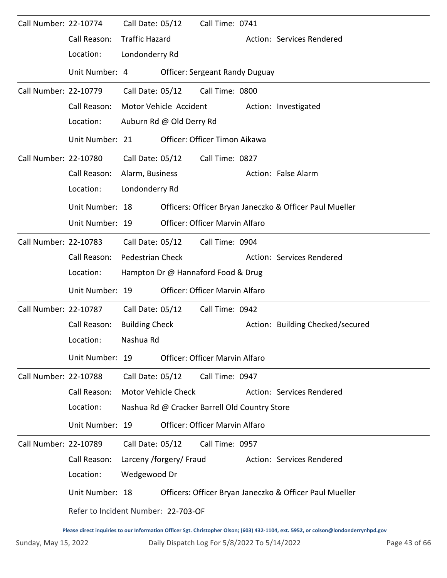| Call Number: 22-10774 |                                     | Call Date: 05/12           |                          | Call Time: 0741                               |                                                                                                                                     |
|-----------------------|-------------------------------------|----------------------------|--------------------------|-----------------------------------------------|-------------------------------------------------------------------------------------------------------------------------------------|
|                       | Call Reason:                        | <b>Traffic Hazard</b>      |                          |                                               | Action: Services Rendered                                                                                                           |
|                       | Location:                           | Londonderry Rd             |                          |                                               |                                                                                                                                     |
|                       | Unit Number: 4                      |                            |                          | <b>Officer: Sergeant Randy Duguay</b>         |                                                                                                                                     |
| Call Number: 22-10779 |                                     | Call Date: 05/12           |                          | Call Time: 0800                               |                                                                                                                                     |
|                       | Call Reason:                        |                            | Motor Vehicle Accident   |                                               | Action: Investigated                                                                                                                |
|                       | Location:                           |                            | Auburn Rd @ Old Derry Rd |                                               |                                                                                                                                     |
|                       | Unit Number: 21                     |                            |                          | Officer: Officer Timon Aikawa                 |                                                                                                                                     |
| Call Number: 22-10780 |                                     | Call Date: 05/12           |                          | Call Time: 0827                               |                                                                                                                                     |
|                       | Call Reason:                        | Alarm, Business            |                          |                                               | Action: False Alarm                                                                                                                 |
|                       | Location:                           | Londonderry Rd             |                          |                                               |                                                                                                                                     |
|                       | Unit Number: 18                     |                            |                          |                                               | Officers: Officer Bryan Janeczko & Officer Paul Mueller                                                                             |
|                       | Unit Number: 19                     |                            |                          | <b>Officer: Officer Marvin Alfaro</b>         |                                                                                                                                     |
| Call Number: 22-10783 |                                     | Call Date: 05/12           |                          | Call Time: 0904                               |                                                                                                                                     |
|                       | Call Reason:                        | <b>Pedestrian Check</b>    |                          |                                               | Action: Services Rendered                                                                                                           |
|                       | Location:                           |                            |                          | Hampton Dr @ Hannaford Food & Drug            |                                                                                                                                     |
|                       | Unit Number: 19                     |                            |                          | Officer: Officer Marvin Alfaro                |                                                                                                                                     |
| Call Number: 22-10787 |                                     | Call Date: 05/12           |                          | Call Time: 0942                               |                                                                                                                                     |
|                       | Call Reason:                        | <b>Building Check</b>      |                          |                                               | Action: Building Checked/secured                                                                                                    |
|                       | Location:                           | Nashua Rd                  |                          |                                               |                                                                                                                                     |
|                       | Unit Number: 19                     |                            |                          | <b>Officer: Officer Marvin Alfaro</b>         |                                                                                                                                     |
| Call Number: 22-10788 |                                     | Call Date: 05/12           |                          | Call Time: 0947                               |                                                                                                                                     |
|                       | Call Reason:                        | <b>Motor Vehicle Check</b> |                          |                                               | Action: Services Rendered                                                                                                           |
|                       | Location:                           |                            |                          | Nashua Rd @ Cracker Barrell Old Country Store |                                                                                                                                     |
|                       | Unit Number: 19                     |                            |                          | <b>Officer: Officer Marvin Alfaro</b>         |                                                                                                                                     |
| Call Number: 22-10789 |                                     | Call Date: 05/12           |                          | Call Time: 0957                               |                                                                                                                                     |
|                       | Call Reason:                        |                            | Larceny /forgery/ Fraud  |                                               | Action: Services Rendered                                                                                                           |
|                       | Location:                           | Wedgewood Dr               |                          |                                               |                                                                                                                                     |
|                       | Unit Number: 18                     |                            |                          |                                               | Officers: Officer Bryan Janeczko & Officer Paul Mueller                                                                             |
|                       | Refer to Incident Number: 22-703-OF |                            |                          |                                               |                                                                                                                                     |
|                       |                                     |                            |                          |                                               | Please direct inquiries to our Information Officer Sgt. Christopher Olson; (603) 432-1104, ext. 5952, or colson@londonderrynhpd.gov |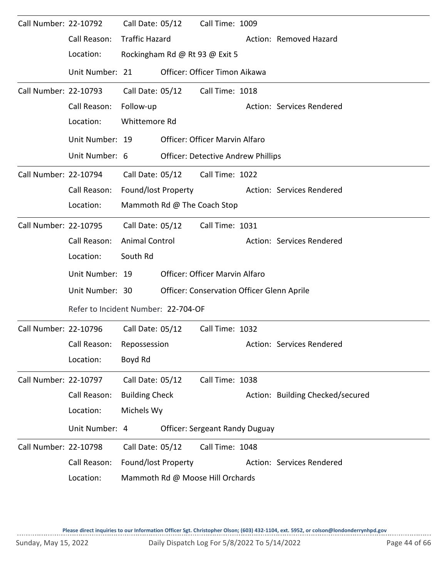| Call Number: 22-10792 |                                     | Call Date: 05/12      |                  | Call Time: 1009                                   |  |                                  |  |  |
|-----------------------|-------------------------------------|-----------------------|------------------|---------------------------------------------------|--|----------------------------------|--|--|
|                       | Call Reason:                        | <b>Traffic Hazard</b> |                  |                                                   |  | Action: Removed Hazard           |  |  |
|                       | Location:                           |                       |                  | Rockingham Rd @ Rt 93 @ Exit 5                    |  |                                  |  |  |
|                       | Unit Number: 21                     |                       |                  | Officer: Officer Timon Aikawa                     |  |                                  |  |  |
| Call Number: 22-10793 |                                     |                       | Call Date: 05/12 | Call Time: 1018                                   |  |                                  |  |  |
|                       | Call Reason:                        | Follow-up             |                  |                                                   |  | Action: Services Rendered        |  |  |
|                       | Location:                           | Whittemore Rd         |                  |                                                   |  |                                  |  |  |
|                       | Unit Number: 19                     |                       |                  | <b>Officer: Officer Marvin Alfaro</b>             |  |                                  |  |  |
|                       | Unit Number: 6                      |                       |                  | <b>Officer: Detective Andrew Phillips</b>         |  |                                  |  |  |
| Call Number: 22-10794 |                                     |                       |                  | Call Date: 05/12 Call Time: 1022                  |  |                                  |  |  |
|                       | Call Reason:                        | Found/lost Property   |                  |                                                   |  | Action: Services Rendered        |  |  |
|                       | Location:                           |                       |                  | Mammoth Rd @ The Coach Stop                       |  |                                  |  |  |
| Call Number: 22-10795 |                                     |                       | Call Date: 05/12 | Call Time: 1031                                   |  |                                  |  |  |
|                       | Call Reason:                        | <b>Animal Control</b> |                  |                                                   |  | Action: Services Rendered        |  |  |
|                       | Location:                           | South Rd              |                  |                                                   |  |                                  |  |  |
|                       | Unit Number: 19                     |                       |                  | Officer: Officer Marvin Alfaro                    |  |                                  |  |  |
|                       | Unit Number: 30                     |                       |                  | <b>Officer: Conservation Officer Glenn Aprile</b> |  |                                  |  |  |
|                       | Refer to Incident Number: 22-704-OF |                       |                  |                                                   |  |                                  |  |  |
| Call Number: 22-10796 |                                     | Call Date: 05/12      |                  | Call Time: 1032                                   |  |                                  |  |  |
|                       | Call Reason: Repossession           |                       |                  |                                                   |  | Action: Services Rendered        |  |  |
|                       | Location:                           | Boyd Rd               |                  |                                                   |  |                                  |  |  |
| Call Number: 22-10797 |                                     | Call Date: 05/12      |                  | Call Time: 1038                                   |  |                                  |  |  |
|                       | Call Reason:                        | <b>Building Check</b> |                  |                                                   |  | Action: Building Checked/secured |  |  |
|                       | Location:                           | Michels Wy            |                  |                                                   |  |                                  |  |  |
|                       | Unit Number: 4                      |                       |                  | <b>Officer: Sergeant Randy Duguay</b>             |  |                                  |  |  |
| Call Number: 22-10798 |                                     | Call Date: 05/12      |                  | Call Time: 1048                                   |  |                                  |  |  |
|                       | Call Reason:                        | Found/lost Property   |                  |                                                   |  | Action: Services Rendered        |  |  |
|                       | Location:                           |                       |                  | Mammoth Rd @ Moose Hill Orchards                  |  |                                  |  |  |

 $1.1.1.1.1$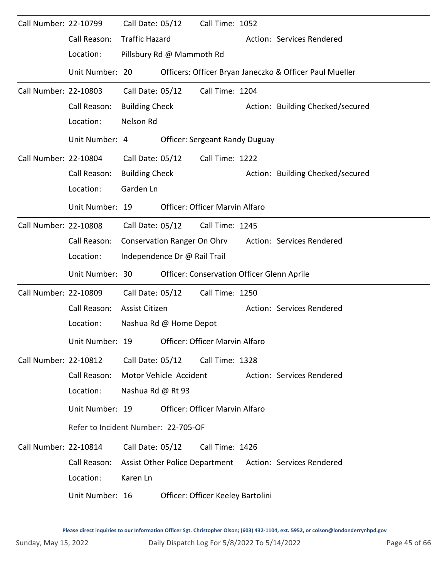| Call Number: 22-10799 |                                     | Call Date: 05/12       |                              | Call Time: 1052                            |                                                          |
|-----------------------|-------------------------------------|------------------------|------------------------------|--------------------------------------------|----------------------------------------------------------|
|                       | Call Reason:                        | <b>Traffic Hazard</b>  |                              |                                            | Action: Services Rendered                                |
|                       | Location:                           |                        | Pillsbury Rd @ Mammoth Rd    |                                            |                                                          |
|                       | Unit Number: 20                     |                        |                              |                                            | Officers: Officer Bryan Janeczko & Officer Paul Mueller  |
| Call Number: 22-10803 |                                     | Call Date: 05/12       |                              | Call Time: 1204                            |                                                          |
|                       | Call Reason:                        | <b>Building Check</b>  |                              |                                            | Action: Building Checked/secured                         |
|                       | Location:                           | Nelson Rd              |                              |                                            |                                                          |
|                       | Unit Number: 4                      |                        |                              | <b>Officer: Sergeant Randy Duguay</b>      |                                                          |
| Call Number: 22-10804 |                                     | Call Date: 05/12       |                              | Call Time: 1222                            |                                                          |
|                       | Call Reason:                        | <b>Building Check</b>  |                              |                                            | Action: Building Checked/secured                         |
|                       | Location:                           | Garden Ln              |                              |                                            |                                                          |
|                       | Unit Number: 19                     |                        |                              | <b>Officer: Officer Marvin Alfaro</b>      |                                                          |
| Call Number: 22-10808 |                                     | Call Date: 05/12       |                              | Call Time: 1245                            |                                                          |
|                       | Call Reason:                        |                        | Conservation Ranger On Ohrv  |                                            | Action: Services Rendered                                |
|                       | Location:                           |                        | Independence Dr @ Rail Trail |                                            |                                                          |
|                       | Unit Number: 30                     |                        |                              | Officer: Conservation Officer Glenn Aprile |                                                          |
| Call Number: 22-10809 |                                     | Call Date: 05/12       |                              | Call Time: 1250                            |                                                          |
|                       | Call Reason:                        | Assist Citizen         |                              |                                            | Action: Services Rendered                                |
|                       | Location:                           |                        | Nashua Rd @ Home Depot       |                                            |                                                          |
|                       | Unit Number: 19                     |                        |                              | Officer: Officer Marvin Alfaro             |                                                          |
| Call Number: 22-10812 |                                     | Call Date: 05/12       |                              | Call Time: 1328                            |                                                          |
|                       | Call Reason:                        | Motor Vehicle Accident |                              |                                            | Action: Services Rendered                                |
|                       | Location:                           | Nashua Rd @ Rt 93      |                              |                                            |                                                          |
|                       | Unit Number: 19                     |                        |                              | <b>Officer: Officer Marvin Alfaro</b>      |                                                          |
|                       | Refer to Incident Number: 22-705-OF |                        |                              |                                            |                                                          |
| Call Number: 22-10814 |                                     | Call Date: 05/12       |                              | Call Time: 1426                            |                                                          |
|                       | Call Reason:                        |                        |                              |                                            | Assist Other Police Department Action: Services Rendered |
|                       | Location:                           | Karen Ln               |                              |                                            |                                                          |
|                       | Unit Number: 16                     |                        |                              | Officer: Officer Keeley Bartolini          |                                                          |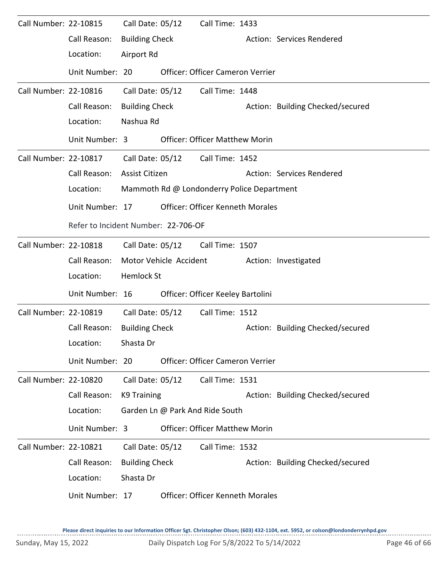| Call Number: 22-10815 |                                     | Call Date: 05/12      |                        | Call Time: 1433                            |                                  |
|-----------------------|-------------------------------------|-----------------------|------------------------|--------------------------------------------|----------------------------------|
|                       | Call Reason:                        | <b>Building Check</b> |                        |                                            | Action: Services Rendered        |
|                       | Location:                           | Airport Rd            |                        |                                            |                                  |
|                       | Unit Number: 20                     |                       |                        | <b>Officer: Officer Cameron Verrier</b>    |                                  |
| Call Number: 22-10816 |                                     | Call Date: 05/12      |                        | Call Time: 1448                            |                                  |
|                       | Call Reason:                        | <b>Building Check</b> |                        |                                            | Action: Building Checked/secured |
|                       | Location:                           | Nashua Rd             |                        |                                            |                                  |
|                       | Unit Number: 3                      |                       |                        | <b>Officer: Officer Matthew Morin</b>      |                                  |
| Call Number: 22-10817 |                                     |                       |                        | Call Date: 05/12 Call Time: 1452           |                                  |
|                       | Call Reason:                        | Assist Citizen        |                        |                                            | Action: Services Rendered        |
|                       | Location:                           |                       |                        | Mammoth Rd @ Londonderry Police Department |                                  |
|                       | Unit Number: 17                     |                       |                        | <b>Officer: Officer Kenneth Morales</b>    |                                  |
|                       | Refer to Incident Number: 22-706-OF |                       |                        |                                            |                                  |
| Call Number: 22-10818 |                                     |                       |                        | Call Date: 05/12 Call Time: 1507           |                                  |
|                       | Call Reason:                        |                       | Motor Vehicle Accident |                                            | Action: Investigated             |
|                       | Location:                           | <b>Hemlock St</b>     |                        |                                            |                                  |
|                       | Unit Number: 16                     |                       |                        | Officer: Officer Keeley Bartolini          |                                  |
| Call Number: 22-10819 |                                     | Call Date: 05/12      |                        | Call Time: 1512                            |                                  |
|                       | Call Reason:                        | <b>Building Check</b> |                        |                                            | Action: Building Checked/secured |
|                       | Location:                           | Shasta Dr             |                        |                                            |                                  |
|                       | Unit Number: 20                     |                       |                        | Officer: Officer Cameron Verrier           |                                  |
| Call Number: 22-10820 |                                     | Call Date: 05/12      |                        | Call Time: 1531                            |                                  |
|                       | Call Reason:                        | <b>K9 Training</b>    |                        |                                            | Action: Building Checked/secured |
|                       | Location:                           |                       |                        | Garden Ln @ Park And Ride South            |                                  |
|                       | Unit Number: 3                      |                       |                        | <b>Officer: Officer Matthew Morin</b>      |                                  |
| Call Number: 22-10821 |                                     | Call Date: 05/12      |                        | Call Time: 1532                            |                                  |
|                       | Call Reason:                        | <b>Building Check</b> |                        |                                            | Action: Building Checked/secured |
|                       | Location:                           | Shasta Dr             |                        |                                            |                                  |
|                       | Unit Number: 17                     |                       |                        | <b>Officer: Officer Kenneth Morales</b>    |                                  |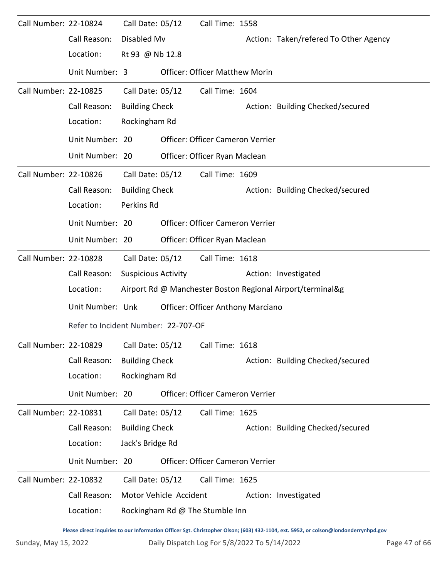| Call Number: 22-10824 |                                     | Call Date: 05/12           |                        | Call Time: 1558                          |                                                                                                                                     |
|-----------------------|-------------------------------------|----------------------------|------------------------|------------------------------------------|-------------------------------------------------------------------------------------------------------------------------------------|
|                       | Call Reason:                        | Disabled Mv                |                        |                                          | Action: Taken/refered To Other Agency                                                                                               |
|                       | Location:                           | Rt 93 @ Nb 12.8            |                        |                                          |                                                                                                                                     |
|                       | Unit Number: 3                      |                            |                        | <b>Officer: Officer Matthew Morin</b>    |                                                                                                                                     |
| Call Number: 22-10825 |                                     | Call Date: 05/12           |                        | Call Time: 1604                          |                                                                                                                                     |
|                       | Call Reason:                        | <b>Building Check</b>      |                        |                                          | Action: Building Checked/secured                                                                                                    |
|                       | Location:                           | Rockingham Rd              |                        |                                          |                                                                                                                                     |
|                       | Unit Number: 20                     |                            |                        | Officer: Officer Cameron Verrier         |                                                                                                                                     |
|                       | Unit Number: 20                     |                            |                        | Officer: Officer Ryan Maclean            |                                                                                                                                     |
| Call Number: 22-10826 |                                     | Call Date: 05/12           |                        | Call Time: 1609                          |                                                                                                                                     |
|                       | Call Reason:                        | <b>Building Check</b>      |                        |                                          | Action: Building Checked/secured                                                                                                    |
|                       | Location:                           | Perkins Rd                 |                        |                                          |                                                                                                                                     |
|                       | Unit Number: 20                     |                            |                        | Officer: Officer Cameron Verrier         |                                                                                                                                     |
|                       | Unit Number: 20                     |                            |                        | Officer: Officer Ryan Maclean            |                                                                                                                                     |
| Call Number: 22-10828 |                                     | Call Date: 05/12           |                        | Call Time: 1618                          |                                                                                                                                     |
|                       | Call Reason:                        | <b>Suspicious Activity</b> |                        |                                          | Action: Investigated                                                                                                                |
|                       | Location:                           |                            |                        |                                          | Airport Rd @ Manchester Boston Regional Airport/terminal&g                                                                          |
|                       | Unit Number: Unk                    |                            |                        | <b>Officer: Officer Anthony Marciano</b> |                                                                                                                                     |
|                       | Refer to Incident Number: 22-707-OF |                            |                        |                                          |                                                                                                                                     |
| Call Number: 22-10829 |                                     | Call Date: 05/12           |                        | Call Time: 1618                          |                                                                                                                                     |
|                       | Call Reason:                        | <b>Building Check</b>      |                        |                                          | Action: Building Checked/secured                                                                                                    |
|                       | Location:                           | Rockingham Rd              |                        |                                          |                                                                                                                                     |
|                       | Unit Number: 20                     |                            |                        | Officer: Officer Cameron Verrier         |                                                                                                                                     |
| Call Number: 22-10831 |                                     | Call Date: 05/12           |                        | Call Time: 1625                          |                                                                                                                                     |
|                       | Call Reason:                        | <b>Building Check</b>      |                        |                                          | Action: Building Checked/secured                                                                                                    |
|                       | Location:                           | Jack's Bridge Rd           |                        |                                          |                                                                                                                                     |
|                       | Unit Number: 20                     |                            |                        | Officer: Officer Cameron Verrier         |                                                                                                                                     |
| Call Number: 22-10832 |                                     | Call Date: 05/12           |                        | Call Time: 1625                          |                                                                                                                                     |
|                       | Call Reason:                        |                            | Motor Vehicle Accident |                                          | Action: Investigated                                                                                                                |
|                       | Location:                           |                            |                        | Rockingham Rd @ The Stumble Inn          |                                                                                                                                     |
|                       |                                     |                            |                        |                                          | Please direct inquiries to our Information Officer Sgt. Christopher Olson; (603) 432-1104, ext. 5952, or colson@londonderrynhpd.gov |

Sunday, May 15, 2022 <br>
Daily Dispatch Log For 5/8/2022 To 5/14/2022 <br>
Page 47 of 66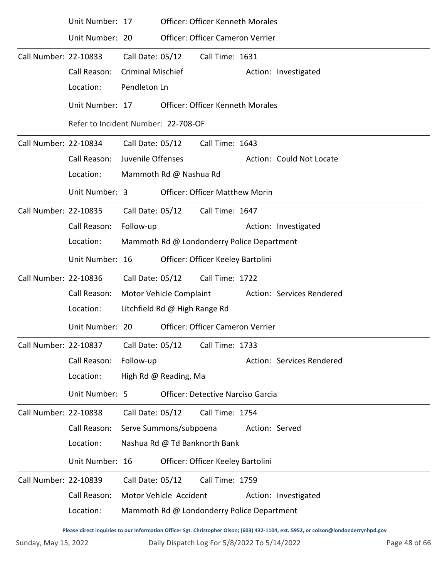|                       | Call Reason:                        |                               | Motor Vehicle Accident                  |                                            |                | Action: Investigated      |  |  |  |
|-----------------------|-------------------------------------|-------------------------------|-----------------------------------------|--------------------------------------------|----------------|---------------------------|--|--|--|
| Call Number: 22-10839 |                                     | Call Date: 05/12              |                                         | Call Time: 1759                            |                |                           |  |  |  |
|                       | Unit Number: 16                     |                               |                                         | Officer: Officer Keeley Bartolini          |                |                           |  |  |  |
|                       | Location:                           |                               |                                         | Nashua Rd @ Td Banknorth Bank              |                |                           |  |  |  |
|                       | Call Reason:                        | Serve Summons/subpoena        |                                         |                                            | Action: Served |                           |  |  |  |
| Call Number: 22-10838 |                                     | Call Date: 05/12              |                                         | Call Time: 1754                            |                |                           |  |  |  |
|                       | Unit Number: 5                      |                               |                                         | <b>Officer: Detective Narciso Garcia</b>   |                |                           |  |  |  |
|                       | Location:                           |                               | High Rd @ Reading, Ma                   |                                            |                |                           |  |  |  |
|                       | Call Reason:                        | Follow-up                     |                                         |                                            |                | Action: Services Rendered |  |  |  |
| Call Number: 22-10837 |                                     | Call Date: 05/12              |                                         | Call Time: 1733                            |                |                           |  |  |  |
|                       | Unit Number: 20                     |                               |                                         | Officer: Officer Cameron Verrier           |                |                           |  |  |  |
|                       | Location:                           | Litchfield Rd @ High Range Rd |                                         |                                            |                |                           |  |  |  |
|                       | Call Reason:                        |                               | Motor Vehicle Complaint                 |                                            |                | Action: Services Rendered |  |  |  |
| Call Number: 22-10836 |                                     | Call Date: 05/12              |                                         | Call Time: 1722                            |                |                           |  |  |  |
|                       | Unit Number: 16                     |                               |                                         | Officer: Officer Keeley Bartolini          |                |                           |  |  |  |
|                       | Location:                           |                               |                                         | Mammoth Rd @ Londonderry Police Department |                |                           |  |  |  |
|                       | Call Reason:                        | Follow-up                     |                                         |                                            |                | Action: Investigated      |  |  |  |
| Call Number: 22-10835 |                                     |                               |                                         | Call Date: 05/12 Call Time: 1647           |                |                           |  |  |  |
|                       | Unit Number: 3                      |                               |                                         | <b>Officer: Officer Matthew Morin</b>      |                |                           |  |  |  |
|                       | Location:                           |                               | Mammoth Rd @ Nashua Rd                  |                                            |                |                           |  |  |  |
|                       | Call Reason:                        | Juvenile Offenses             |                                         |                                            |                | Action: Could Not Locate  |  |  |  |
| Call Number: 22-10834 |                                     | Call Date: 05/12              |                                         | Call Time: 1643                            |                |                           |  |  |  |
|                       | Refer to Incident Number: 22-708-OF |                               |                                         |                                            |                |                           |  |  |  |
|                       | Unit Number: 17                     |                               |                                         | <b>Officer: Officer Kenneth Morales</b>    |                |                           |  |  |  |
|                       | Location:                           | Pendleton Ln                  |                                         |                                            |                |                           |  |  |  |
|                       | Call Reason:                        | <b>Criminal Mischief</b>      |                                         |                                            |                | Action: Investigated      |  |  |  |
| Call Number: 22-10833 |                                     | Call Date: 05/12              |                                         | Call Time: 1631                            |                |                           |  |  |  |
|                       | Unit Number: 20                     |                               |                                         | Officer: Officer Cameron Verrier           |                |                           |  |  |  |
|                       | Unit Number: 17                     |                               | <b>Officer: Officer Kenneth Morales</b> |                                            |                |                           |  |  |  |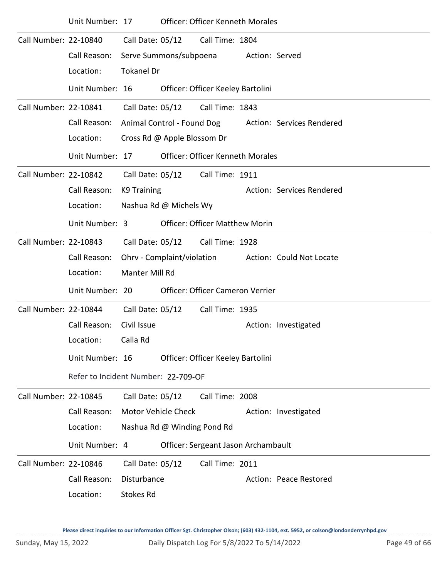|                       | Unit Number: 17                     |                    |                             | <b>Officer: Officer Kenneth Morales</b> |                |                           |
|-----------------------|-------------------------------------|--------------------|-----------------------------|-----------------------------------------|----------------|---------------------------|
| Call Number: 22-10840 |                                     | Call Date: 05/12   |                             | Call Time: 1804                         |                |                           |
|                       | Call Reason:                        |                    | Serve Summons/subpoena      |                                         | Action: Served |                           |
|                       | Location:                           | <b>Tokanel Dr</b>  |                             |                                         |                |                           |
|                       | Unit Number: 16                     |                    |                             | Officer: Officer Keeley Bartolini       |                |                           |
| Call Number: 22-10841 |                                     |                    |                             | Call Date: 05/12 Call Time: 1843        |                |                           |
|                       | Call Reason:                        |                    |                             | Animal Control - Found Dog              |                | Action: Services Rendered |
|                       | Location:                           |                    | Cross Rd @ Apple Blossom Dr |                                         |                |                           |
|                       | Unit Number: 17                     |                    |                             | <b>Officer: Officer Kenneth Morales</b> |                |                           |
| Call Number: 22-10842 |                                     |                    | Call Date: 05/12            | Call Time: 1911                         |                |                           |
|                       | Call Reason:                        | <b>K9 Training</b> |                             |                                         |                | Action: Services Rendered |
|                       | Location:                           |                    | Nashua Rd @ Michels Wy      |                                         |                |                           |
|                       | Unit Number: 3                      |                    |                             | <b>Officer: Officer Matthew Morin</b>   |                |                           |
| Call Number: 22-10843 |                                     | Call Date: 05/12   |                             | Call Time: 1928                         |                |                           |
|                       | Call Reason:                        |                    | Ohrv - Complaint/violation  |                                         |                | Action: Could Not Locate  |
|                       | Location:                           | Manter Mill Rd     |                             |                                         |                |                           |
|                       | Unit Number: 20                     |                    |                             | Officer: Officer Cameron Verrier        |                |                           |
| Call Number: 22-10844 |                                     | Call Date: 05/12   |                             | Call Time: 1935                         |                |                           |
|                       | Call Reason:                        | Civil Issue        |                             |                                         |                | Action: Investigated      |
|                       | Location:                           | Calla Rd           |                             |                                         |                |                           |
|                       | Unit Number: 16                     |                    |                             | Officer: Officer Keeley Bartolini       |                |                           |
|                       | Refer to Incident Number: 22-709-OF |                    |                             |                                         |                |                           |
| Call Number: 22-10845 |                                     | Call Date: 05/12   |                             | Call Time: 2008                         |                |                           |
|                       | Call Reason:                        |                    | <b>Motor Vehicle Check</b>  |                                         |                | Action: Investigated      |
|                       | Location:                           |                    | Nashua Rd @ Winding Pond Rd |                                         |                |                           |
|                       | Unit Number: 4                      |                    |                             | Officer: Sergeant Jason Archambault     |                |                           |
| Call Number: 22-10846 |                                     | Call Date: 05/12   |                             | Call Time: 2011                         |                |                           |
|                       | Call Reason:                        | Disturbance        |                             |                                         |                | Action: Peace Restored    |
|                       | Location:                           | <b>Stokes Rd</b>   |                             |                                         |                |                           |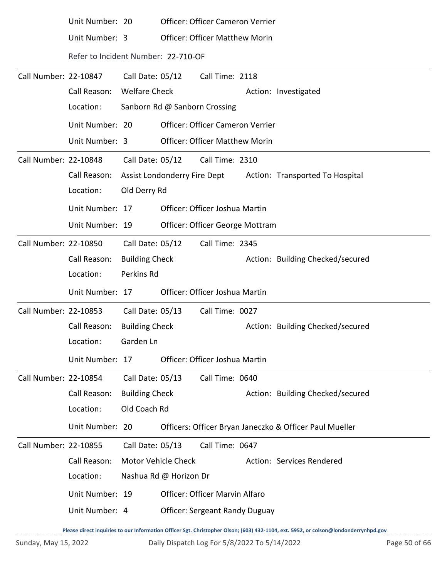|                       | Unit Number: 20                     |                            |                        | Officer: Officer Cameron Verrier      |                                                         |
|-----------------------|-------------------------------------|----------------------------|------------------------|---------------------------------------|---------------------------------------------------------|
|                       | Unit Number: 3                      |                            |                        | <b>Officer: Officer Matthew Morin</b> |                                                         |
|                       | Refer to Incident Number: 22-710-OF |                            |                        |                                       |                                                         |
| Call Number: 22-10847 |                                     | Call Date: 05/12           |                        | Call Time: 2118                       |                                                         |
|                       | Call Reason:                        | <b>Welfare Check</b>       |                        |                                       | Action: Investigated                                    |
|                       | Location:                           |                            |                        | Sanborn Rd @ Sanborn Crossing         |                                                         |
|                       | Unit Number: 20                     |                            |                        | Officer: Officer Cameron Verrier      |                                                         |
|                       | Unit Number: 3                      |                            |                        | <b>Officer: Officer Matthew Morin</b> |                                                         |
| Call Number: 22-10848 |                                     | Call Date: 05/12           |                        | Call Time: 2310                       |                                                         |
|                       | Call Reason:                        |                            |                        | Assist Londonderry Fire Dept          | Action: Transported To Hospital                         |
|                       | Location:                           | Old Derry Rd               |                        |                                       |                                                         |
|                       | Unit Number: 17                     |                            |                        | Officer: Officer Joshua Martin        |                                                         |
|                       | Unit Number: 19                     |                            |                        | Officer: Officer George Mottram       |                                                         |
| Call Number: 22-10850 |                                     | Call Date: 05/12           |                        | Call Time: 2345                       |                                                         |
|                       | Call Reason:                        | <b>Building Check</b>      |                        |                                       | Action: Building Checked/secured                        |
|                       | Location:                           | Perkins Rd                 |                        |                                       |                                                         |
|                       | Unit Number: 17                     |                            |                        | Officer: Officer Joshua Martin        |                                                         |
| Call Number: 22-10853 |                                     | Call Date: 05/13           |                        | Call Time: 0027                       |                                                         |
|                       | Call Reason:                        | <b>Building Check</b>      |                        |                                       | Action: Building Checked/secured                        |
|                       | Location:                           | Garden Ln                  |                        |                                       |                                                         |
|                       | Unit Number: 17                     |                            |                        | Officer: Officer Joshua Martin        |                                                         |
| Call Number: 22-10854 |                                     | Call Date: 05/13           |                        | Call Time: 0640                       |                                                         |
|                       | Call Reason:                        | <b>Building Check</b>      |                        |                                       | Action: Building Checked/secured                        |
|                       | Location:                           | Old Coach Rd               |                        |                                       |                                                         |
|                       | Unit Number: 20                     |                            |                        |                                       | Officers: Officer Bryan Janeczko & Officer Paul Mueller |
| Call Number: 22-10855 |                                     | Call Date: 05/13           |                        | Call Time: 0647                       |                                                         |
|                       | Call Reason:                        | <b>Motor Vehicle Check</b> |                        |                                       | Action: Services Rendered                               |
|                       | Location:                           |                            | Nashua Rd @ Horizon Dr |                                       |                                                         |
|                       | Unit Number: 19                     |                            |                        | <b>Officer: Officer Marvin Alfaro</b> |                                                         |
|                       | Unit Number: 4                      |                            |                        | <b>Officer: Sergeant Randy Duguay</b> |                                                         |
|                       |                                     |                            |                        |                                       |                                                         |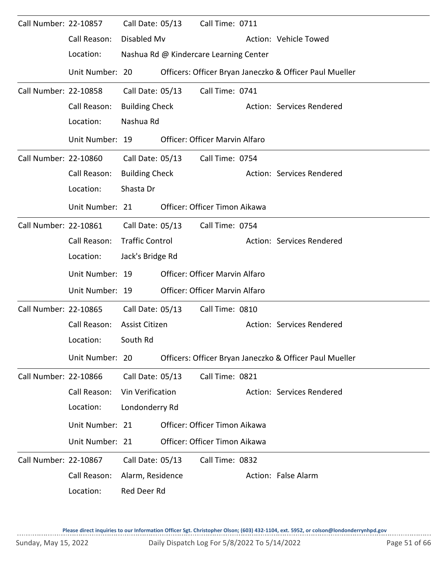| Call Number: 22-10857 |                 | Call Date: 05/13       | Call Time: 0711                        |                                                         |
|-----------------------|-----------------|------------------------|----------------------------------------|---------------------------------------------------------|
|                       | Call Reason:    | Disabled Mv            |                                        | Action: Vehicle Towed                                   |
|                       | Location:       |                        | Nashua Rd @ Kindercare Learning Center |                                                         |
|                       | Unit Number: 20 |                        |                                        | Officers: Officer Bryan Janeczko & Officer Paul Mueller |
| Call Number: 22-10858 |                 | Call Date: 05/13       | Call Time: 0741                        |                                                         |
|                       | Call Reason:    | <b>Building Check</b>  |                                        | Action: Services Rendered                               |
|                       | Location:       | Nashua Rd              |                                        |                                                         |
|                       | Unit Number: 19 |                        | <b>Officer: Officer Marvin Alfaro</b>  |                                                         |
| Call Number: 22-10860 |                 | Call Date: 05/13       | Call Time: 0754                        |                                                         |
|                       | Call Reason:    | <b>Building Check</b>  |                                        | Action: Services Rendered                               |
|                       | Location:       | Shasta Dr              |                                        |                                                         |
|                       | Unit Number: 21 |                        | Officer: Officer Timon Aikawa          |                                                         |
| Call Number: 22-10861 |                 | Call Date: 05/13       | Call Time: 0754                        |                                                         |
|                       | Call Reason:    | <b>Traffic Control</b> |                                        | Action: Services Rendered                               |
|                       | Location:       | Jack's Bridge Rd       |                                        |                                                         |
|                       | Unit Number: 19 |                        | Officer: Officer Marvin Alfaro         |                                                         |
|                       | Unit Number: 19 |                        | Officer: Officer Marvin Alfaro         |                                                         |
| Call Number: 22-10865 |                 | Call Date: 05/13       | Call Time: 0810                        |                                                         |
|                       | Call Reason:    | Assist Citizen         |                                        | Action: Services Rendered                               |
|                       | Location:       | South Rd               |                                        |                                                         |
|                       | Unit Number: 20 |                        |                                        | Officers: Officer Bryan Janeczko & Officer Paul Mueller |
| Call Number: 22-10866 |                 | Call Date: 05/13       | Call Time: 0821                        |                                                         |
|                       | Call Reason:    | Vin Verification       |                                        | Action: Services Rendered                               |
|                       | Location:       | Londonderry Rd         |                                        |                                                         |
|                       | Unit Number: 21 |                        | Officer: Officer Timon Aikawa          |                                                         |
|                       | Unit Number: 21 |                        | Officer: Officer Timon Aikawa          |                                                         |
| Call Number: 22-10867 |                 | Call Date: 05/13       | Call Time: 0832                        |                                                         |
|                       | Call Reason:    | Alarm, Residence       |                                        | Action: False Alarm                                     |
|                       | Location:       | Red Deer Rd            |                                        |                                                         |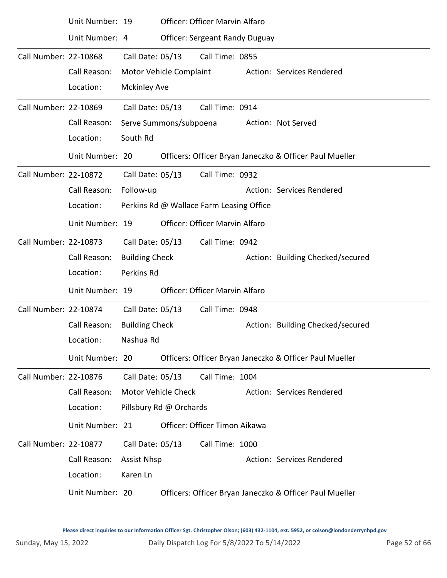|                       | Unit Number: 19 |                       |                            | Officer: Officer Marvin Alfaro           |  |                                                         |  |  |  |  |
|-----------------------|-----------------|-----------------------|----------------------------|------------------------------------------|--|---------------------------------------------------------|--|--|--|--|
|                       | Unit Number: 4  |                       |                            | <b>Officer: Sergeant Randy Duguay</b>    |  |                                                         |  |  |  |  |
| Call Number: 22-10868 |                 | Call Date: 05/13      |                            | Call Time: 0855                          |  |                                                         |  |  |  |  |
|                       | Call Reason:    |                       | Motor Vehicle Complaint    |                                          |  | Action: Services Rendered                               |  |  |  |  |
|                       | Location:       | <b>Mckinley Ave</b>   |                            |                                          |  |                                                         |  |  |  |  |
| Call Number: 22-10869 |                 | Call Date: 05/13      |                            | Call Time: 0914                          |  |                                                         |  |  |  |  |
|                       | Call Reason:    |                       | Serve Summons/subpoena     |                                          |  | Action: Not Served                                      |  |  |  |  |
|                       | Location:       | South Rd              |                            |                                          |  |                                                         |  |  |  |  |
|                       | Unit Number: 20 |                       |                            |                                          |  | Officers: Officer Bryan Janeczko & Officer Paul Mueller |  |  |  |  |
| Call Number: 22-10872 |                 | Call Date: 05/13      |                            | Call Time: 0932                          |  |                                                         |  |  |  |  |
|                       | Call Reason:    | Follow-up             |                            |                                          |  | Action: Services Rendered                               |  |  |  |  |
|                       | Location:       |                       |                            | Perkins Rd @ Wallace Farm Leasing Office |  |                                                         |  |  |  |  |
|                       | Unit Number: 19 |                       |                            | Officer: Officer Marvin Alfaro           |  |                                                         |  |  |  |  |
| Call Number: 22-10873 |                 | Call Date: 05/13      |                            | Call Time: 0942                          |  |                                                         |  |  |  |  |
|                       | Call Reason:    | <b>Building Check</b> |                            |                                          |  | Action: Building Checked/secured                        |  |  |  |  |
|                       | Location:       | Perkins Rd            |                            |                                          |  |                                                         |  |  |  |  |
|                       | Unit Number: 19 |                       |                            | Officer: Officer Marvin Alfaro           |  |                                                         |  |  |  |  |
| Call Number: 22-10874 |                 | Call Date: 05/13      |                            | Call Time: 0948                          |  |                                                         |  |  |  |  |
|                       | Call Reason:    | <b>Building Check</b> |                            |                                          |  | Action: Building Checked/secured                        |  |  |  |  |
|                       | Location:       | Nashua Rd             |                            |                                          |  |                                                         |  |  |  |  |
|                       | Unit Number: 20 |                       |                            |                                          |  | Officers: Officer Bryan Janeczko & Officer Paul Mueller |  |  |  |  |
| Call Number: 22-10876 |                 | Call Date: 05/13      |                            | Call Time: 1004                          |  |                                                         |  |  |  |  |
|                       | Call Reason:    |                       | <b>Motor Vehicle Check</b> |                                          |  | Action: Services Rendered                               |  |  |  |  |
|                       | Location:       |                       | Pillsbury Rd @ Orchards    |                                          |  |                                                         |  |  |  |  |
|                       | Unit Number: 21 |                       |                            | Officer: Officer Timon Aikawa            |  |                                                         |  |  |  |  |
| Call Number: 22-10877 |                 | Call Date: 05/13      |                            | Call Time: 1000                          |  |                                                         |  |  |  |  |
|                       | Call Reason:    | <b>Assist Nhsp</b>    |                            |                                          |  | Action: Services Rendered                               |  |  |  |  |
|                       | Location:       | Karen Ln              |                            |                                          |  |                                                         |  |  |  |  |
|                       | Unit Number: 20 |                       |                            |                                          |  | Officers: Officer Bryan Janeczko & Officer Paul Mueller |  |  |  |  |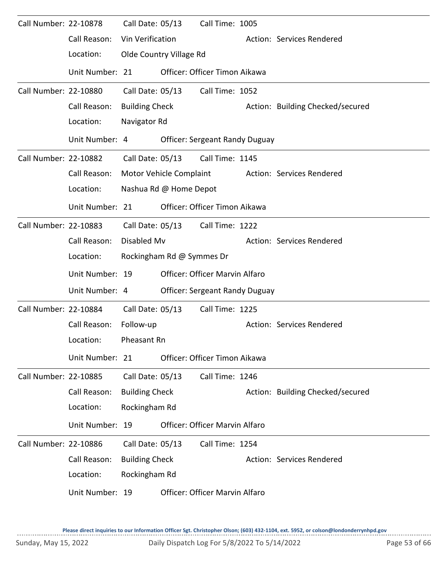| Call Number: 22-10878 |                 | Call Date: 05/13      |                           | Call Time: 1005                       |  |                                  |  |  |  |
|-----------------------|-----------------|-----------------------|---------------------------|---------------------------------------|--|----------------------------------|--|--|--|
|                       | Call Reason:    | Vin Verification      |                           |                                       |  | Action: Services Rendered        |  |  |  |
|                       | Location:       |                       | Olde Country Village Rd   |                                       |  |                                  |  |  |  |
|                       | Unit Number: 21 |                       |                           | Officer: Officer Timon Aikawa         |  |                                  |  |  |  |
| Call Number: 22-10880 |                 | Call Date: 05/13      |                           | Call Time: 1052                       |  |                                  |  |  |  |
|                       | Call Reason:    | <b>Building Check</b> |                           |                                       |  | Action: Building Checked/secured |  |  |  |
|                       | Location:       | Navigator Rd          |                           |                                       |  |                                  |  |  |  |
|                       | Unit Number: 4  |                       |                           | <b>Officer: Sergeant Randy Duguay</b> |  |                                  |  |  |  |
| Call Number: 22-10882 |                 | Call Date: 05/13      |                           | Call Time: 1145                       |  |                                  |  |  |  |
|                       | Call Reason:    |                       | Motor Vehicle Complaint   |                                       |  | Action: Services Rendered        |  |  |  |
|                       | Location:       |                       | Nashua Rd @ Home Depot    |                                       |  |                                  |  |  |  |
|                       | Unit Number: 21 |                       |                           | Officer: Officer Timon Aikawa         |  |                                  |  |  |  |
| Call Number: 22-10883 |                 | Call Date: 05/13      |                           | Call Time: 1222                       |  |                                  |  |  |  |
|                       | Call Reason:    | Disabled Mv           |                           |                                       |  | Action: Services Rendered        |  |  |  |
|                       | Location:       |                       | Rockingham Rd @ Symmes Dr |                                       |  |                                  |  |  |  |
|                       | Unit Number: 19 |                       |                           | Officer: Officer Marvin Alfaro        |  |                                  |  |  |  |
|                       | Unit Number: 4  |                       |                           | <b>Officer: Sergeant Randy Duguay</b> |  |                                  |  |  |  |
| Call Number: 22-10884 |                 | Call Date: 05/13      |                           | Call Time: 1225                       |  |                                  |  |  |  |
|                       | Call Reason:    | Follow-up             |                           |                                       |  | Action: Services Rendered        |  |  |  |
|                       | Location:       | Pheasant Rn           |                           |                                       |  |                                  |  |  |  |
|                       | Unit Number: 21 |                       |                           | Officer: Officer Timon Aikawa         |  |                                  |  |  |  |
| Call Number: 22-10885 |                 | Call Date: 05/13      |                           | Call Time: 1246                       |  |                                  |  |  |  |
|                       | Call Reason:    | <b>Building Check</b> |                           |                                       |  | Action: Building Checked/secured |  |  |  |
|                       | Location:       | Rockingham Rd         |                           |                                       |  |                                  |  |  |  |
|                       | Unit Number: 19 |                       |                           | <b>Officer: Officer Marvin Alfaro</b> |  |                                  |  |  |  |
| Call Number: 22-10886 |                 | Call Date: 05/13      |                           | Call Time: 1254                       |  |                                  |  |  |  |
|                       | Call Reason:    | <b>Building Check</b> |                           |                                       |  | Action: Services Rendered        |  |  |  |
|                       | Location:       | Rockingham Rd         |                           |                                       |  |                                  |  |  |  |
|                       | Unit Number: 19 |                       |                           | <b>Officer: Officer Marvin Alfaro</b> |  |                                  |  |  |  |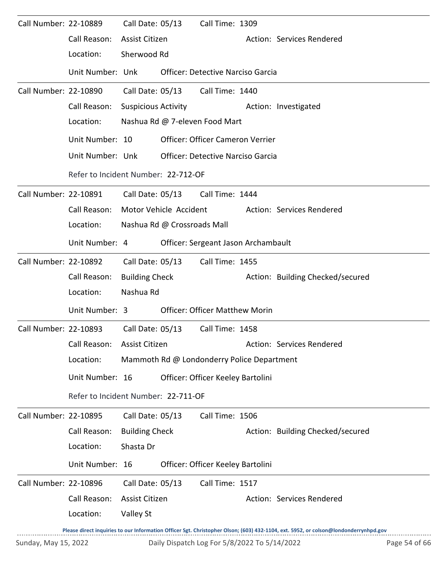| Call Number: 22-10889 |                                     | Call Date: 05/13                    |                  | Call Time: 1309                            |  |                                                                                                                                     |  |  |  |
|-----------------------|-------------------------------------|-------------------------------------|------------------|--------------------------------------------|--|-------------------------------------------------------------------------------------------------------------------------------------|--|--|--|
|                       | Call Reason:                        | Assist Citizen                      |                  |                                            |  | Action: Services Rendered                                                                                                           |  |  |  |
|                       | Location:                           | Sherwood Rd                         |                  |                                            |  |                                                                                                                                     |  |  |  |
|                       | Unit Number: Unk                    |                                     |                  | <b>Officer: Detective Narciso Garcia</b>   |  |                                                                                                                                     |  |  |  |
| Call Number: 22-10890 |                                     |                                     | Call Date: 05/13 | Call Time: 1440                            |  |                                                                                                                                     |  |  |  |
|                       | Call Reason:                        | Suspicious Activity                 |                  |                                            |  | Action: Investigated                                                                                                                |  |  |  |
|                       | Location:                           |                                     |                  | Nashua Rd @ 7-eleven Food Mart             |  |                                                                                                                                     |  |  |  |
|                       | Unit Number: 10                     |                                     |                  | Officer: Officer Cameron Verrier           |  |                                                                                                                                     |  |  |  |
|                       | Unit Number: Unk                    |                                     |                  | <b>Officer: Detective Narciso Garcia</b>   |  |                                                                                                                                     |  |  |  |
|                       |                                     | Refer to Incident Number: 22-712-OF |                  |                                            |  |                                                                                                                                     |  |  |  |
| Call Number: 22-10891 |                                     |                                     | Call Date: 05/13 | Call Time: 1444                            |  |                                                                                                                                     |  |  |  |
|                       | Call Reason:                        | Motor Vehicle Accident              |                  |                                            |  | Action: Services Rendered                                                                                                           |  |  |  |
|                       | Location:                           | Nashua Rd @ Crossroads Mall         |                  |                                            |  |                                                                                                                                     |  |  |  |
|                       | Unit Number: 4                      |                                     |                  | Officer: Sergeant Jason Archambault        |  |                                                                                                                                     |  |  |  |
| Call Number: 22-10892 |                                     |                                     |                  | Call Date: 05/13 Call Time: 1455           |  |                                                                                                                                     |  |  |  |
|                       | Call Reason:                        | <b>Building Check</b>               |                  |                                            |  | Action: Building Checked/secured                                                                                                    |  |  |  |
|                       | Location:                           | Nashua Rd                           |                  |                                            |  |                                                                                                                                     |  |  |  |
|                       | Unit Number: 3                      |                                     |                  | <b>Officer: Officer Matthew Morin</b>      |  |                                                                                                                                     |  |  |  |
| Call Number: 22-10893 |                                     | Call Date: 05/13                    |                  | Call Time: 1458                            |  |                                                                                                                                     |  |  |  |
|                       | Call Reason:                        | <b>Assist Citizen</b>               |                  |                                            |  | Action: Services Rendered                                                                                                           |  |  |  |
|                       | Location:                           |                                     |                  | Mammoth Rd @ Londonderry Police Department |  |                                                                                                                                     |  |  |  |
|                       | Unit Number: 16                     |                                     |                  | Officer: Officer Keeley Bartolini          |  |                                                                                                                                     |  |  |  |
|                       | Refer to Incident Number: 22-711-OF |                                     |                  |                                            |  |                                                                                                                                     |  |  |  |
| Call Number: 22-10895 |                                     | Call Date: 05/13                    |                  | Call Time: 1506                            |  |                                                                                                                                     |  |  |  |
|                       | Call Reason:                        | <b>Building Check</b>               |                  |                                            |  | Action: Building Checked/secured                                                                                                    |  |  |  |
|                       | Location:                           | Shasta Dr                           |                  |                                            |  |                                                                                                                                     |  |  |  |
|                       | Unit Number: 16                     |                                     |                  | Officer: Officer Keeley Bartolini          |  |                                                                                                                                     |  |  |  |
| Call Number: 22-10896 |                                     | Call Date: 05/13                    |                  | Call Time: 1517                            |  |                                                                                                                                     |  |  |  |
|                       | Call Reason:                        | Assist Citizen                      |                  |                                            |  | Action: Services Rendered                                                                                                           |  |  |  |
|                       | Location:                           | Valley St                           |                  |                                            |  |                                                                                                                                     |  |  |  |
|                       |                                     |                                     |                  |                                            |  | Please direct inquiries to our Information Officer Sgt. Christopher Olson; (603) 432-1104, ext. 5952, or colson@londonderrynhpd.gov |  |  |  |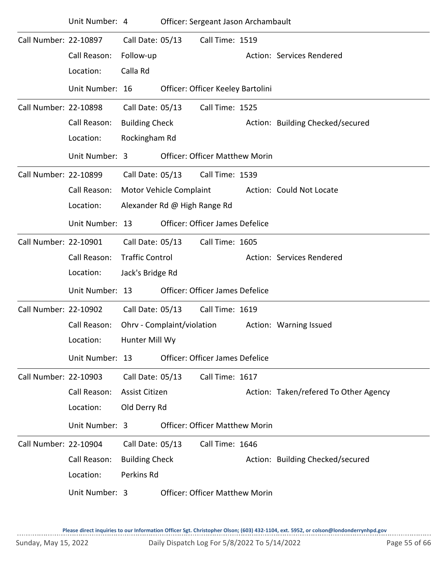|                       | Unit Number: 4                               |                                                                |                              | Officer: Sergeant Jason Archambault                       |                                       |
|-----------------------|----------------------------------------------|----------------------------------------------------------------|------------------------------|-----------------------------------------------------------|---------------------------------------|
| Call Number: 22-10897 | Call Reason:<br>Location:                    | Call Date: 05/13<br>Follow-up<br>Calla Rd                      |                              | Call Time: 1519                                           | Action: Services Rendered             |
|                       | Unit Number: 16                              |                                                                |                              | Officer: Officer Keeley Bartolini                         |                                       |
| Call Number: 22-10898 | Call Reason:<br>Location:<br>Unit Number: 3  | Call Date: 05/13<br><b>Building Check</b><br>Rockingham Rd     |                              | Call Time: 1525<br><b>Officer: Officer Matthew Morin</b>  | Action: Building Checked/secured      |
| Call Number: 22-10899 |                                              | Call Date: 05/13                                               |                              | Call Time: 1539                                           |                                       |
|                       | Call Reason:<br>Location:                    | Motor Vehicle Complaint                                        | Alexander Rd @ High Range Rd |                                                           | Action: Could Not Locate              |
|                       | Unit Number: 13                              |                                                                |                              | <b>Officer: Officer James Defelice</b>                    |                                       |
| Call Number: 22-10901 | Call Reason:<br>Location:                    | Call Date: 05/13<br><b>Traffic Control</b><br>Jack's Bridge Rd |                              | Call Time: 1605                                           | Action: Services Rendered             |
|                       | Unit Number: 13                              |                                                                |                              | Officer: Officer James Defelice                           |                                       |
| Call Number: 22-10902 | Call Reason:<br>Location:<br>Unit Number: 13 | Call Date: 05/13<br>Hunter Mill Wy                             | Ohrv - Complaint/violation   | Call Time: 1619<br><b>Officer: Officer James Defelice</b> | Action: Warning Issued                |
| Call Number: 22-10903 |                                              | Call Date: 05/13                                               |                              | Call Time: 1617                                           |                                       |
|                       | Call Reason:<br>Location:                    | Assist Citizen<br>Old Derry Rd                                 |                              |                                                           | Action: Taken/refered To Other Agency |
|                       | Unit Number: 3                               |                                                                |                              | <b>Officer: Officer Matthew Morin</b>                     |                                       |
| Call Number: 22-10904 | Call Reason:<br>Location:<br>Unit Number: 3  | Call Date: 05/13<br><b>Building Check</b><br>Perkins Rd        |                              | Call Time: 1646<br><b>Officer: Officer Matthew Morin</b>  | Action: Building Checked/secured      |
|                       |                                              |                                                                |                              |                                                           |                                       |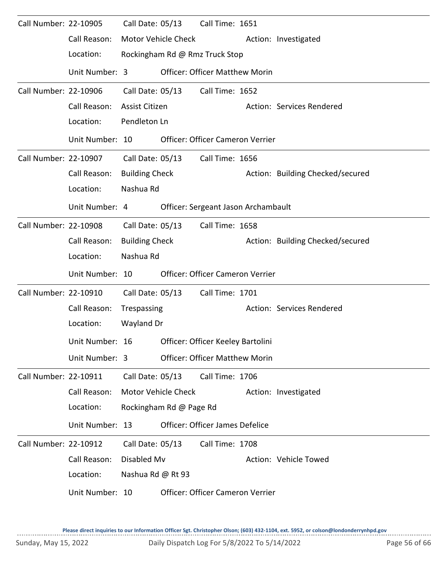| Call Number: 22-10905 |                 | Call Date: 05/13      |                         | Call Time: 1651                        |                                  |
|-----------------------|-----------------|-----------------------|-------------------------|----------------------------------------|----------------------------------|
|                       | Call Reason:    |                       | Motor Vehicle Check     |                                        | Action: Investigated             |
|                       | Location:       |                       |                         | Rockingham Rd @ Rmz Truck Stop         |                                  |
|                       | Unit Number: 3  |                       |                         | <b>Officer: Officer Matthew Morin</b>  |                                  |
| Call Number: 22-10906 |                 | Call Date: 05/13      |                         | Call Time: 1652                        |                                  |
|                       | Call Reason:    | <b>Assist Citizen</b> |                         |                                        | Action: Services Rendered        |
|                       | Location:       | Pendleton Ln          |                         |                                        |                                  |
|                       | Unit Number: 10 |                       |                         | Officer: Officer Cameron Verrier       |                                  |
| Call Number: 22-10907 |                 | Call Date: 05/13      |                         | Call Time: 1656                        |                                  |
|                       | Call Reason:    | <b>Building Check</b> |                         |                                        | Action: Building Checked/secured |
|                       | Location:       | Nashua Rd             |                         |                                        |                                  |
|                       | Unit Number: 4  |                       |                         | Officer: Sergeant Jason Archambault    |                                  |
| Call Number: 22-10908 |                 | Call Date: 05/13      |                         | Call Time: 1658                        |                                  |
|                       | Call Reason:    | <b>Building Check</b> |                         |                                        | Action: Building Checked/secured |
|                       | Location:       | Nashua Rd             |                         |                                        |                                  |
|                       | Unit Number: 10 |                       |                         | Officer: Officer Cameron Verrier       |                                  |
| Call Number: 22-10910 |                 | Call Date: 05/13      |                         | Call Time: 1701                        |                                  |
|                       | Call Reason:    | Trespassing           |                         |                                        | Action: Services Rendered        |
|                       | Location:       | Wayland Dr            |                         |                                        |                                  |
|                       | Unit Number: 16 |                       |                         | Officer: Officer Keeley Bartolini      |                                  |
|                       | Unit Number: 3  |                       |                         | <b>Officer: Officer Matthew Morin</b>  |                                  |
| Call Number: 22-10911 |                 | Call Date: 05/13      |                         | Call Time: 1706                        |                                  |
|                       | Call Reason:    |                       | Motor Vehicle Check     |                                        | Action: Investigated             |
|                       | Location:       |                       | Rockingham Rd @ Page Rd |                                        |                                  |
|                       | Unit Number: 13 |                       |                         | <b>Officer: Officer James Defelice</b> |                                  |
| Call Number: 22-10912 |                 |                       | Call Date: 05/13        | Call Time: 1708                        |                                  |
|                       | Call Reason:    | Disabled Mv           |                         |                                        | Action: Vehicle Towed            |
|                       | Location:       | Nashua Rd @ Rt 93     |                         |                                        |                                  |
|                       | Unit Number: 10 |                       |                         | Officer: Officer Cameron Verrier       |                                  |

 $1.1.1.1.1$ 

----------------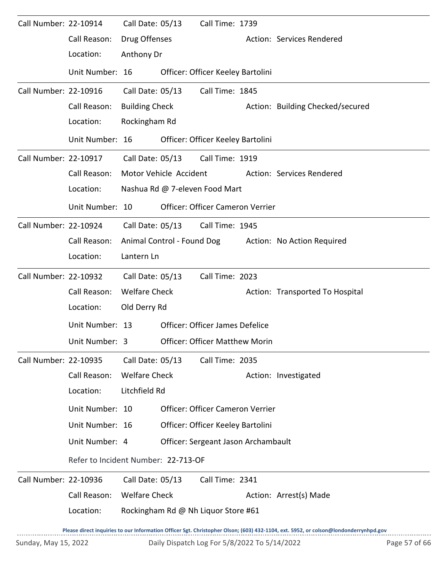| Call Number: 22-10914 |                                     | Call Date: 05/13      |                            | Call Time: 1739                              |                                                                                                                                     |               |
|-----------------------|-------------------------------------|-----------------------|----------------------------|----------------------------------------------|-------------------------------------------------------------------------------------------------------------------------------------|---------------|
|                       | Call Reason:                        | Drug Offenses         |                            |                                              | Action: Services Rendered                                                                                                           |               |
|                       | Location:                           | Anthony Dr            |                            |                                              |                                                                                                                                     |               |
|                       | Unit Number: 16                     |                       |                            | Officer: Officer Keeley Bartolini            |                                                                                                                                     |               |
| Call Number: 22-10916 |                                     | Call Date: 05/13      |                            | Call Time: 1845                              |                                                                                                                                     |               |
|                       | Call Reason:                        | <b>Building Check</b> |                            |                                              | Action: Building Checked/secured                                                                                                    |               |
|                       | Location:                           | Rockingham Rd         |                            |                                              |                                                                                                                                     |               |
|                       | Unit Number: 16                     |                       |                            | Officer: Officer Keeley Bartolini            |                                                                                                                                     |               |
| Call Number: 22-10917 |                                     |                       |                            | Call Date: 05/13 Call Time: 1919             |                                                                                                                                     |               |
|                       | Call Reason:                        |                       | Motor Vehicle Accident     |                                              | Action: Services Rendered                                                                                                           |               |
|                       | Location:                           |                       |                            | Nashua Rd @ 7-eleven Food Mart               |                                                                                                                                     |               |
|                       | Unit Number: 10                     |                       |                            | Officer: Officer Cameron Verrier             |                                                                                                                                     |               |
| Call Number: 22-10924 |                                     | Call Date: 05/13      |                            | Call Time: 1945                              |                                                                                                                                     |               |
|                       | Call Reason:                        |                       | Animal Control - Found Dog |                                              | Action: No Action Required                                                                                                          |               |
|                       | Location:                           | Lantern Ln            |                            |                                              |                                                                                                                                     |               |
| Call Number: 22-10932 |                                     | Call Date: 05/13      |                            | Call Time: 2023                              |                                                                                                                                     |               |
|                       | Call Reason:                        | <b>Welfare Check</b>  |                            |                                              | Action: Transported To Hospital                                                                                                     |               |
|                       | Location:                           | Old Derry Rd          |                            |                                              |                                                                                                                                     |               |
|                       | Unit Number: 13                     |                       |                            | Officer: Officer James Defelice              |                                                                                                                                     |               |
|                       | Unit Number: 3                      |                       |                            | <b>Officer: Officer Matthew Morin</b>        |                                                                                                                                     |               |
| Call Number: 22-10935 |                                     | Call Date: 05/13      |                            | Call Time: 2035                              |                                                                                                                                     |               |
|                       | Call Reason:                        | <b>Welfare Check</b>  |                            |                                              | Action: Investigated                                                                                                                |               |
|                       | Location:                           | Litchfield Rd         |                            |                                              |                                                                                                                                     |               |
|                       | Unit Number: 10                     |                       |                            | <b>Officer: Officer Cameron Verrier</b>      |                                                                                                                                     |               |
|                       | Unit Number: 16                     |                       |                            | Officer: Officer Keeley Bartolini            |                                                                                                                                     |               |
|                       | Unit Number: 4                      |                       |                            | Officer: Sergeant Jason Archambault          |                                                                                                                                     |               |
|                       | Refer to Incident Number: 22-713-OF |                       |                            |                                              |                                                                                                                                     |               |
| Call Number: 22-10936 |                                     | Call Date: 05/13      |                            | Call Time: 2341                              |                                                                                                                                     |               |
|                       | Call Reason:                        | <b>Welfare Check</b>  |                            |                                              | Action: Arrest(s) Made                                                                                                              |               |
|                       | Location:                           |                       |                            | Rockingham Rd @ Nh Liquor Store #61          |                                                                                                                                     |               |
|                       |                                     |                       |                            |                                              | Please direct inquiries to our Information Officer Sgt. Christopher Olson; (603) 432-1104, ext. 5952, or colson@londonderrynhpd.gov |               |
| Sunday, May 15, 2022  |                                     |                       |                            | Daily Dispatch Log For 5/8/2022 To 5/14/2022 |                                                                                                                                     | Page 57 of 66 |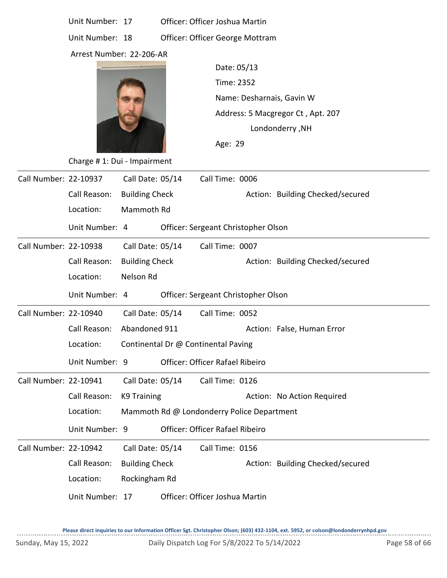|                       | Unit Number: 17             |                       | Officer: Officer Joshua Martin             |                 |                                   |                                  |  |  |  |  |
|-----------------------|-----------------------------|-----------------------|--------------------------------------------|-----------------|-----------------------------------|----------------------------------|--|--|--|--|
|                       | Unit Number: 18             |                       | Officer: Officer George Mottram            |                 |                                   |                                  |  |  |  |  |
|                       | Arrest Number: 22-206-AR    |                       |                                            |                 |                                   |                                  |  |  |  |  |
|                       |                             |                       |                                            | Date: 05/13     |                                   |                                  |  |  |  |  |
|                       |                             |                       |                                            | Time: 2352      |                                   |                                  |  |  |  |  |
|                       |                             |                       |                                            |                 | Name: Desharnais, Gavin W         |                                  |  |  |  |  |
|                       |                             |                       |                                            |                 | Address: 5 Macgregor Ct, Apt. 207 |                                  |  |  |  |  |
|                       |                             |                       |                                            |                 | Londonderry, NH                   |                                  |  |  |  |  |
|                       |                             |                       |                                            | Age: 29         |                                   |                                  |  |  |  |  |
|                       | Charge #1: Dui - Impairment |                       |                                            |                 |                                   |                                  |  |  |  |  |
| Call Number: 22-10937 |                             | Call Date: 05/14      |                                            | Call Time: 0006 |                                   |                                  |  |  |  |  |
|                       | Call Reason:                | <b>Building Check</b> |                                            |                 |                                   | Action: Building Checked/secured |  |  |  |  |
|                       | Location:                   | Mammoth Rd            |                                            |                 |                                   |                                  |  |  |  |  |
|                       | Unit Number: 4              |                       | Officer: Sergeant Christopher Olson        |                 |                                   |                                  |  |  |  |  |
| Call Number: 22-10938 |                             | Call Date: 05/14      |                                            | Call Time: 0007 |                                   |                                  |  |  |  |  |
|                       | Call Reason:                | <b>Building Check</b> |                                            |                 |                                   | Action: Building Checked/secured |  |  |  |  |
|                       | Location:                   | Nelson Rd             |                                            |                 |                                   |                                  |  |  |  |  |
|                       | Unit Number: 4              |                       | Officer: Sergeant Christopher Olson        |                 |                                   |                                  |  |  |  |  |
| Call Number: 22-10940 |                             | Call Date: 05/14      |                                            | Call Time: 0052 |                                   |                                  |  |  |  |  |
|                       | Call Reason:                | Abandoned 911         |                                            |                 |                                   | Action: False, Human Error       |  |  |  |  |
|                       | Location:                   |                       | Continental Dr @ Continental Paving        |                 |                                   |                                  |  |  |  |  |
|                       | Unit Number: 9              |                       | Officer: Officer Rafael Ribeiro            |                 |                                   |                                  |  |  |  |  |
| Call Number: 22-10941 |                             | Call Date: 05/14      |                                            | Call Time: 0126 |                                   |                                  |  |  |  |  |
|                       | Call Reason:                | K9 Training           |                                            |                 |                                   | Action: No Action Required       |  |  |  |  |
|                       | Location:                   |                       | Mammoth Rd @ Londonderry Police Department |                 |                                   |                                  |  |  |  |  |
|                       | Unit Number: 9              |                       | Officer: Officer Rafael Ribeiro            |                 |                                   |                                  |  |  |  |  |
| Call Number: 22-10942 |                             | Call Date: 05/14      |                                            | Call Time: 0156 |                                   |                                  |  |  |  |  |
|                       | Call Reason:                | <b>Building Check</b> |                                            |                 |                                   | Action: Building Checked/secured |  |  |  |  |
|                       | Location:                   | Rockingham Rd         |                                            |                 |                                   |                                  |  |  |  |  |
|                       |                             |                       |                                            |                 |                                   |                                  |  |  |  |  |

Unit Number: 17 Officer: Officer Joshua Martin

**Please direct inquiries to our Information Officer Sgt. Christopher Olson; (603) 432-1104, ext. 5952, or colson@londonderrynhpd.gov**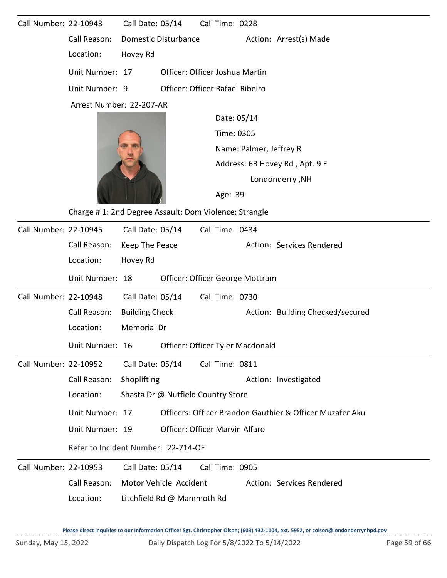| Call Number: 22-10943 |                                                       | Call Date: 05/14                   |                                  | Call Time: 0228 |             |  |                                                          |
|-----------------------|-------------------------------------------------------|------------------------------------|----------------------------------|-----------------|-------------|--|----------------------------------------------------------|
|                       | Call Reason:                                          | <b>Domestic Disturbance</b>        |                                  |                 |             |  | Action: Arrest(s) Made                                   |
|                       | Location:                                             | Hovey Rd                           |                                  |                 |             |  |                                                          |
|                       | Unit Number: 17                                       |                                    | Officer: Officer Joshua Martin   |                 |             |  |                                                          |
|                       | Unit Number: 9                                        |                                    | Officer: Officer Rafael Ribeiro  |                 |             |  |                                                          |
|                       | Arrest Number: 22-207-AR                              |                                    |                                  |                 |             |  |                                                          |
|                       |                                                       |                                    |                                  |                 | Date: 05/14 |  |                                                          |
|                       |                                                       |                                    |                                  |                 | Time: 0305  |  |                                                          |
|                       |                                                       |                                    |                                  |                 |             |  | Name: Palmer, Jeffrey R                                  |
|                       |                                                       |                                    |                                  |                 |             |  | Address: 6B Hovey Rd, Apt. 9 E                           |
|                       |                                                       |                                    |                                  |                 |             |  | Londonderry, NH                                          |
|                       |                                                       |                                    |                                  |                 | Age: 39     |  |                                                          |
|                       | Charge #1: 2nd Degree Assault; Dom Violence; Strangle |                                    |                                  |                 |             |  |                                                          |
| Call Number: 22-10945 |                                                       | Call Date: 05/14                   |                                  | Call Time: 0434 |             |  |                                                          |
|                       | Call Reason:                                          | Keep The Peace                     |                                  |                 |             |  | Action: Services Rendered                                |
|                       | Location:                                             | Hovey Rd                           |                                  |                 |             |  |                                                          |
|                       | Unit Number: 18                                       |                                    | Officer: Officer George Mottram  |                 |             |  |                                                          |
| Call Number: 22-10948 |                                                       | Call Date: 05/14                   |                                  | Call Time: 0730 |             |  |                                                          |
|                       | Call Reason:                                          | <b>Building Check</b>              |                                  |                 |             |  | Action: Building Checked/secured                         |
|                       | Location:                                             | Memorial Dr                        |                                  |                 |             |  |                                                          |
|                       | Unit Number: 16                                       |                                    | Officer: Officer Tyler Macdonald |                 |             |  |                                                          |
| Call Number: 22-10952 |                                                       | Call Date: 05/14                   |                                  | Call Time: 0811 |             |  |                                                          |
|                       | Call Reason:                                          | Shoplifting                        |                                  |                 |             |  | Action: Investigated                                     |
|                       | Location:                                             | Shasta Dr @ Nutfield Country Store |                                  |                 |             |  |                                                          |
|                       | Unit Number: 17                                       |                                    |                                  |                 |             |  | Officers: Officer Brandon Gauthier & Officer Muzafer Aku |
|                       | Unit Number: 19                                       |                                    | Officer: Officer Marvin Alfaro   |                 |             |  |                                                          |
|                       | Refer to Incident Number: 22-714-OF                   |                                    |                                  |                 |             |  |                                                          |
| Call Number: 22-10953 |                                                       | Call Date: 05/14                   |                                  | Call Time: 0905 |             |  |                                                          |
|                       | Call Reason:                                          | Motor Vehicle Accident             |                                  |                 |             |  | Action: Services Rendered                                |
|                       | Location:                                             | Litchfield Rd @ Mammoth Rd         |                                  |                 |             |  |                                                          |
|                       |                                                       |                                    |                                  |                 |             |  |                                                          |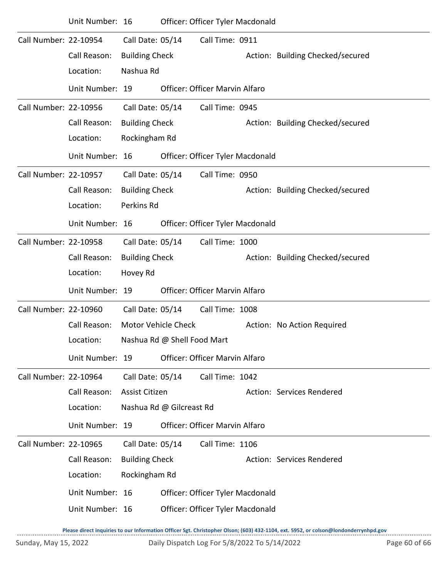|                       | Unit Number: 16 |                       |                             | Officer: Officer Tyler Macdonald      |  |                                  |
|-----------------------|-----------------|-----------------------|-----------------------------|---------------------------------------|--|----------------------------------|
| Call Number: 22-10954 |                 | Call Date: 05/14      |                             | Call Time: 0911                       |  |                                  |
|                       | Call Reason:    | <b>Building Check</b> |                             |                                       |  | Action: Building Checked/secured |
|                       | Location:       | Nashua Rd             |                             |                                       |  |                                  |
|                       | Unit Number: 19 |                       |                             | Officer: Officer Marvin Alfaro        |  |                                  |
| Call Number: 22-10956 |                 | Call Date: 05/14      |                             | Call Time: 0945                       |  |                                  |
|                       | Call Reason:    | <b>Building Check</b> |                             |                                       |  | Action: Building Checked/secured |
|                       | Location:       | Rockingham Rd         |                             |                                       |  |                                  |
|                       | Unit Number: 16 |                       |                             | Officer: Officer Tyler Macdonald      |  |                                  |
| Call Number: 22-10957 |                 | Call Date: 05/14      |                             | Call Time: 0950                       |  |                                  |
|                       | Call Reason:    | <b>Building Check</b> |                             |                                       |  | Action: Building Checked/secured |
|                       | Location:       | Perkins Rd            |                             |                                       |  |                                  |
|                       | Unit Number: 16 |                       |                             | Officer: Officer Tyler Macdonald      |  |                                  |
| Call Number: 22-10958 |                 | Call Date: 05/14      |                             | Call Time: 1000                       |  |                                  |
|                       | Call Reason:    | <b>Building Check</b> |                             |                                       |  | Action: Building Checked/secured |
|                       | Location:       | Hovey Rd              |                             |                                       |  |                                  |
|                       | Unit Number: 19 |                       |                             | Officer: Officer Marvin Alfaro        |  |                                  |
| Call Number: 22-10960 |                 | Call Date: 05/14      |                             | Call Time: 1008                       |  |                                  |
|                       | Call Reason:    | Motor Vehicle Check   |                             | Action: No Action Required            |  |                                  |
|                       | Location:       |                       | Nashua Rd @ Shell Food Mart |                                       |  |                                  |
|                       | Unit Number: 19 |                       |                             | <b>Officer: Officer Marvin Alfaro</b> |  |                                  |
| Call Number: 22-10964 |                 | Call Date: 05/14      |                             | Call Time: 1042                       |  |                                  |
|                       | Call Reason:    | Assist Citizen        |                             |                                       |  | Action: Services Rendered        |
|                       | Location:       |                       | Nashua Rd @ Gilcreast Rd    |                                       |  |                                  |
|                       | Unit Number: 19 |                       |                             | Officer: Officer Marvin Alfaro        |  |                                  |
| Call Number: 22-10965 |                 | Call Date: 05/14      |                             | Call Time: 1106                       |  |                                  |
|                       | Call Reason:    | <b>Building Check</b> |                             |                                       |  | Action: Services Rendered        |
|                       | Location:       | Rockingham Rd         |                             |                                       |  |                                  |
|                       | Unit Number: 16 |                       |                             | Officer: Officer Tyler Macdonald      |  |                                  |
|                       | Unit Number: 16 |                       |                             | Officer: Officer Tyler Macdonald      |  |                                  |
|                       |                 |                       |                             |                                       |  |                                  |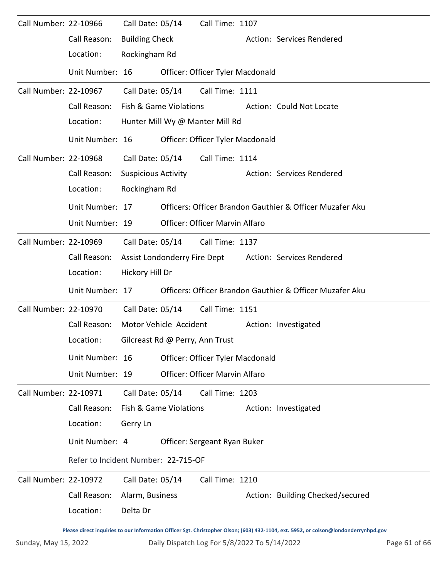| Call Number: 22-10966 |                                     | Call Date: 05/14           |                                 | Call Time: 1107                  |                                                                                                                                     |
|-----------------------|-------------------------------------|----------------------------|---------------------------------|----------------------------------|-------------------------------------------------------------------------------------------------------------------------------------|
|                       | Call Reason:                        | <b>Building Check</b>      |                                 |                                  | Action: Services Rendered                                                                                                           |
|                       | Location:                           | Rockingham Rd              |                                 |                                  |                                                                                                                                     |
|                       | Unit Number: 16                     |                            |                                 | Officer: Officer Tyler Macdonald |                                                                                                                                     |
| Call Number: 22-10967 |                                     | Call Date: 05/14           |                                 | Call Time: 1111                  |                                                                                                                                     |
|                       | Call Reason:                        |                            | Fish & Game Violations          |                                  | Action: Could Not Locate                                                                                                            |
|                       | Location:                           |                            |                                 | Hunter Mill Wy @ Manter Mill Rd  |                                                                                                                                     |
|                       | Unit Number: 16                     |                            |                                 | Officer: Officer Tyler Macdonald |                                                                                                                                     |
| Call Number: 22-10968 |                                     | Call Date: 05/14           |                                 | Call Time: 1114                  |                                                                                                                                     |
|                       | Call Reason:                        | <b>Suspicious Activity</b> |                                 |                                  | Action: Services Rendered                                                                                                           |
|                       | Location:                           | Rockingham Rd              |                                 |                                  |                                                                                                                                     |
|                       | Unit Number: 17                     |                            |                                 |                                  | Officers: Officer Brandon Gauthier & Officer Muzafer Aku                                                                            |
|                       | Unit Number: 19                     |                            |                                 | Officer: Officer Marvin Alfaro   |                                                                                                                                     |
| Call Number: 22-10969 |                                     | Call Date: 05/14           |                                 | Call Time: 1137                  |                                                                                                                                     |
|                       | Call Reason:                        |                            | Assist Londonderry Fire Dept    |                                  | Action: Services Rendered                                                                                                           |
|                       | Location:                           | Hickory Hill Dr            |                                 |                                  |                                                                                                                                     |
|                       | Unit Number: 17                     |                            |                                 |                                  | Officers: Officer Brandon Gauthier & Officer Muzafer Aku                                                                            |
| Call Number: 22-10970 |                                     | Call Date: 05/14           |                                 | Call Time: 1151                  |                                                                                                                                     |
|                       | Call Reason:                        |                            | Motor Vehicle Accident          |                                  | Action: Investigated                                                                                                                |
|                       | Location:                           |                            | Gilcreast Rd @ Perry, Ann Trust |                                  |                                                                                                                                     |
|                       | Unit Number: 16                     |                            |                                 | Officer: Officer Tyler Macdonald |                                                                                                                                     |
|                       | Unit Number: 19                     |                            |                                 | Officer: Officer Marvin Alfaro   |                                                                                                                                     |
| Call Number: 22-10971 |                                     | Call Date: 05/14           |                                 | Call Time: 1203                  |                                                                                                                                     |
|                       | Call Reason:                        |                            | Fish & Game Violations          |                                  | Action: Investigated                                                                                                                |
|                       | Location:                           | Gerry Ln                   |                                 |                                  |                                                                                                                                     |
|                       | Unit Number: 4                      |                            |                                 | Officer: Sergeant Ryan Buker     |                                                                                                                                     |
|                       | Refer to Incident Number: 22-715-OF |                            |                                 |                                  |                                                                                                                                     |
| Call Number: 22-10972 |                                     | Call Date: 05/14           |                                 | Call Time: 1210                  |                                                                                                                                     |
|                       | Call Reason:                        | Alarm, Business            |                                 |                                  | Action: Building Checked/secured                                                                                                    |
|                       | Location:                           | Delta Dr                   |                                 |                                  |                                                                                                                                     |
|                       |                                     |                            |                                 |                                  | Please direct inquiries to our Information Officer Sgt. Christopher Olson; (603) 432-1104, ext. 5952, or colson@londonderrynhpd.gov |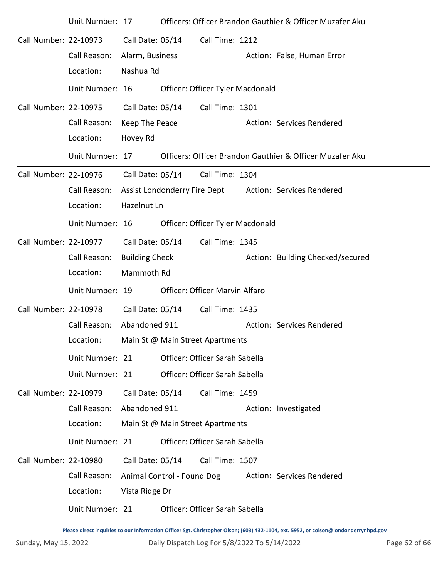|                       | Unit Number: 17 |                       |                              |                                  | Officers: Officer Brandon Gauthier & Officer Muzafer Aku |
|-----------------------|-----------------|-----------------------|------------------------------|----------------------------------|----------------------------------------------------------|
| Call Number: 22-10973 |                 | Call Date: 05/14      |                              | Call Time: 1212                  |                                                          |
|                       | Call Reason:    | Alarm, Business       |                              |                                  | Action: False, Human Error                               |
|                       | Location:       | Nashua Rd             |                              |                                  |                                                          |
|                       | Unit Number: 16 |                       |                              | Officer: Officer Tyler Macdonald |                                                          |
| Call Number: 22-10975 |                 | Call Date: 05/14      |                              | Call Time: 1301                  |                                                          |
|                       | Call Reason:    | Keep The Peace        |                              |                                  | Action: Services Rendered                                |
|                       | Location:       | Hovey Rd              |                              |                                  |                                                          |
|                       | Unit Number: 17 |                       |                              |                                  | Officers: Officer Brandon Gauthier & Officer Muzafer Aku |
| Call Number: 22-10976 |                 | Call Date: 05/14      |                              | Call Time: 1304                  |                                                          |
|                       | Call Reason:    |                       | Assist Londonderry Fire Dept |                                  | Action: Services Rendered                                |
|                       | Location:       | Hazelnut Ln           |                              |                                  |                                                          |
|                       | Unit Number: 16 |                       |                              | Officer: Officer Tyler Macdonald |                                                          |
| Call Number: 22-10977 |                 | Call Date: 05/14      |                              | Call Time: 1345                  |                                                          |
|                       | Call Reason:    | <b>Building Check</b> |                              |                                  | Action: Building Checked/secured                         |
|                       | Location:       | Mammoth Rd            |                              |                                  |                                                          |
|                       | Unit Number: 19 |                       |                              | Officer: Officer Marvin Alfaro   |                                                          |
| Call Number: 22-10978 |                 | Call Date: 05/14      |                              | Call Time: 1435                  |                                                          |
|                       | Call Reason:    | Abandoned 911         |                              |                                  | Action: Services Rendered                                |
|                       | Location:       |                       |                              | Main St @ Main Street Apartments |                                                          |
|                       | Unit Number: 21 |                       |                              | Officer: Officer Sarah Sabella   |                                                          |
|                       | Unit Number: 21 |                       |                              | Officer: Officer Sarah Sabella   |                                                          |
| Call Number: 22-10979 |                 | Call Date: 05/14      |                              | Call Time: 1459                  |                                                          |
|                       | Call Reason:    | Abandoned 911         |                              |                                  | Action: Investigated                                     |
|                       | Location:       |                       |                              | Main St @ Main Street Apartments |                                                          |
|                       | Unit Number: 21 |                       |                              | Officer: Officer Sarah Sabella   |                                                          |
| Call Number: 22-10980 |                 | Call Date: 05/14      |                              | Call Time: 1507                  |                                                          |
|                       | Call Reason:    |                       | Animal Control - Found Dog   |                                  | Action: Services Rendered                                |
|                       | Location:       | Vista Ridge Dr        |                              |                                  |                                                          |
|                       | Unit Number: 21 |                       |                              | Officer: Officer Sarah Sabella   |                                                          |
|                       |                 |                       |                              |                                  |                                                          |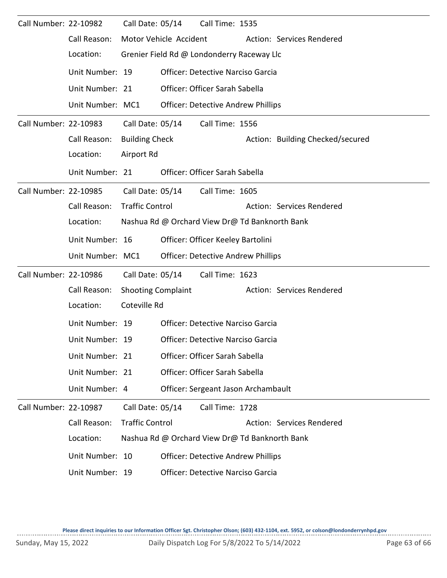| Call Number: 22-10982 |                  | Call Date: 05/14          |                  | Call Time: 1535                                |                                  |
|-----------------------|------------------|---------------------------|------------------|------------------------------------------------|----------------------------------|
|                       | Call Reason:     | Motor Vehicle Accident    |                  |                                                | Action: Services Rendered        |
|                       | Location:        |                           |                  | Grenier Field Rd @ Londonderry Raceway Llc     |                                  |
|                       | Unit Number: 19  |                           |                  | <b>Officer: Detective Narciso Garcia</b>       |                                  |
|                       | Unit Number: 21  |                           |                  | Officer: Officer Sarah Sabella                 |                                  |
|                       | Unit Number: MC1 |                           |                  | <b>Officer: Detective Andrew Phillips</b>      |                                  |
| Call Number: 22-10983 |                  |                           | Call Date: 05/14 | Call Time: 1556                                |                                  |
|                       | Call Reason:     | <b>Building Check</b>     |                  |                                                | Action: Building Checked/secured |
|                       | Location:        | Airport Rd                |                  |                                                |                                  |
|                       | Unit Number: 21  |                           |                  | Officer: Officer Sarah Sabella                 |                                  |
| Call Number: 22-10985 |                  |                           | Call Date: 05/14 | Call Time: 1605                                |                                  |
|                       | Call Reason:     | <b>Traffic Control</b>    |                  |                                                | Action: Services Rendered        |
|                       | Location:        |                           |                  | Nashua Rd @ Orchard View Dr@ Td Banknorth Bank |                                  |
|                       | Unit Number: 16  |                           |                  | Officer: Officer Keeley Bartolini              |                                  |
|                       | Unit Number: MC1 |                           |                  | <b>Officer: Detective Andrew Phillips</b>      |                                  |
| Call Number: 22-10986 |                  | Call Date: 05/14          |                  | Call Time: 1623                                |                                  |
|                       | Call Reason:     | <b>Shooting Complaint</b> |                  |                                                | Action: Services Rendered        |
|                       | Location:        | Coteville Rd              |                  |                                                |                                  |
|                       | Unit Number: 19  |                           |                  | <b>Officer: Detective Narciso Garcia</b>       |                                  |
|                       | Unit Number: 19  |                           |                  | Officer: Detective Narciso Garcia              |                                  |
|                       | Unit Number: 21  |                           |                  | Officer: Officer Sarah Sabella                 |                                  |
|                       | Unit Number: 21  |                           |                  | Officer: Officer Sarah Sabella                 |                                  |
|                       | Unit Number: 4   |                           |                  | Officer: Sergeant Jason Archambault            |                                  |
| Call Number: 22-10987 |                  | Call Date: 05/14          |                  | Call Time: 1728                                |                                  |
|                       | Call Reason:     | <b>Traffic Control</b>    |                  |                                                | Action: Services Rendered        |
|                       | Location:        |                           |                  | Nashua Rd @ Orchard View Dr@ Td Banknorth Bank |                                  |
|                       | Unit Number: 10  |                           |                  | <b>Officer: Detective Andrew Phillips</b>      |                                  |
|                       | Unit Number: 19  |                           |                  | <b>Officer: Detective Narciso Garcia</b>       |                                  |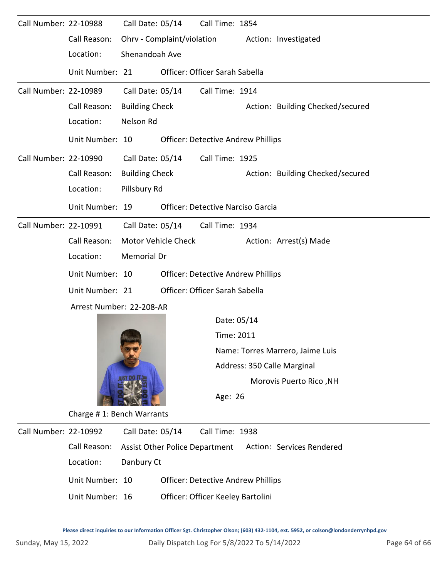| Call Number: 22-10988 |                           |                                                                      | Call Date: 05/14                          | Call Time: 1854                           |                             |                                  |  |  |  |  |
|-----------------------|---------------------------|----------------------------------------------------------------------|-------------------------------------------|-------------------------------------------|-----------------------------|----------------------------------|--|--|--|--|
|                       | Call Reason:              | Ohrv - Complaint/violation<br>Action: Investigated<br>Shenandoah Ave |                                           |                                           |                             |                                  |  |  |  |  |
|                       | Location:                 |                                                                      |                                           |                                           |                             |                                  |  |  |  |  |
|                       | Unit Number: 21           |                                                                      |                                           | Officer: Officer Sarah Sabella            |                             |                                  |  |  |  |  |
| Call Number: 22-10989 |                           | Call Date: 05/14                                                     |                                           | Call Time: 1914                           |                             |                                  |  |  |  |  |
|                       | Call Reason:              | <b>Building Check</b>                                                |                                           |                                           |                             | Action: Building Checked/secured |  |  |  |  |
|                       | Location:                 | Nelson Rd                                                            |                                           |                                           |                             |                                  |  |  |  |  |
|                       | Unit Number: 10           |                                                                      |                                           | <b>Officer: Detective Andrew Phillips</b> |                             |                                  |  |  |  |  |
| Call Number: 22-10990 |                           | Call Date: 05/14                                                     |                                           | Call Time: 1925                           |                             |                                  |  |  |  |  |
|                       | Call Reason:              | <b>Building Check</b><br>Action: Building Checked/secured            |                                           |                                           |                             |                                  |  |  |  |  |
|                       | Location:                 |                                                                      | Pillsbury Rd                              |                                           |                             |                                  |  |  |  |  |
|                       | Unit Number: 19           |                                                                      |                                           | <b>Officer: Detective Narciso Garcia</b>  |                             |                                  |  |  |  |  |
| Call Number: 22-10991 |                           |                                                                      | Call Date: 05/14                          | Call Time: 1934                           |                             |                                  |  |  |  |  |
|                       | Call Reason:              | Motor Vehicle Check<br>Action: Arrest(s) Made                        |                                           |                                           |                             |                                  |  |  |  |  |
|                       | Location:                 | Memorial Dr                                                          |                                           |                                           |                             |                                  |  |  |  |  |
|                       | Unit Number: 10           |                                                                      | <b>Officer: Detective Andrew Phillips</b> |                                           |                             |                                  |  |  |  |  |
|                       | Unit Number: 21           |                                                                      |                                           | Officer: Officer Sarah Sabella            |                             |                                  |  |  |  |  |
|                       | Arrest Number: 22-208-AR  |                                                                      |                                           |                                           |                             |                                  |  |  |  |  |
|                       |                           |                                                                      |                                           |                                           | Date: 05/14                 |                                  |  |  |  |  |
|                       |                           |                                                                      |                                           |                                           | Time: 2011                  |                                  |  |  |  |  |
|                       |                           |                                                                      |                                           | Name: Torres Marrero, Jaime Luis          |                             |                                  |  |  |  |  |
|                       |                           |                                                                      |                                           |                                           | Address: 350 Calle Marginal |                                  |  |  |  |  |
|                       |                           |                                                                      |                                           |                                           |                             | Morovis Puerto Rico, NH          |  |  |  |  |
|                       |                           |                                                                      |                                           |                                           | Age: 26                     |                                  |  |  |  |  |
|                       | Charge #1: Bench Warrants |                                                                      |                                           |                                           |                             |                                  |  |  |  |  |
| Call Number: 22-10992 |                           | Call Date: 05/14                                                     |                                           | Call Time: 1938                           |                             |                                  |  |  |  |  |
|                       | Call Reason:              | <b>Assist Other Police Department</b><br>Action: Services Rendered   |                                           |                                           |                             |                                  |  |  |  |  |
|                       | Location:                 | Danbury Ct                                                           |                                           |                                           |                             |                                  |  |  |  |  |

- Unit Number: 10 Officer: Detective Andrew Phillips
- Unit Number: 16 Officer: Officer Keeley Bartolini

--------------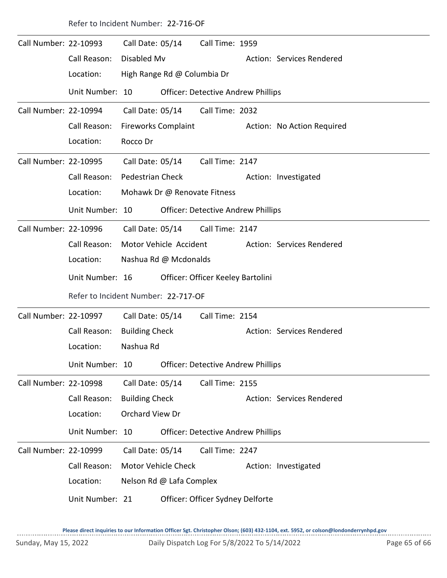Call Number: 22-10993 Call Time: 1959 Call Date: 05/14 Call Reason: Disabled My Call Reason: Disabled My Location: High Range Rd @ Columbia Dr Unit Number: 10 Officer: Detective Andrew Phillips Call Number: 22-10994 Call Date: 05/14 Call Time: 2032 Call Reason: Fireworks Complaint **Action: No Action Required** Location: Rocco Dr Call Date: 05/14 Call Number: 22-10995 Call Date: 05/14 Call Time: 2147 Call Reason: Pedestrian Check Action: Investigated Location: Mohawk Dr @ Renovate Fitness Call Date: 05/14 Unit Number: 10 Officer: Detective Andrew Phillips Call Number: 22-10996 Call Date: 05/14 Call Time: 2147 Call Reason: Motor Vehicle Accident Action: Services Rendered Location: Nashua Rd @ Mcdonalds Call Date: 05/14 Unit Number: 16 Officer: Officer Keeley Bartolini Refer to Incident Number: 22-717-OF Call Number: 22-10997 Call Date: 05/14 Call Time: 2154 Call Reason: Building Check Action: Services Rendered Location: Nashua Rd Call Date: 05/14 Unit Number: 10 Officer: Detective Andrew Phillips Call Number: 22-10998 Call Date: 05/14 Call Time: 2155 Call Reason: Building Check Action: Services Rendered Location: Orchard View Dr Call Date: 05/14 Unit Number: 10 Officer: Detective Andrew Phillips Call Number: 22-10999 Call Date: 05/14 Call Time: 2247 Call Reason: Motor Vehicle Check Action: Investigated Location: Nelson Rd @ Lafa Complex Call Date: 05/14 Unit Number: 21 Officer: Officer Sydney Delforte

Refer to Incident Number: 22-716-OF